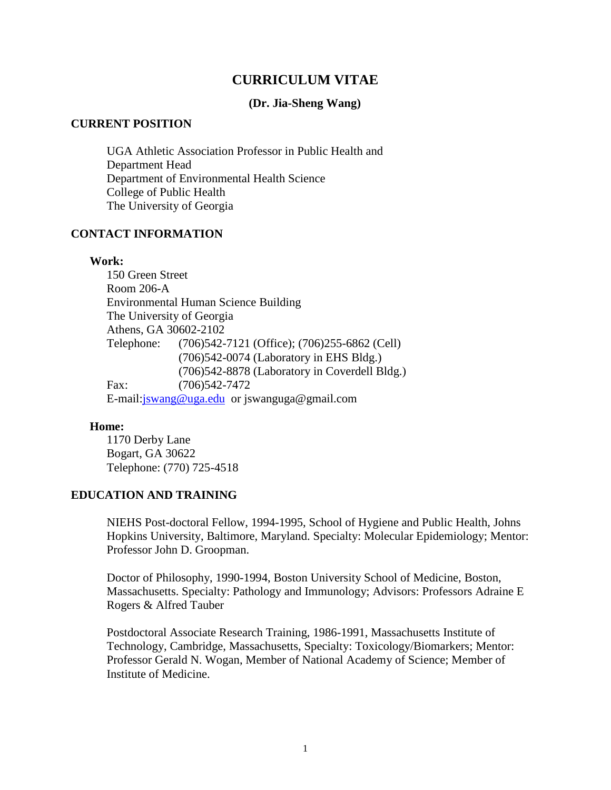# **CURRICULUM VITAE**

### **(Dr. Jia-Sheng Wang)**

#### **CURRENT POSITION**

UGA Athletic Association Professor in Public Health and Department Head Department of Environmental Health Science College of Public Health The University of Georgia

# **CONTACT INFORMATION**

#### **Work:**

150 Green Street Room 206-A Environmental Human Science Building The University of Georgia Athens, GA 30602-2102 Telephone: (706)542-7121 (Office); (706)255-6862 (Cell) (706)542-0074 (Laboratory in EHS Bldg.) (706)542-8878 (Laboratory in Coverdell Bldg.) Fax: (706)542-7472 E-mail[:jswang@uga.edu](mailto:jswang@uga.edu) or jswanguga@gmail.com

#### **Home:**

1170 Derby Lane Bogart, GA 30622 Telephone: (770) 725-4518

### **EDUCATION AND TRAINING**

NIEHS Post-doctoral Fellow, 1994-1995, School of Hygiene and Public Health, Johns Hopkins University, Baltimore, Maryland. Specialty: Molecular Epidemiology; Mentor: Professor John D. Groopman.

Doctor of Philosophy, 1990-1994, Boston University School of Medicine, Boston, Massachusetts. Specialty: Pathology and Immunology; Advisors: Professors Adraine E Rogers & Alfred Tauber

Postdoctoral Associate Research Training, 1986-1991, Massachusetts Institute of Technology, Cambridge, Massachusetts, Specialty: Toxicology/Biomarkers; Mentor: Professor Gerald N. Wogan, Member of National Academy of Science; Member of Institute of Medicine.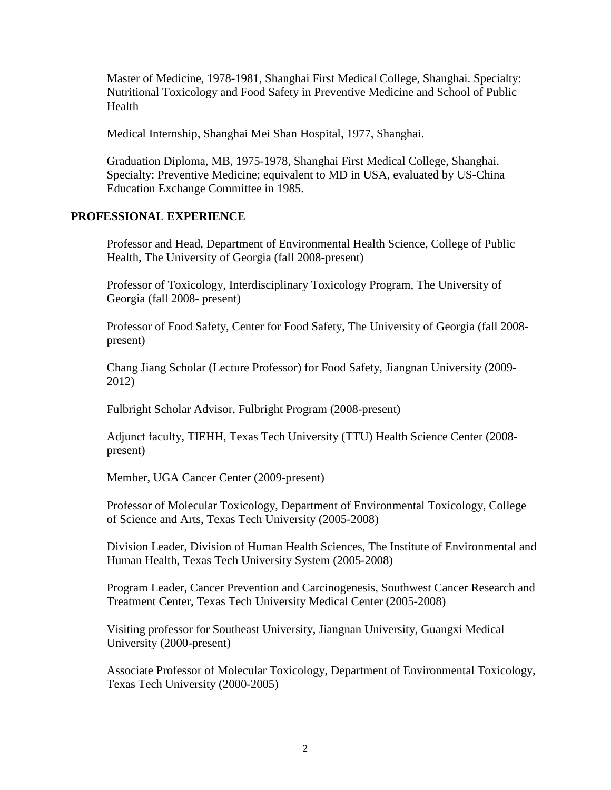Master of Medicine, 1978-1981, Shanghai First Medical College, Shanghai. Specialty: Nutritional Toxicology and Food Safety in Preventive Medicine and School of Public Health

Medical Internship, Shanghai Mei Shan Hospital, 1977, Shanghai.

Graduation Diploma, MB, 1975-1978, Shanghai First Medical College, Shanghai. Specialty: Preventive Medicine; equivalent to MD in USA, evaluated by US-China Education Exchange Committee in 1985.

# **PROFESSIONAL EXPERIENCE**

Professor and Head, Department of Environmental Health Science, College of Public Health, The University of Georgia (fall 2008-present)

Professor of Toxicology, Interdisciplinary Toxicology Program, The University of Georgia (fall 2008- present)

Professor of Food Safety, Center for Food Safety, The University of Georgia (fall 2008 present)

Chang Jiang Scholar (Lecture Professor) for Food Safety, Jiangnan University (2009- 2012)

Fulbright Scholar Advisor, Fulbright Program (2008-present)

Adjunct faculty, TIEHH, Texas Tech University (TTU) Health Science Center (2008 present)

Member, UGA Cancer Center (2009-present)

Professor of Molecular Toxicology, Department of Environmental Toxicology, College of Science and Arts, Texas Tech University (2005-2008)

Division Leader, Division of Human Health Sciences, The Institute of Environmental and Human Health, Texas Tech University System (2005-2008)

Program Leader, Cancer Prevention and Carcinogenesis, Southwest Cancer Research and Treatment Center, Texas Tech University Medical Center (2005-2008)

Visiting professor for Southeast University, Jiangnan University, Guangxi Medical University (2000-present)

Associate Professor of Molecular Toxicology, Department of Environmental Toxicology, Texas Tech University (2000-2005)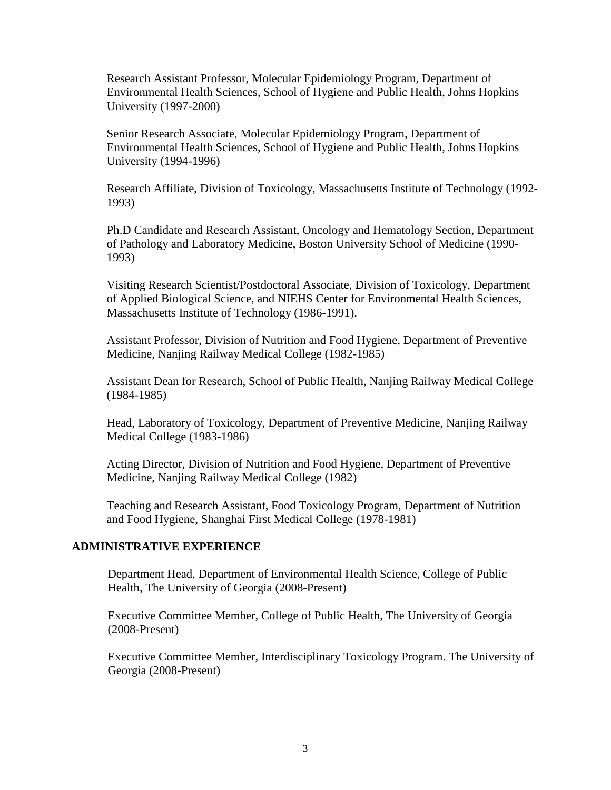Research Assistant Professor, Molecular Epidemiology Program, Department of Environmental Health Sciences, School of Hygiene and Public Health, Johns Hopkins University (1997-2000)

Senior Research Associate, Molecular Epidemiology Program, Department of Environmental Health Sciences, School of Hygiene and Public Health, Johns Hopkins University (1994-1996)

Research Affiliate, Division of Toxicology, Massachusetts Institute of Technology (1992- 1993)

Ph.D Candidate and Research Assistant, Oncology and Hematology Section, Department of Pathology and Laboratory Medicine, Boston University School of Medicine (1990- 1993)

Visiting Research Scientist/Postdoctoral Associate, Division of Toxicology, Department of Applied Biological Science, and NIEHS Center for Environmental Health Sciences, Massachusetts Institute of Technology (1986-1991).

Assistant Professor, Division of Nutrition and Food Hygiene, Department of Preventive Medicine, Nanjing Railway Medical College (1982-1985)

Assistant Dean for Research, School of Public Health, Nanjing Railway Medical College (1984-1985)

Head, Laboratory of Toxicology, Department of Preventive Medicine, Nanjing Railway Medical College (1983-1986)

Acting Director, Division of Nutrition and Food Hygiene, Department of Preventive Medicine, Nanjing Railway Medical College (1982)

Teaching and Research Assistant, Food Toxicology Program, Department of Nutrition and Food Hygiene, Shanghai First Medical College (1978-1981)

#### **ADMINISTRATIVE EXPERIENCE**

Department Head, Department of Environmental Health Science, College of Public Health, The University of Georgia (2008-Present)

Executive Committee Member, College of Public Health, The University of Georgia (2008-Present)

Executive Committee Member, Interdisciplinary Toxicology Program. The University of Georgia (2008-Present)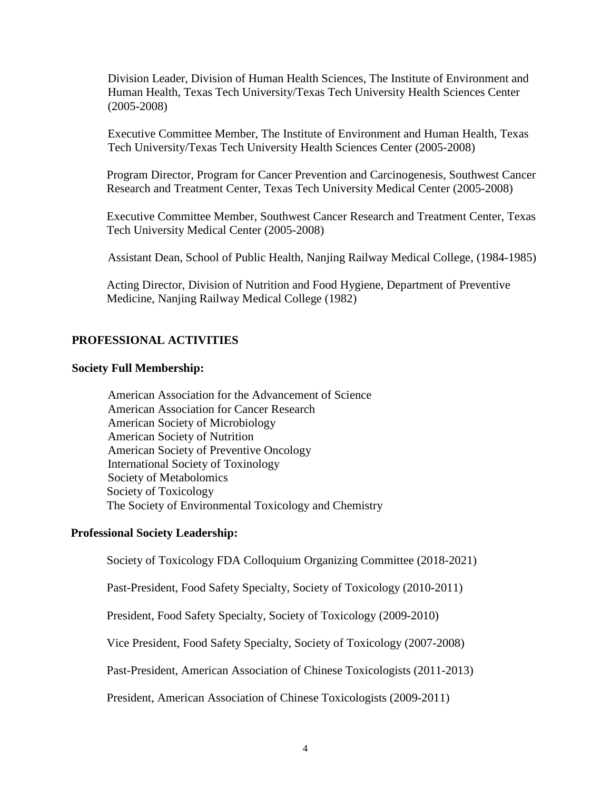Division Leader, Division of Human Health Sciences, The Institute of Environment and Human Health, Texas Tech University/Texas Tech University Health Sciences Center (2005-2008)

Executive Committee Member, The Institute of Environment and Human Health, Texas Tech University/Texas Tech University Health Sciences Center (2005-2008)

Program Director, Program for Cancer Prevention and Carcinogenesis, Southwest Cancer Research and Treatment Center, Texas Tech University Medical Center (2005-2008)

Executive Committee Member, Southwest Cancer Research and Treatment Center, Texas Tech University Medical Center (2005-2008)

Assistant Dean, School of Public Health, Nanjing Railway Medical College, (1984-1985)

Acting Director, Division of Nutrition and Food Hygiene, Department of Preventive Medicine, Nanjing Railway Medical College (1982)

# **PROFESSIONAL ACTIVITIES**

#### **Society Full Membership:**

American Association for the Advancement of Science American Association for Cancer Research American Society of Microbiology American Society of Nutrition American Society of Preventive Oncology International Society of Toxinology Society of Metabolomics Society of Toxicology The Society of Environmental Toxicology and Chemistry

# **Professional Society Leadership:**

Society of Toxicology FDA Colloquium Organizing Committee (2018-2021)

Past-President, Food Safety Specialty, Society of Toxicology (2010-2011)

President, Food Safety Specialty, Society of Toxicology (2009-2010)

Vice President, Food Safety Specialty, Society of Toxicology (2007-2008)

Past-President, American Association of Chinese Toxicologists (2011-2013)

President, American Association of Chinese Toxicologists (2009-2011)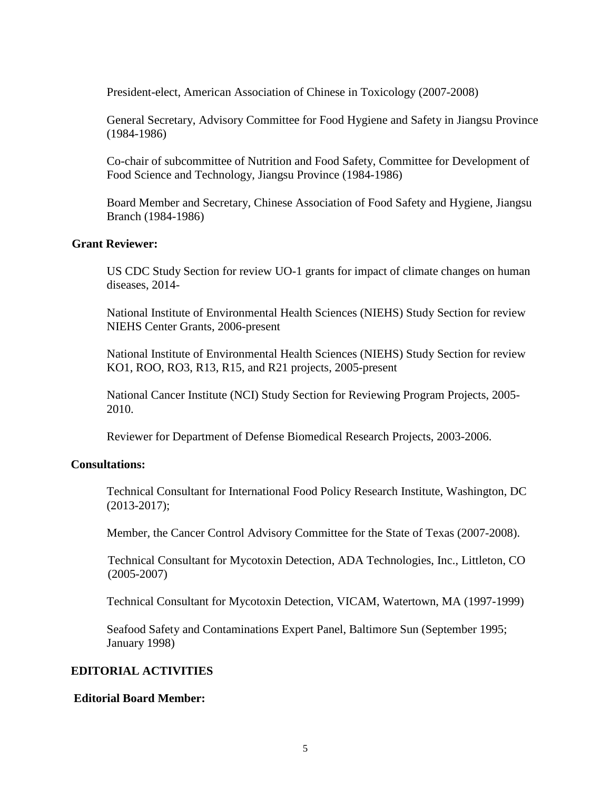President-elect, American Association of Chinese in Toxicology (2007-2008)

General Secretary, Advisory Committee for Food Hygiene and Safety in Jiangsu Province (1984-1986)

Co-chair of subcommittee of Nutrition and Food Safety, Committee for Development of Food Science and Technology, Jiangsu Province (1984-1986)

Board Member and Secretary, Chinese Association of Food Safety and Hygiene, Jiangsu Branch (1984-1986)

# **Grant Reviewer:**

US CDC Study Section for review UO-1 grants for impact of climate changes on human diseases, 2014-

National Institute of Environmental Health Sciences (NIEHS) Study Section for review NIEHS Center Grants, 2006-present

National Institute of Environmental Health Sciences (NIEHS) Study Section for review KO1, ROO, RO3, R13, R15, and R21 projects, 2005-present

National Cancer Institute (NCI) Study Section for Reviewing Program Projects, 2005- 2010.

Reviewer for Department of Defense Biomedical Research Projects, 2003-2006.

#### **Consultations:**

Technical Consultant for International Food Policy Research Institute, Washington, DC (2013-2017);

Member, the Cancer Control Advisory Committee for the State of Texas (2007-2008).

Technical Consultant for Mycotoxin Detection, ADA Technologies, Inc., Littleton, CO (2005-2007)

Technical Consultant for Mycotoxin Detection, VICAM, Watertown, MA (1997-1999)

Seafood Safety and Contaminations Expert Panel, Baltimore Sun (September 1995; January 1998)

# **EDITORIAL ACTIVITIES**

#### **Editorial Board Member:**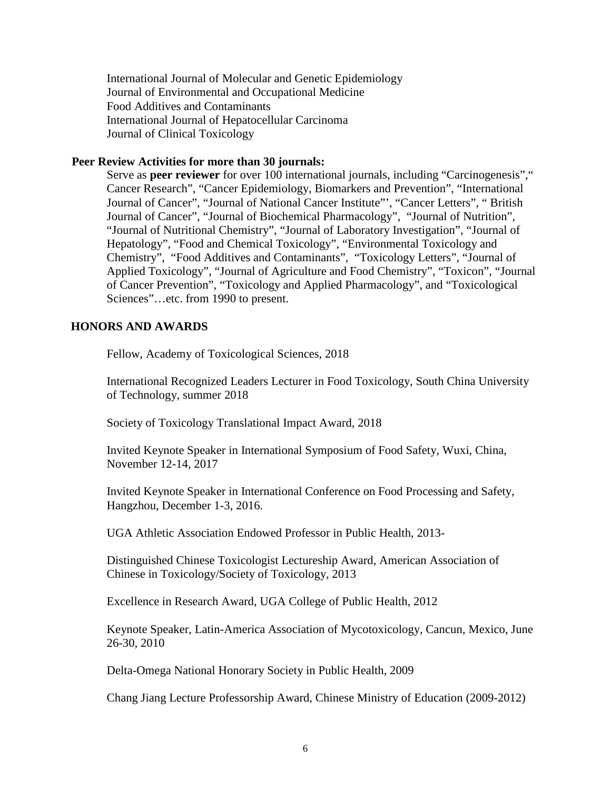International Journal of Molecular and Genetic Epidemiology Journal of Environmental and Occupational Medicine Food Additives and Contaminants International Journal of Hepatocellular Carcinoma Journal of Clinical Toxicology

#### **Peer Review Activities for more than 30 journals:**

Serve as **peer reviewer** for over 100 international journals, including "Carcinogenesis"," Cancer Research", "Cancer Epidemiology, Biomarkers and Prevention", "International Journal of Cancer", "Journal of National Cancer Institute"', "Cancer Letters", " British Journal of Cancer", "Journal of Biochemical Pharmacology", "Journal of Nutrition", "Journal of Nutritional Chemistry", "Journal of Laboratory Investigation", "Journal of Hepatology", "Food and Chemical Toxicology", "Environmental Toxicology and Chemistry", "Food Additives and Contaminants", "Toxicology Letters", "Journal of Applied Toxicology", "Journal of Agriculture and Food Chemistry", "Toxicon", "Journal of Cancer Prevention", "Toxicology and Applied Pharmacology", and "Toxicological Sciences"…etc. from 1990 to present.

# **HONORS AND AWARDS**

Fellow, Academy of Toxicological Sciences, 2018

International Recognized Leaders Lecturer in Food Toxicology, South China University of Technology, summer 2018

Society of Toxicology Translational Impact Award, 2018

Invited Keynote Speaker in International Symposium of Food Safety, Wuxi, China, November 12-14, 2017

Invited Keynote Speaker in International Conference on Food Processing and Safety, Hangzhou, December 1-3, 2016.

UGA Athletic Association Endowed Professor in Public Health, 2013-

Distinguished Chinese Toxicologist Lectureship Award, American Association of Chinese in Toxicology/Society of Toxicology, 2013

Excellence in Research Award, UGA College of Public Health, 2012

Keynote Speaker, Latin-America Association of Mycotoxicology, Cancun, Mexico, June 26-30, 2010

Delta-Omega National Honorary Society in Public Health, 2009

Chang Jiang Lecture Professorship Award, Chinese Ministry of Education (2009-2012)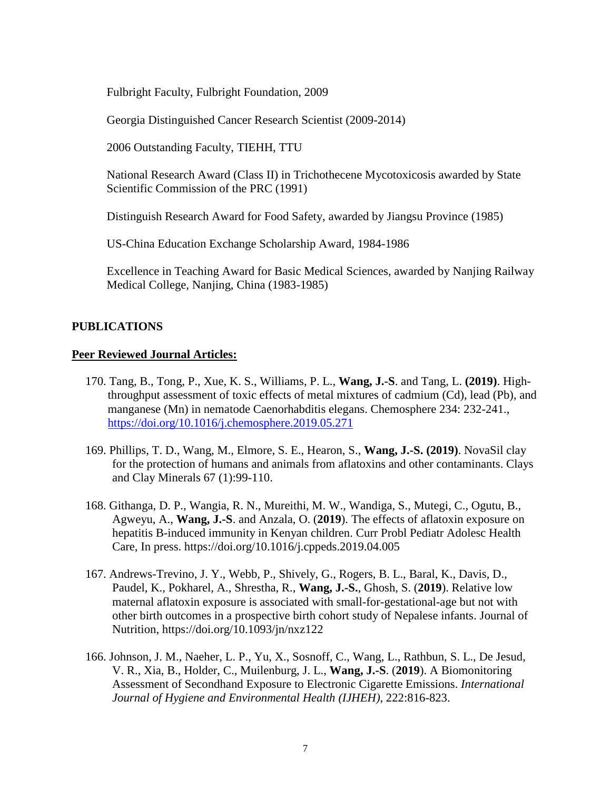Fulbright Faculty, Fulbright Foundation, 2009

Georgia Distinguished Cancer Research Scientist (2009-2014)

2006 Outstanding Faculty, TIEHH, TTU

National Research Award (Class II) in Trichothecene Mycotoxicosis awarded by State Scientific Commission of the PRC (1991)

Distinguish Research Award for Food Safety, awarded by Jiangsu Province (1985)

US-China Education Exchange Scholarship Award, 1984-1986

Excellence in Teaching Award for Basic Medical Sciences, awarded by Nanjing Railway Medical College, Nanjing, China (1983-1985)

# **PUBLICATIONS**

#### **Peer Reviewed Journal Articles:**

- 170. Tang, B., Tong, P., Xue, K. S., Williams, P. L., **Wang, J.-S**. and Tang, L. **(2019)**. Highthroughput assessment of toxic effects of metal mixtures of cadmium (Cd), lead (Pb), and manganese (Mn) in nematode Caenorhabditis elegans. Chemosphere 234: 232-241., <https://doi.org/10.1016/j.chemosphere.2019.05.271>
- 169. Phillips, T. D., Wang, M., Elmore, S. E., Hearon, S., **Wang, J.-S. (2019)**. NovaSil clay for the protection of humans and animals from aflatoxins and other contaminants. Clays and Clay Minerals 67 (1):99-110.
- 168. Githanga, D. P., Wangia, R. N., Mureithi, M. W., Wandiga, S., Mutegi, C., Ogutu, B., Agweyu, A., **Wang, J.-S**. and Anzala, O. (**2019**). The effects of aflatoxin exposure on hepatitis B-induced immunity in Kenyan children. Curr Probl Pediatr Adolesc Health Care, In press. https://doi.org/10.1016/j.cppeds.2019.04.005
- 167. Andrews-Trevino, J. Y., Webb, P., Shively, G., Rogers, B. L., Baral, K., Davis, D., Paudel, K., Pokharel, A., Shrestha, R., **Wang, J.-S.**, Ghosh, S. (**2019**). Relative low maternal aflatoxin exposure is associated with small-for-gestational-age but not with other birth outcomes in a prospective birth cohort study of Nepalese infants. Journal of Nutrition, https://doi.org/10.1093/jn/nxz122
- 166. Johnson, J. M., Naeher, L. P., Yu, X., Sosnoff, C., Wang, L., Rathbun, S. L., De Jesud, V. R., Xia, B., Holder, C., Muilenburg, J. L., **Wang, J.-S**. (**2019**). A Biomonitoring Assessment of Secondhand Exposure to Electronic Cigarette Emissions. *International Journal of Hygiene and Environmental Health (IJHEH)*, 222:816-823.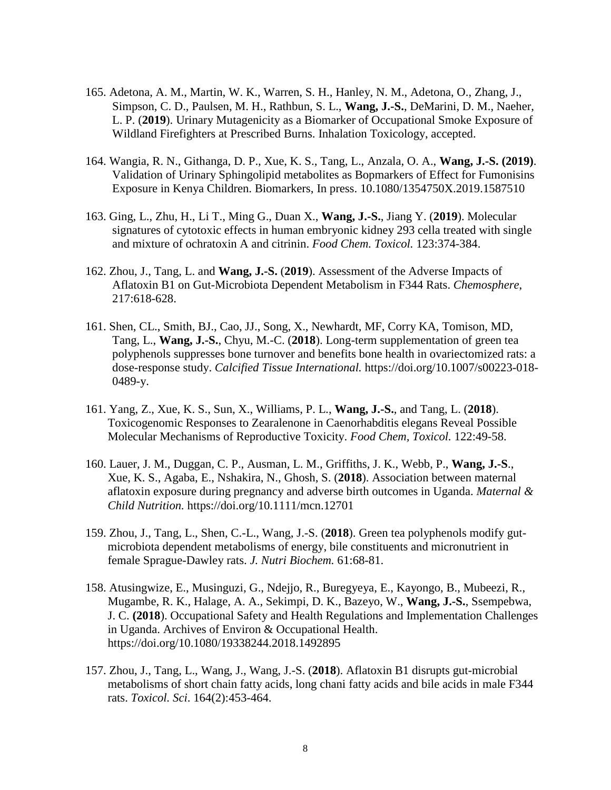- 165. Adetona, A. M., Martin, W. K., Warren, S. H., Hanley, N. M., Adetona, O., Zhang, J., Simpson, C. D., Paulsen, M. H., Rathbun, S. L., **Wang, J.-S.**, DeMarini, D. M., Naeher, L. P. (**2019**). Urinary Mutagenicity as a Biomarker of Occupational Smoke Exposure of Wildland Firefighters at Prescribed Burns. Inhalation Toxicology, accepted.
- 164. Wangia, R. N., Githanga, D. P., Xue, K. S., Tang, L., Anzala, O. A., **Wang, J.-S. (2019)**. Validation of Urinary Sphingolipid metabolites as Bopmarkers of Effect for Fumonisins Exposure in Kenya Children. Biomarkers, In press. 10.1080/1354750X.2019.1587510
- 163. Ging, L., Zhu, H., Li T., Ming G., Duan X., **Wang, J.-S.**, Jiang Y. (**2019**). Molecular signatures of cytotoxic effects in human embryonic kidney 293 cella treated with single and mixture of ochratoxin A and citrinin. *Food Chem. Toxicol.* 123:374-384.
- 162. Zhou, J., Tang, L. and **Wang, J.-S.** (**2019**). Assessment of the Adverse Impacts of Aflatoxin B1 on Gut-Microbiota Dependent Metabolism in F344 Rats. *Chemosphere*, 217:618-628.
- 161. Shen, CL., Smith, BJ., Cao, JJ., Song, X., Newhardt, MF, Corry KA, Tomison, MD, Tang, L., **Wang, J.-S.**, Chyu, M.-C. (**2018**). Long-term supplementation of green tea polyphenols suppresses bone turnover and benefits bone health in ovariectomized rats: a dose-response study. *Calcified Tissue International.* https://doi.org/10.1007/s00223-018- 0489-y.
- 161. Yang, Z., Xue, K. S., Sun, X., Williams, P. L., **Wang, J.-S.**, and Tang, L. (**2018**). Toxicogenomic Responses to Zearalenone in Caenorhabditis elegans Reveal Possible Molecular Mechanisms of Reproductive Toxicity. *Food Chem, Toxicol.* 122:49-58.
- 160. Lauer, J. M., Duggan, C. P., Ausman, L. M., Griffiths, J. K., Webb, P., **Wang, J.-S**., Xue, K. S., Agaba, E., Nshakira, N., Ghosh, S. (**2018**). Association between maternal aflatoxin exposure during pregnancy and adverse birth outcomes in Uganda. *Maternal & Child Nutrition.* https://doi.org/10.1111/mcn.12701
- 159. Zhou, J., Tang, L., Shen, C.-L., Wang, J.-S. (**2018**). Green tea polyphenols modify gutmicrobiota dependent metabolisms of energy, bile constituents and micronutrient in female Sprague-Dawley rats. *J. Nutri Biochem.* 61:68-81.
- 158. Atusingwize, E., Musinguzi, G., Ndejjo, R., Buregyeya, E., Kayongo, B., Mubeezi, R., Mugambe, R. K., Halage, A. A., Sekimpi, D. K., Bazeyo, W., **Wang, J.-S.**, Ssempebwa, J. C. **(2018**). Occupational Safety and Health Regulations and Implementation Challenges in Uganda. Archives of Environ & Occupational Health. https://doi.org/10.1080/19338244.2018.1492895
- 157. Zhou, J., Tang, L., Wang, J., Wang, J.-S. (**2018**). Aflatoxin B1 disrupts gut-microbial metabolisms of short chain fatty acids, long chani fatty acids and bile acids in male F344 rats. *Toxicol. Sci*. 164(2):453-464.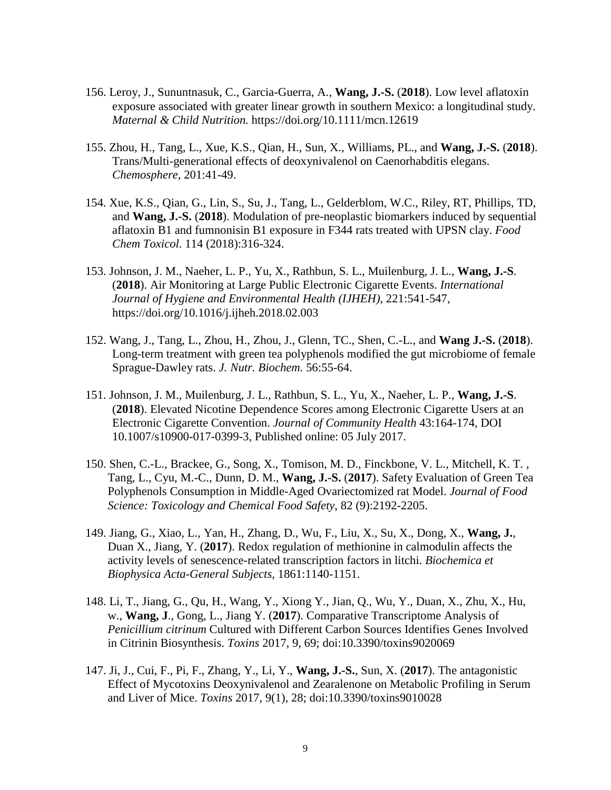- 156. Leroy, J., Sununtnasuk, C., Garcia-Guerra, A., **Wang, J.-S.** (**2018**). Low level aflatoxin exposure associated with greater linear growth in southern Mexico: a longitudinal study. *Maternal & Child Nutrition.* https://doi.org/10.1111/mcn.12619
- 155. Zhou, H., Tang, L., Xue, K.S., Qian, H., Sun, X., Williams, PL., and **Wang, J.-S.** (**2018**). Trans/Multi-generational effects of deoxynivalenol on Caenorhabditis elegans. *Chemosphere*, 201:41-49.
- 154. Xue, K.S., Qian, G., Lin, S., Su, J., Tang, L., Gelderblom, W.C., Riley, RT, Phillips, TD, and **Wang, J.-S.** (**2018**). Modulation of pre-neoplastic biomarkers induced by sequential aflatoxin B1 and fumnonisin B1 exposure in F344 rats treated with UPSN clay. *Food Chem Toxicol.* 114 (2018):316-324.
- 153. Johnson, J. M., Naeher, L. P., Yu, X., Rathbun, S. L., Muilenburg, J. L., **Wang, J.-S**. (**2018**). Air Monitoring at Large Public Electronic Cigarette Events. *International Journal of Hygiene and Environmental Health (IJHEH)*, 221:541-547, https://doi.org/10.1016/j.ijheh.2018.02.003
- 152. Wang, J., Tang, L., Zhou, H., Zhou, J., Glenn, TC., Shen, C.-L., and **Wang J.-S.** (**2018**). Long-term treatment with green tea polyphenols modified the gut microbiome of female Sprague-Dawley rats. *J. Nutr. Biochem.* 56:55-64.
- 151. Johnson, J. M., Muilenburg, J. L., Rathbun, S. L., Yu, X., Naeher, L. P., **Wang, J.-S**. (**2018**). Elevated Nicotine Dependence Scores among Electronic Cigarette Users at an Electronic Cigarette Convention. *Journal of Community Health* 43:164-174, DOI 10.1007/s10900-017-0399-3, Published online: 05 July 2017.
- 150. Shen, C.-L., Brackee, G., Song, X., Tomison, M. D., Finckbone, V. L., Mitchell, K. T. , Tang, L., Cyu, M.-C., Dunn, D. M., **Wang, J.-S.** (**2017**). Safety Evaluation of Green Tea Polyphenols Consumption in Middle-Aged Ovariectomized rat Model. *Journal of Food Science: Toxicology and Chemical Food Safety*, 82 (9):2192-2205.
- 149. Jiang, G., Xiao, L., Yan, H., Zhang, D., Wu, F., Liu, X., Su, X., Dong, X., **Wang, J.**, Duan X., Jiang, Y. (**2017**). Redox regulation of methionine in calmodulin affects the activity levels of senescence-related transcription factors in litchi. *Biochemica et Biophysica Acta-General Subjects,* 1861:1140-1151.
- 148. Li, T., Jiang, G., Qu, H., Wang, Y., Xiong Y., Jian, Q., Wu, Y., Duan, X., Zhu, X., Hu, w., **Wang, J**., Gong, L., Jiang Y. (**2017**). Comparative Transcriptome Analysis of *Penicillium citrinum* Cultured with Different Carbon Sources Identifies Genes Involved in Citrinin Biosynthesis. *Toxins* 2017, 9, 69; doi:10.3390/toxins9020069
- 147. Ji, J., Cui, F., Pi, F., Zhang, Y., Li, Y., **Wang, J.-S.**, Sun, X. (**2017**). The antagonistic Effect of Mycotoxins Deoxynivalenol and Zearalenone on Metabolic Profiling in Serum and Liver of Mice. *Toxins* 2017, 9(1), 28; doi:10.3390/toxins9010028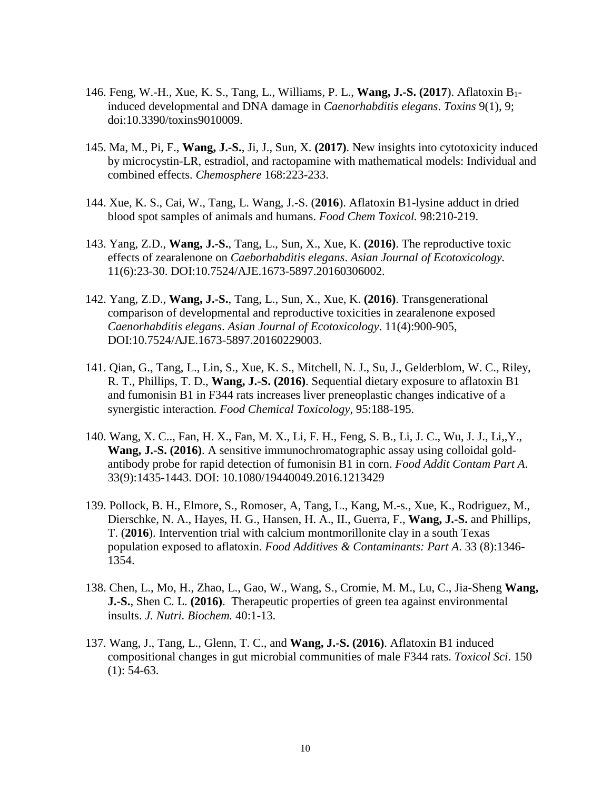- 146. Feng, W.-H., Xue, K. S., Tang, L., Williams, P. L., **Wang, J.-S. (2017**). Aflatoxin B1 induced developmental and DNA damage in *Caenorhabditis elegans*. *Toxins* 9(1), 9; doi:10.3390/toxins9010009.
- 145. Ma, M., Pi, F., **Wang, J.-S.**, Ji, J., Sun, X. **(2017)**. New insights into cytotoxicity induced by microcystin-LR, estradiol, and ractopamine with mathematical models: Individual and combined effects. *Chemosphere* 168:223-233.
- 144. Xue, K. S., Cai, W., Tang, L. Wang, J.-S. (**2016**). Aflatoxin B1-lysine adduct in dried blood spot samples of animals and humans. *Food Chem Toxicol.* 98:210-219.
- 143. Yang, Z.D., **Wang, J.-S.**, Tang, L., Sun, X., Xue, K. **(2016)**. The reproductive toxic effects of zearalenone on *Caeborhabditis elegans*. *Asian Journal of Ecotoxicology.*  11(6):23-30. DOI:10.7524/AJE.1673-5897.20160306002.
- 142. Yang, Z.D., **Wang, J.-S.**, Tang, L., Sun, X., Xue, K. **(2016)**. Transgenerational comparison of developmental and reproductive toxicities in zearalenone exposed *Caenorhabditis elegans*. *Asian Journal of Ecotoxicology*. 11(4):900-905, DOI:10.7524/AJE.1673-5897.20160229003.
- 141. Qian, G., Tang, L., Lin, S., Xue, K. S., Mitchell, N. J., Su, J., Gelderblom, W. C., Riley, R. T., Phillips, T. D., **Wang, J.-S. (2016)**. Sequential dietary exposure to aflatoxin B1 and fumonisin B1 in F344 rats increases liver preneoplastic changes indicative of a synergistic interaction. *Food Chemical Toxicology*, 95:188-195.
- 140. Wang, X. C.., Fan, H. X., Fan, M. X., Li, F. H., Feng, S. B., Li, J. C., Wu, J. J., Li,,Y., **Wang, J.-S. (2016)**. A sensitive immunochromatographic assay using colloidal goldantibody probe for rapid detection of fumonisin B1 in corn. *Food Addit Contam Part A*. 33(9):1435-1443. DOI: 10.1080/19440049.2016.1213429
- 139. Pollock, B. H., Elmore, S., Romoser, A, Tang, L., Kang, M.-s., Xue, K., Rodriguez, M., Dierschke, N. A., Hayes, H. G., Hansen, H. A., II., Guerra, F., **Wang, J.-S.** and Phillips, T. (**2016**). Intervention trial with calcium montmorillonite clay in a south Texas population exposed to aflatoxin. *Food Additives & Contaminants: Part A*. 33 (8):1346- 1354.
- 138. Chen, L., Mo, H., Zhao, L., Gao, W., Wang, S., Cromie, M. M., Lu, C., Jia-Sheng **Wang, J.-S.**, Shen C. L. **(2016)**. Therapeutic properties of green tea against environmental insults. *J. Nutri. Biochem.* 40:1-13.
- 137. Wang, J., Tang, L., Glenn, T. C., and **Wang, J.-S. (2016)**. Aflatoxin B1 induced compositional changes in gut microbial communities of male F344 rats. *Toxicol Sci*. 150  $(1): 54-63.$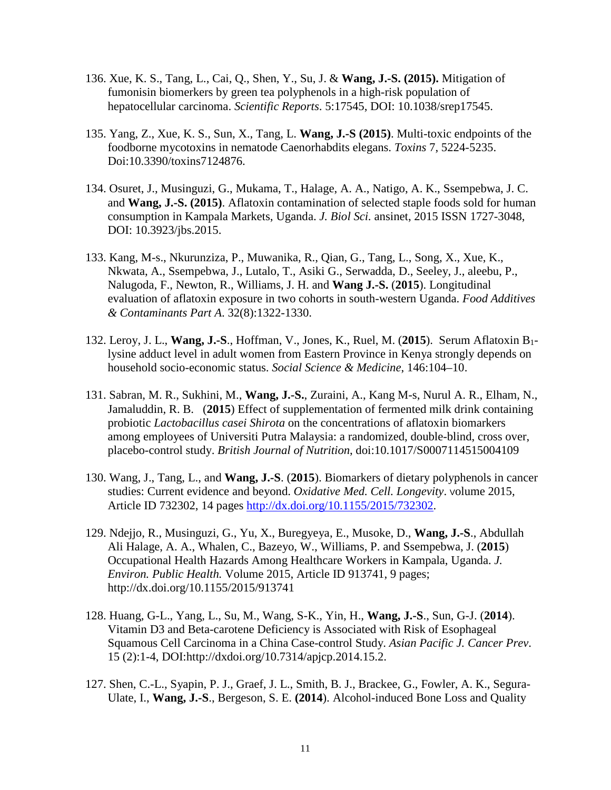- 136. Xue, K. S., Tang, L., Cai, Q., Shen, Y., Su, J. & **Wang, J.-S. (2015).** Mitigation of fumonisin biomerkers by green tea polyphenols in a high-risk population of hepatocellular carcinoma. *Scientific Reports*. 5:17545, DOI: 10.1038/srep17545.
- 135. Yang, Z., Xue, K. S., Sun, X., Tang, L. **Wang, J.-S (2015)**. Multi-toxic endpoints of the foodborne mycotoxins in nematode Caenorhabdits elegans. *Toxins* 7, 5224-5235. Doi:10.3390/toxins7124876.
- 134. Osuret, J., Musinguzi, G., Mukama, T., Halage, A. A., Natigo, A. K., Ssempebwa, J. C. and **Wang, J.-S. (2015)**. Aflatoxin contamination of selected staple foods sold for human consumption in Kampala Markets, Uganda. *J. Biol Sci.* ansinet, 2015 ISSN 1727-3048, DOI: 10.3923/jbs.2015.
- 133. Kang, M-s., Nkurunziza, P., Muwanika, R., Qian, G., Tang, L., Song, X., Xue, K., Nkwata, A., Ssempebwa, J., Lutalo, T., Asiki G., Serwadda, D., Seeley, J., aleebu, P., Nalugoda, F., Newton, R., Williams, J. H. and **Wang J.-S.** (**2015**). Longitudinal evaluation of aflatoxin exposure in two cohorts in south-western Uganda. *Food Additives & Contaminants Part A*. 32(8):1322-1330.
- 132. Leroy, J. L., **Wang, J.-S**., Hoffman, V., Jones, K., Ruel, M. (**2015**). Serum Aflatoxin B1 lysine adduct level in adult women from Eastern Province in Kenya strongly depends on household socio-economic status. *Social Science & Medicine*, 146:104–10.
- 131. Sabran, M. R., Sukhini, M., **Wang, J.-S.**, Zuraini, A., Kang M-s, Nurul A. R., Elham, N., Jamaluddin, R. B. (**2015**) Effect of supplementation of fermented milk drink containing probiotic *Lactobacillus casei Shirota* on the concentrations of aflatoxin biomarkers among employees of Universiti Putra Malaysia: a randomized, double-blind, cross over, placebo-control study. *British Journal of Nutrition*, doi:10.1017/S0007114515004109
- 130. Wang, J., Tang, L., and **Wang, J.-S**. (**2015**). Biomarkers of dietary polyphenols in cancer studies: Current evidence and beyond. *Oxidative Med. Cell. Longevity*. Volume 2015, Article ID 732302, 14 pages [http://dx.doi.org/10.1155/2015/732302.](http://dx.doi.org/10.1155/2015/732302)
- 129. Ndejjo, R., Musinguzi, G., Yu, X., Buregyeya, E., Musoke, D., **Wang, J.-S**., Abdullah Ali Halage, A. A., Whalen, C., Bazeyo, W., Williams, P. and Ssempebwa, J. (**2015**) Occupational Health Hazards Among Healthcare Workers in Kampala, Uganda. *J. Environ. Public Health.* Volume 2015, Article ID 913741, 9 pages; http://dx.doi.org/10.1155/2015/913741
- 128. Huang, G-L., Yang, L., Su, M., Wang, S-K., Yin, H., **Wang, J.-S**., Sun, G-J. (**2014**). Vitamin D3 and Beta-carotene Deficiency is Associated with Risk of Esophageal Squamous Cell Carcinoma in a China Case-control Study. *Asian Pacific J. Cancer Prev*. 15 (2):1-4, DOI:http://dxdoi.org/10.7314/apjcp.2014.15.2.
- 127. Shen, C.-L., Syapin, P. J., Graef, J. L., Smith, B. J., Brackee, G., Fowler, A. K., Segura-Ulate, I., **Wang, J.-S**., Bergeson, S. E. **(2014**). Alcohol-induced Bone Loss and Quality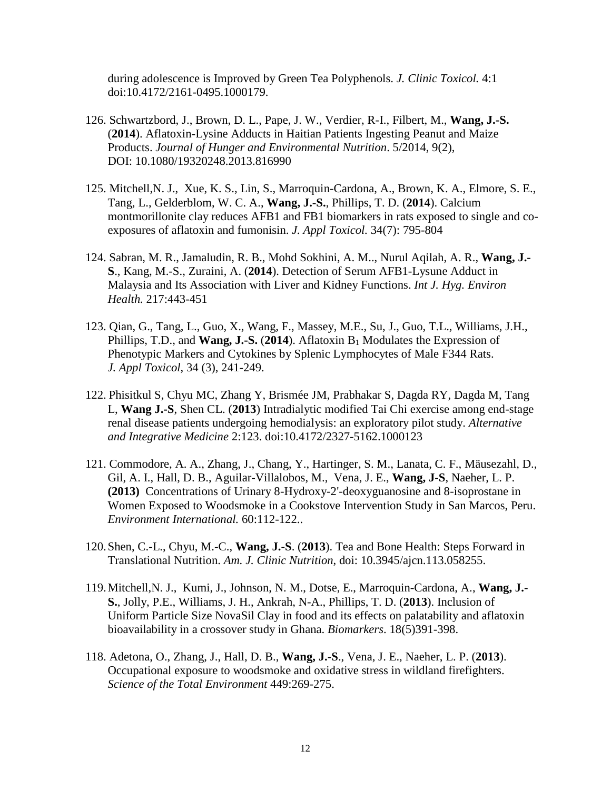during adolescence is Improved by Green Tea Polyphenols. *J. Clinic Toxicol.* 4:1 doi:10.4172/2161-0495.1000179.

- 126. Schwartzbord, J., Brown, D. L., Pape, J. W., Verdier, R-I., Filbert, M., **Wang, J.-S.** (**2014**). Aflatoxin-Lysine Adducts in Haitian Patients Ingesting Peanut and Maize Products. *Journal of Hunger and Environmental Nutrition*. 5/2014, 9(2), DOI: 10.1080/19320248.2013.816990
- 125. Mitchell,N. J., Xue, K. S., Lin, S., Marroquin-Cardona, A., Brown, K. A., Elmore, S. E., Tang, L., Gelderblom, W. C. A., **Wang, J.-S.**, Phillips, T. D. (**2014**). Calcium montmorillonite clay reduces AFB1 and FB1 biomarkers in rats exposed to single and coexposures of aflatoxin and fumonisin. *J. Appl Toxicol.* 34(7): 795-804
- 124. Sabran, M. R., Jamaludin, R. B., Mohd Sokhini, A. M.., Nurul Aqilah, A. R., **Wang, J.- S**., Kang, M.-S., Zuraini, A. (**2014**). Detection of Serum AFB1-Lysune Adduct in Malaysia and Its Association with Liver and Kidney Functions. *Int J. Hyg. Environ Health.* 217:443-451
- 123. Qian, G., Tang, L., Guo, X., Wang, F., Massey, M.E., Su, J., Guo, T.L., Williams, J.H., Phillips, T.D., and **Wang, J.-S.** (2014). Aflatoxin B<sub>1</sub> Modulates the Expression of Phenotypic Markers and Cytokines by Splenic Lymphocytes of Male F344 Rats. *J. Appl Toxicol*, 34 (3), 241-249.
- 122. Phisitkul S, Chyu MC, Zhang Y, Brismée JM, Prabhakar S, Dagda RY, Dagda M, Tang L, **Wang J.-S**, Shen CL. (**2013**) Intradialytic modified Tai Chi exercise among end-stage renal disease patients undergoing hemodialysis: an exploratory pilot study. *Alternative and Integrative Medicine* 2:123. doi:10.4172/2327-5162.1000123
- 121. Commodore, A. A., Zhang, J., Chang, Y., Hartinger, S. M., Lanata, C. F., Mäusezahl, D., Gil, A. I., Hall, D. B., Aguilar-Villalobos, M., Vena, J. E., **Wang, J-S**, Naeher, L. P. **(2013)** Concentrations of Urinary 8-Hydroxy-2'-deoxyguanosine and 8-isoprostane in Women Exposed to Woodsmoke in a Cookstove Intervention Study in San Marcos, Peru. *Environment International.* 60:112-122..
- 120.Shen, C.-L., Chyu, M.-C., **Wang, J.-S**. (**2013**). Tea and Bone Health: Steps Forward in Translational Nutrition. *Am. J. Clinic Nutrition*, doi: 10.3945/ajcn.113.058255.
- 119.Mitchell,N. J., Kumi, J., Johnson, N. M., Dotse, E., Marroquin-Cardona, A., **Wang, J.- S.**, Jolly, P.E., Williams, J. H., Ankrah, N-A., Phillips, T. D. (**2013**). Inclusion of Uniform Particle Size NovaSil Clay in food and its effects on palatability and aflatoxin bioavailability in a crossover study in Ghana. *Biomarkers*. 18(5)391-398.
- 118. Adetona, O., Zhang, J., Hall, D. B., **Wang, J.-S**., Vena, J. E., Naeher, L. P. (**2013**). Occupational exposure to woodsmoke and oxidative stress in wildland firefighters. *Science of the Total Environment* 449:269-275.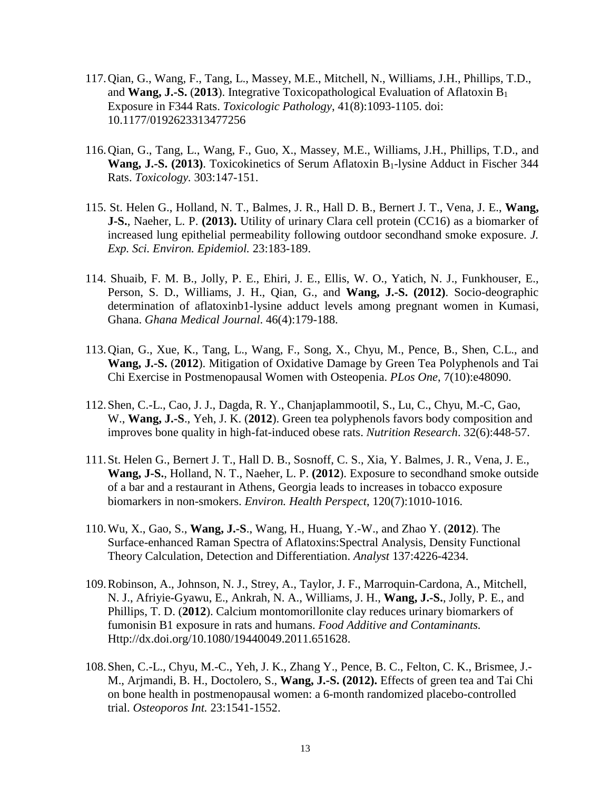- 117.Qian, G., Wang, F., Tang, L., Massey, M.E., Mitchell, N., Williams, J.H., Phillips, T.D., and **Wang, J.-S.** (**2013**). Integrative Toxicopathological Evaluation of Aflatoxin B1 Exposure in F344 Rats. *Toxicologic Pathology*, 41(8):1093-1105. doi: 10.1177/0192623313477256
- 116.Qian, G., Tang, L., Wang, F., Guo, X., Massey, M.E., Williams, J.H., Phillips, T.D., and Wang, J.-S. (2013). Toxicokinetics of Serum Aflatoxin B<sub>1</sub>-lysine Adduct in Fischer 344 Rats. *Toxicology.* 303:147-151.
- 115. St. Helen G., Holland, N. T., Balmes, J. R., Hall D. B., Bernert J. T., Vena, J. E., **Wang, J-S.**, Naeher, L. P. **(2013).** Utility of urinary Clara cell protein (CC16) as a biomarker of increased lung epithelial permeability following outdoor secondhand smoke exposure. *J. Exp. Sci. Environ. Epidemiol.* 23:183-189.
- 114. Shuaib, F. M. B., Jolly, P. E., Ehiri, J. E., Ellis, W. O., Yatich, N. J., Funkhouser, E., Person, S. D., Williams, J. H., Qian, G., and **Wang, J.-S. (2012)**. Socio-deographic determination of aflatoxinb1-lysine adduct levels among pregnant women in Kumasi, Ghana. *Ghana Medical Journal*. 46(4):179-188.
- 113.Qian, G., Xue, K., Tang, L., Wang, F., Song, X., Chyu, M., Pence, B., Shen, C.L., and **Wang, J.-S.** (**2012**). Mitigation of Oxidative Damage by Green Tea Polyphenols and Tai Chi Exercise in Postmenopausal Women with Osteopenia. *PLos One*, 7(10):e48090.
- 112.Shen, C.-L., Cao, J. J., Dagda, R. Y., Chanjaplammootil, S., Lu, C., Chyu, M.-C, Gao, W., **Wang, J.-S**., Yeh, J. K. (**2012**). Green tea polyphenols favors body composition and improves bone quality in high-fat-induced obese rats. *Nutrition Research*. 32(6):448-57.
- 111.St. Helen G., Bernert J. T., Hall D. B., Sosnoff, C. S., Xia, Y. Balmes, J. R., Vena, J. E., **Wang, J-S.**, Holland, N. T., Naeher, L. P. **(2012**). Exposure to secondhand smoke outside of a bar and a restaurant in Athens, Georgia leads to increases in tobacco exposure biomarkers in non-smokers. *Environ. Health Perspect*, 120(7):1010-1016.
- 110.Wu, X., Gao, S., **Wang, J.-S**., Wang, H., Huang, Y.-W., and Zhao Y. (**2012**). The Surface-enhanced Raman Spectra of Aflatoxins:Spectral Analysis, Density Functional Theory Calculation, Detection and Differentiation. *Analyst* 137:4226-4234.
- 109.Robinson, A., Johnson, N. J., Strey, A., Taylor, J. F., Marroquin-Cardona, A., Mitchell, N. J., Afriyie-Gyawu, E., Ankrah, N. A., Williams, J. H., **Wang, J.-S.**, Jolly, P. E., and Phillips, T. D. (**2012**). Calcium montomorillonite clay reduces urinary biomarkers of fumonisin B1 exposure in rats and humans. *Food Additive and Contaminants.* Http://dx.doi.org/10.1080/19440049.2011.651628.
- 108.Shen, C.-L., Chyu, M.-C., Yeh, J. K., Zhang Y., Pence, B. C., Felton, C. K., Brismee, J.- M., Arjmandi, B. H., Doctolero, S., **Wang, J.-S. (2012).** Effects of green tea and Tai Chi on bone health in postmenopausal women: a 6-month randomized placebo-controlled trial. *Osteoporos Int.* 23:1541-1552.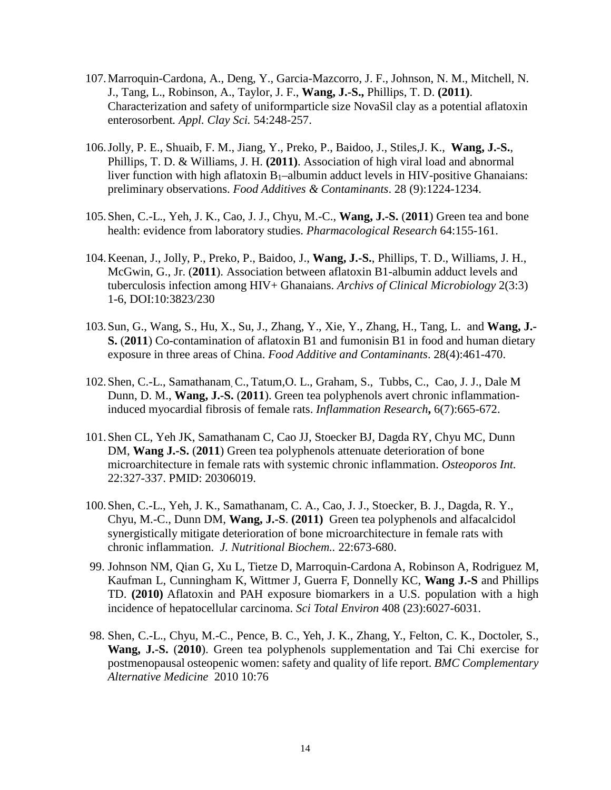- 107.Marroquin-Cardona, A., Deng, Y., Garcia-Mazcorro, J. F., Johnson, N. M., Mitchell, N. J., Tang, L., Robinson, A., Taylor, J. F., **Wang, J.-S.,** Phillips, T. D. **(2011)**. Characterization and safety of uniformparticle size NovaSil clay as a potential aflatoxin enterosorbent*. Appl. Clay Sci.* 54:248-257.
- 106.Jolly, P. E., Shuaib, F. M., Jiang, Y., Preko, P., Baidoo, J., Stiles,J. K., **Wang, J.-S.**, Phillips, T. D. & Williams, J. H. **(2011)**. Association of high viral load and abnormal liver function with high aflatoxin  $B_1$ –albumin adduct levels in HIV-positive Ghanaians: preliminary observations. *Food Additives & Contaminants*. 28 (9):1224-1234.
- 105.Shen, C.-L., Yeh, J. K., Cao, J. J., Chyu, M.-C., **Wang, J.-S.** (**2011**) Green tea and bone health: evidence from laboratory studies. *Pharmacological Research* 64:155-161.
- 104.Keenan, J., Jolly, P., Preko, P., Baidoo, J., **Wang, J.-S.**, Phillips, T. D., Williams, J. H., McGwin, G., Jr. (**2011**). Association between aflatoxin B1-albumin adduct levels and tuberculosis infection among HIV+ Ghanaians. *Archivs of Clinical Microbiology* 2(3:3) 1-6, DOI:10:3823/230
- 103.Sun, G., Wang, S., Hu, X., Su, J., Zhang, Y., Xie, Y., Zhang, H., Tang, L. and **Wang, J.- S.** (**2011**) Co-contamination of aflatoxin B1 and fumonisin B1 in food and human dietary exposure in three areas of China. *Food Additive and Contaminants*. 28(4):461-470.
- 102.Shen, C.-L., Samathanam, C., Tatum,O. L., Graham, S., Tubbs, C., Cao, J. J., Dale M Dunn, D. M., **Wang, J.-S.** (**2011**). Green tea polyphenols avert chronic inflammationinduced myocardial fibrosis of female rats. *Inflammation Research***,** 6(7):665-672.
- 101.Shen CL, Yeh JK, Samathanam C, Cao JJ, Stoecker BJ, Dagda RY, Chyu MC, Dunn DM, **Wang J.-S.** (**2011**) Green tea polyphenols attenuate deterioration of bone microarchitecture in female rats with systemic chronic inflammation. *Osteoporos Int.* 22:327-337. PMID: 20306019.
- 100.Shen, C.-L., Yeh, J. K., Samathanam, C. A., Cao, J. J., Stoecker, B. J., Dagda, R. Y., Chyu, M.-C., Dunn DM, **Wang, J.-S**. **(2011)** Green tea polyphenols and alfacalcidol synergistically mitigate deterioration of bone microarchitecture in female rats with chronic inflammation. *J. Nutritional Biochem..* 22:673-680.
- 99. Johnson NM, Qian G, Xu L, Tietze D, Marroquin-Cardona A, Robinson A, Rodriguez M, Kaufman L, Cunningham K, Wittmer J, Guerra F, Donnelly KC, **Wang J.-S** and Phillips TD. **(2010)** Aflatoxin and PAH exposure biomarkers in a U.S. population with a high incidence of hepatocellular carcinoma. *Sci Total Environ* 408 (23):6027-6031.
- 98. Shen, C.-L., Chyu, M.-C., Pence, B. C., Yeh, J. K., Zhang, Y., Felton, C. K., Doctoler, S., **Wang, J.-S.** (**2010**). Green tea polyphenols supplementation and Tai Chi exercise for postmenopausal osteopenic women: safety and quality of life report. *BMC Complementary Alternative Medicine* 2010 10:76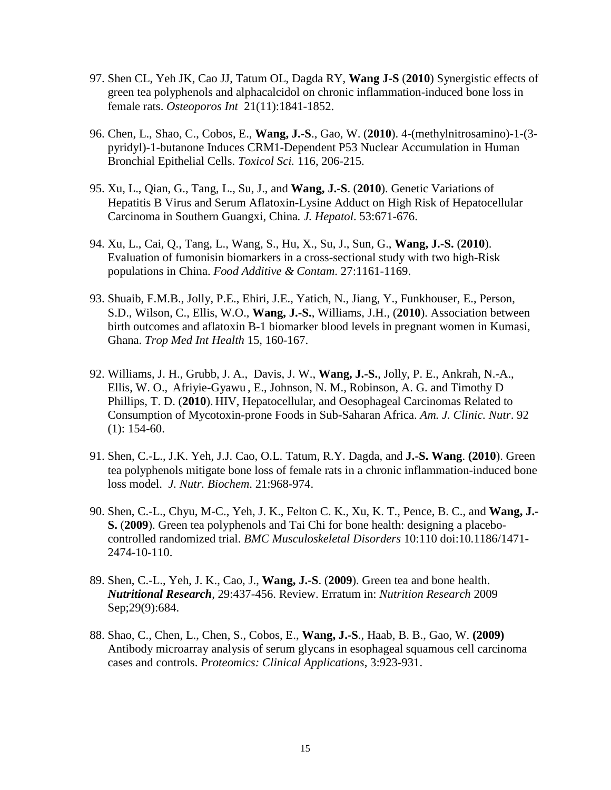- 97. Shen CL, Yeh JK, Cao JJ, Tatum OL, Dagda RY, **Wang J-S** (**2010**) Synergistic effects of green tea polyphenols and alphacalcidol on chronic inflammation-induced bone loss in female rats. *Osteoporos Int* 21(11):1841-1852.
- 96. Chen, L., Shao, C., Cobos, E., **Wang, J.-S**., Gao, W. (**2010**). 4-(methylnitrosamino)-1-(3 pyridyl)-1-butanone Induces CRM1-Dependent P53 Nuclear Accumulation in Human Bronchial Epithelial Cells. *Toxicol Sci.* 116, 206-215.
- 95. Xu, L., Qian, G., Tang, L., Su, J., and **Wang, J.-S**. (**2010**). Genetic Variations of Hepatitis B Virus and Serum Aflatoxin-Lysine Adduct on High Risk of Hepatocellular Carcinoma in Southern Guangxi, China*. J. Hepatol*. 53:671-676.
- 94. Xu, L., Cai, Q., Tang, L., Wang, S., Hu, X., Su, J., Sun, G., **Wang, J.-S.** (**2010**). Evaluation of fumonisin biomarkers in a cross-sectional study with two high-Risk populations in China. *Food Additive & Contam*. 27:1161-1169.
- 93. Shuaib, F.M.B., Jolly, P.E., Ehiri, J.E., Yatich, N., Jiang, Y., Funkhouser, E., Person, S.D., Wilson, C., Ellis, W.O., **Wang, J.-S.**, Williams, J.H., (**2010**). Association between birth outcomes and aflatoxin B-1 biomarker blood levels in pregnant women in Kumasi, Ghana. *Trop Med Int Health* 15, 160-167.
- 92. Williams, J. H., Grubb, J. A., Davis, J. W., **Wang, J.-S.**, Jolly, P. E., Ankrah, N.-A., Ellis, W. O., Afriyie-Gyawu , E., Johnson, N. M., Robinson, A. G. and Timothy D Phillips, T. D. (**2010**). HIV, Hepatocellular, and Oesophageal Carcinomas Related to Consumption of Mycotoxin-prone Foods in Sub-Saharan Africa. *Am. J. Clinic. Nutr*. 92  $(1): 154-60.$
- 91. Shen, C.-L., J.K. Yeh, J.J. Cao, O.L. Tatum, R.Y. Dagda, and **J.-S. Wang**. **(2010**). Green tea polyphenols mitigate bone loss of female rats in a chronic inflammation-induced bone loss model. *J. Nutr. Biochem*. 21:968-974.
- 90. Shen, C.-L., Chyu, M-C., Yeh, J. K., Felton C. K., Xu, K. T., Pence, B. C., and **Wang, J.- S.** (**2009**). Green tea polyphenols and Tai Chi for bone health: designing a placebocontrolled randomized trial. *BMC Musculoskeletal Disorders* 10:110 doi:10.1186/1471- 2474-10-110.
- 89. Shen, C.-L., Yeh, J. K., Cao, J., **Wang, J.-S**. (**2009**). Green tea and bone health. *Nutritional Research*, 29:437-456. Review. Erratum in: *Nutrition Research* 2009 Sep;29(9):684.
- 88. Shao, C., Chen, L., Chen, S., Cobos, E., **Wang, J.-S**., Haab, B. B., Gao, W. **(2009)**  Antibody microarray analysis of serum glycans in esophageal squamous cell carcinoma cases and controls. *Proteomics: Clinical Applications*, 3:923-931.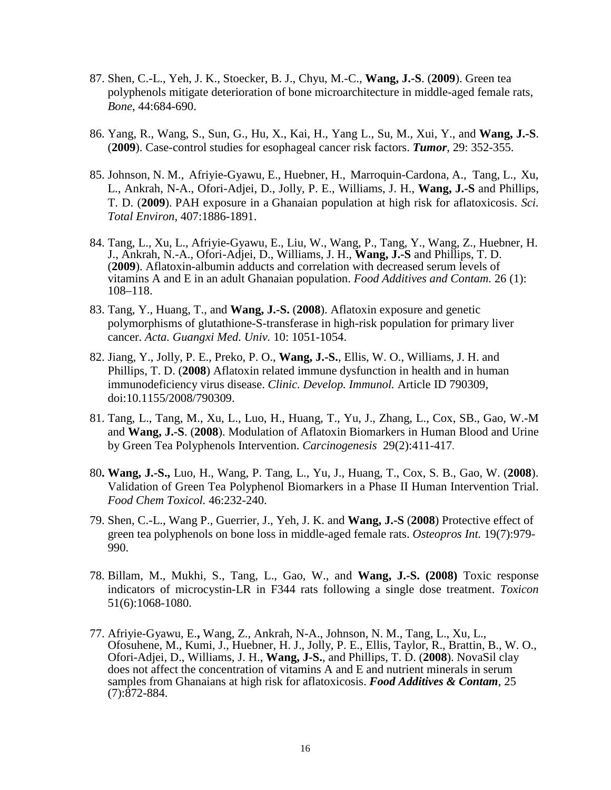- 87. Shen, C.-L., Yeh, J. K., Stoecker, B. J., Chyu, M.-C., **Wang, J.-S**. (**2009**). Green tea polyphenols mitigate deterioration of bone microarchitecture in middle-aged female rats, *Bone*, 44:684-690.
- 86. Yang, R., Wang, S., Sun, G., Hu, X., Kai, H., Yang L., Su, M., Xui, Y., and **Wang, J.-S**. (**2009**). Case-control studies for esophageal cancer risk factors. *Tumor*, 29: 352-355.
- 85. Johnson, N. M., Afriyie-Gyawu, E., Huebner, H., Marroquin-Cardona, A., Tang, L., Xu, L., Ankrah, N-A., Ofori-Adjei, D., Jolly, P. E., Williams, J. H., **Wang, J.-S** and Phillips, T. D. (**2009**). PAH exposure in a Ghanaian population at high risk for aflatoxicosis. *Sci. Total Environ*, 407:1886-1891.
- 84. Tang, L., Xu, L., Afriyie-Gyawu, E., Liu, W., Wang, P., Tang, Y., Wang, Z., Huebner, H. J., Ankrah, N.-A., Ofori-Adjei, D., Williams, J. H., **Wang, J.-S** and Phillips, T. D. (**2009**). Aflatoxin-albumin adducts and correlation with decreased serum levels of vitamins A and E in an adult Ghanaian population. *Food Additives and Contam.* 26 (1): 108–118.
- 83. Tang, Y., Huang, T., and **Wang, J.-S.** (**2008**). Aflatoxin exposure and genetic polymorphisms of glutathione-S-transferase in high-risk population for primary liver cancer. *Acta. Guangxi Med. Univ.* 10: 1051-1054.
- 82. Jiang, Y., Jolly, P. E., Preko, P. O., **Wang, J.-S.**, Ellis, W. O., Williams, J. H. and Phillips, T. D. (**2008**) Aflatoxin related immune dysfunction in health and in human immunodeficiency virus disease. *Clinic. Develop. Immunol.* Article ID 790309, doi:10.1155/2008/790309.
- 81. Tang, L., Tang, M., Xu, L., Luo, H., Huang, T., Yu, J., Zhang, L., Cox, SB., Gao, W.-M and **Wang, J.-S**. (**2008**). Modulation of Aflatoxin Biomarkers in Human Blood and Urine by Green Tea Polyphenols Intervention. *Carcinogenesis* 29(2):411-417.
- 80**. Wang, J.-S.,** Luo, H., Wang, P. Tang, L., Yu, J., Huang, T., Cox, S. B., Gao, W. (**2008**). Validation of Green Tea Polyphenol Biomarkers in a Phase II Human Intervention Trial. *Food Chem Toxicol.* 46:232-240.
- 79. Shen, C.-L., Wang P., Guerrier, J., Yeh, J. K. and **Wang, J.-S** (**2008**) Protective effect of green tea polyphenols on bone loss in middle-aged female rats. *Osteopros Int.* 19(7):979- 990.
- 78. Billam, M., Mukhi, S., Tang, L., Gao, W., and **Wang, J.-S. (2008)** Toxic response indicators of microcystin-LR in F344 rats following a single dose treatment. *Toxicon* 51(6):1068-1080.
- 77. Afriyie-Gyawu, E.**,** Wang, Z., Ankrah, N-A., Johnson, N. M., Tang, L., Xu, L., Ofosuhene, M., Kumi, J., Huebner, H. J., Jolly, P. E., Ellis, Taylor, R., Brattin, B., W. O., Ofori-Adjei, D., Williams, J. H., **Wang, J-S.**, and Phillips, T. D. (**2008**). NovaSil clay does not affect the concentration of vitamins A and E and nutrient minerals in serum samples from Ghanaians at high risk for aflatoxicosis. *Food Additives & Contam*, 25  $(7):872-884.$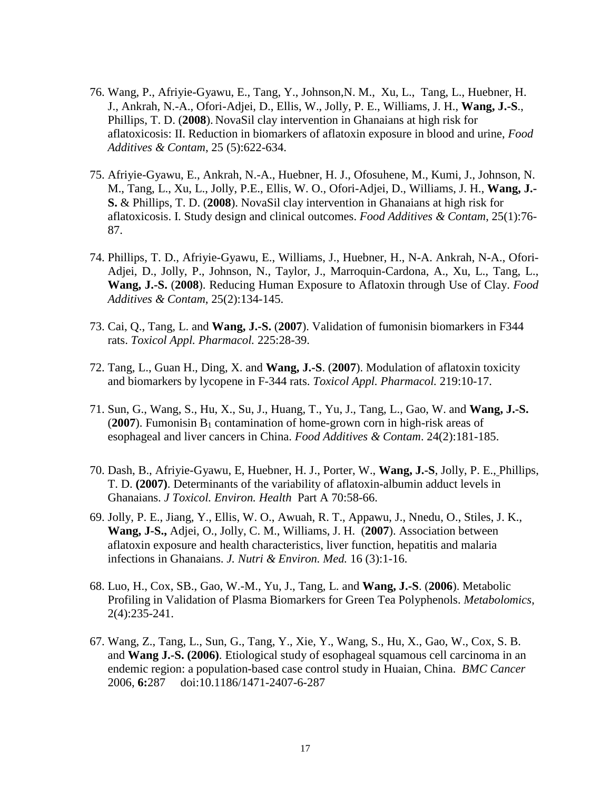- 76. Wang, P., Afriyie-Gyawu, E., Tang, Y., Johnson,N. M., Xu, L., Tang, L., Huebner, H. J., Ankrah, N.-A., Ofori-Adjei, D., Ellis, W., Jolly, P. E., Williams, J. H., **Wang, J.-S**., Phillips, T. D. (**2008**). NovaSil clay intervention in Ghanaians at high risk for aflatoxicosis: II. Reduction in biomarkers of aflatoxin exposure in blood and urine, *Food Additives & Contam*, 25 (5):622-634.
- 75. Afriyie-Gyawu, E., Ankrah, N.-A., Huebner, H. J., Ofosuhene, M., Kumi, J., Johnson, N. M., Tang, L., Xu, L., Jolly, P.E., Ellis, W. O., Ofori-Adjei, D., Williams, J. H., **Wang, J.- S.** & Phillips, T. D. (**2008**). NovaSil clay intervention in Ghanaians at high risk for aflatoxicosis. I. Study design and clinical outcomes. *Food Additives & Contam*, 25(1):76- 87.
- 74. Phillips, T. D., Afriyie-Gyawu, E., Williams, J., Huebner, H., N-A. Ankrah, N-A., Ofori-Adjei, D., Jolly, P., Johnson, N., Taylor, J., Marroquin-Cardona, A., Xu, L., Tang, L., **Wang, J.-S.** (**2008**). Reducing Human Exposure to Aflatoxin through Use of Clay. *Food Additives & Contam*, 25(2):134-145.
- 73. Cai, Q., Tang, L. and **Wang, J.-S.** (**2007**). Validation of fumonisin biomarkers in F344 rats. *Toxicol Appl. Pharmacol.* 225:28-39.
- 72. Tang, L., Guan H., Ding, X. and **Wang, J.-S**. (**2007**). Modulation of aflatoxin toxicity and biomarkers by lycopene in F-344 rats. *Toxicol Appl. Pharmacol.* 219:10-17.
- 71. Sun, G., Wang, S., Hu, X., Su, J., Huang, T., Yu, J., Tang, L., Gao, W. and **Wang, J.-S.** ( $2007$ ). Fumonisin  $B_1$  contamination of home-grown corn in high-risk areas of esophageal and liver cancers in China. *Food Additives & Contam*. 24(2):181-185.
- 70. Dash, B., Afriyie-Gyawu, E, Huebner, H. J., Porter, W., **Wang, J.-S**, Jolly, P. E., Phillips, T. D. **(2007)**. Determinants of the variability of aflatoxin-albumin adduct levels in Ghanaians. *J Toxicol. Environ. Health* Part A 70:58-66.
- 69. Jolly, P. E., Jiang, Y., Ellis, W. O., Awuah, R. T., Appawu, J., Nnedu, O., Stiles, J. K., **Wang, J-S.,** Adjei, O., Jolly, C. M., Williams, J. H. (**2007**). Association between aflatoxin exposure and health characteristics, liver function, hepatitis and malaria infections in Ghanaians. *J. Nutri & Environ. Med.* 16 (3):1-16.
- 68. Luo, H., Cox, SB., Gao, W.-M., Yu, J., Tang, L. and **Wang, J.-S**. (**2006**). Metabolic Profiling in Validation of Plasma Biomarkers for Green Tea Polyphenols. *Metabolomics*, 2(4):235-241.
- 67. Wang, Z., Tang, L., Sun, G., Tang, Y., Xie, Y., Wang, S., Hu, X., Gao, W., Cox, S. B. and **Wang J.-S. (2006)**. Etiological study of esophageal squamous cell carcinoma in an endemic region: a population-based case control study in Huaian, China. *BMC Cancer* 2006, **6:**287 doi:10.1186/1471-2407-6-287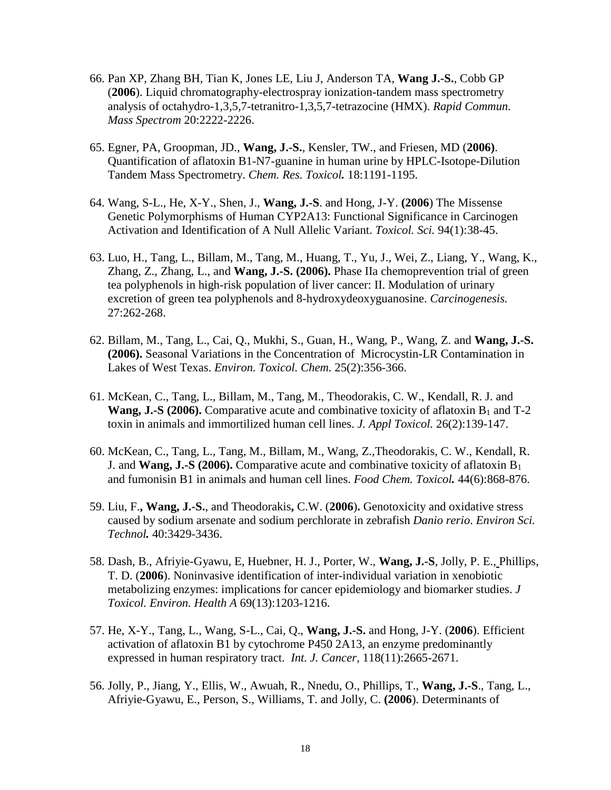- 66. Pan XP, Zhang BH, Tian K, Jones LE, Liu J, Anderson TA, **Wang J.-S.**, Cobb GP (**2006**). Liquid chromatography-electrospray ionization-tandem mass spectrometry analysis of octahydro-1,3,5,7-tetranitro-1,3,5,7-tetrazocine (HMX). *Rapid Commun. Mass Spectrom* 20:2222-2226.
- 65. Egner, PA, Groopman, JD., **Wang, J.-S.**, Kensler, TW., and Friesen, MD (**2006)**. Quantification of aflatoxin B1-N7-guanine in human urine by HPLC-Isotope-Dilution Tandem Mass Spectrometry. *Chem. Res. Toxicol.* 18:1191-1195.
- 64. Wang, S-L., He, X-Y., Shen, J., **Wang, J.-S**. and Hong, J-Y. **(2006**) The Missense Genetic Polymorphisms of Human CYP2A13: Functional Significance in Carcinogen Activation and Identification of A Null Allelic Variant. *Toxicol. Sci.* 94(1):38-45.
- 63. Luo, H., Tang, L., Billam, M., Tang, M., Huang, T., Yu, J., Wei, Z., Liang, Y., Wang, K., Zhang, Z., Zhang, L., and **Wang, J.-S. (2006).** Phase IIa chemoprevention trial of green tea polyphenols in high-risk population of liver cancer: II. Modulation of urinary excretion of green tea polyphenols and 8-hydroxydeoxyguanosine. *Carcinogenesis.* 27:262-268.
- 62. Billam, M., Tang, L., Cai, Q., Mukhi, S., Guan, H., Wang, P., Wang, Z. and **Wang, J.-S. (2006).** Seasonal Variations in the Concentration of Microcystin-LR Contamination in Lakes of West Texas. *Environ. Toxicol. Chem.* 25(2):356-366.
- 61. McKean, C., Tang, L., Billam, M., Tang, M., Theodorakis, C. W., Kendall, R. J. and **Wang, J.-S** (2006). Comparative acute and combinative toxicity of aflatoxin  $B_1$  and  $T-2$ toxin in animals and immortilized human cell lines. *J. Appl Toxicol.* 26(2):139-147.
- 60. McKean, C., Tang, L., Tang, M., Billam, M., Wang, Z.,Theodorakis, C. W., Kendall, R. J. and **Wang, J.-S (2006).** Comparative acute and combinative toxicity of aflatoxin B1 and fumonisin B1 in animals and human cell lines. *Food Chem. Toxicol.* 44(6):868-876.
- 59. Liu, F.**, Wang, J.-S.**, and Theodorakis**,** C.W. (**2006**)**.** Genotoxicity and oxidative stress caused by sodium arsenate and sodium perchlorate in zebrafish *Danio rerio*. *Environ Sci. Technol.* 40:3429-3436.
- 58. Dash, B., Afriyie-Gyawu, E, Huebner, H. J., Porter, W., **Wang, J.-S**, Jolly, P. E., Phillips, T. D. (**2006**). Noninvasive identification of inter-individual variation in xenobiotic metabolizing enzymes: implications for cancer epidemiology and biomarker studies. *J Toxicol. Environ. Health A* 69(13):1203-1216.
- 57. He, X-Y., Tang, L., Wang, S-L., Cai, Q., **Wang, J.-S.** and Hong, J-Y. (**2006**). Efficient activation of aflatoxin B1 by cytochrome P450 2A13, an enzyme predominantly expressed in human respiratory tract. *Int. J. Cancer,* 118(11):2665-2671.
- 56. Jolly, P., Jiang, Y., Ellis, W., Awuah, R., Nnedu, O., Phillips, T., **Wang, J.-S**., Tang, L., Afriyie-Gyawu, E., Person, S., Williams, T. and Jolly, C. **(2006**). Determinants of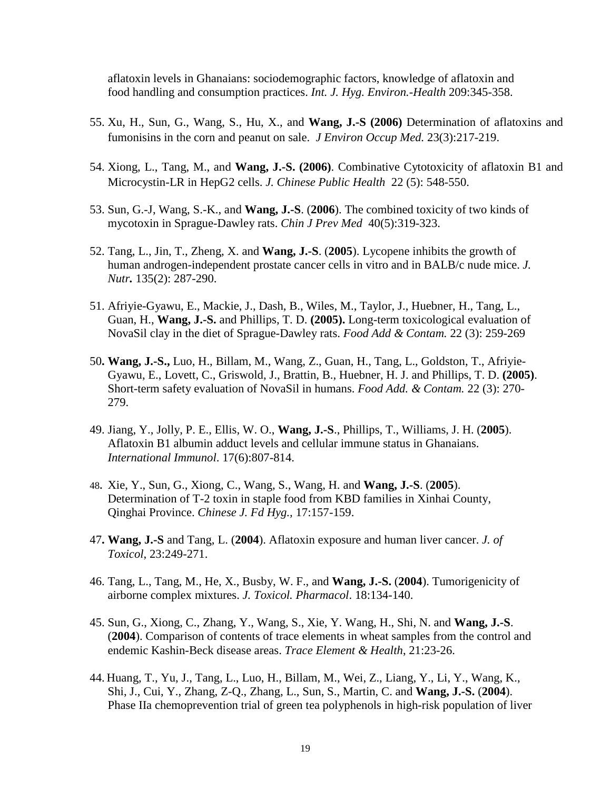aflatoxin levels in Ghanaians: sociodemographic factors, knowledge of aflatoxin and food handling and consumption practices. *Int. J. Hyg. Environ.-Health* 209:345-358.

- 55. Xu, H., Sun, G., Wang, S., Hu, X., and **Wang, J.-S (2006)** Determination of aflatoxins and fumonisins in the corn and peanut on sale. *J Environ Occup Med.* 23(3):217-219.
- 54. Xiong, L., Tang, M., and **Wang, J.-S. (2006)**. Combinative Cytotoxicity of aflatoxin B1 and Microcystin-LR in HepG2 cells. *J. Chinese Public Health* 22 (5): 548-550.
- 53. Sun, G.-J, Wang, S.-K., and **Wang, J.-S**. (**2006**). The combined toxicity of two kinds of mycotoxin in Sprague-Dawley rats. *Chin J Prev Med* 40(5):319-323.
- 52. Tang, L., Jin, T., Zheng, X. and **Wang, J.-S**. (**2005**). Lycopene inhibits the growth of human androgen-independent prostate cancer cells in vitro and in BALB/c nude mice. *J. Nutr.* 135(2): 287-290.
- 51. Afriyie-Gyawu, E., Mackie, J., Dash, B., Wiles, M., Taylor, J., Huebner, H., Tang, L., Guan, H., **Wang, J.-S.** and Phillips, T. D. **(2005).** Long-term toxicological evaluation of NovaSil clay in the diet of Sprague-Dawley rats. *Food Add & Contam.* 22 (3): 259-269
- 50**. Wang, J.-S.,** Luo, H., Billam, M., Wang, Z., Guan, H., Tang, L., Goldston, T., Afriyie-Gyawu, E., Lovett, C., Griswold, J., Brattin, B., Huebner, H. J. and Phillips, T. D. **(2005)**. Short-term safety evaluation of NovaSil in humans. *Food Add. & Contam.* 22 (3): 270- 279.
- 49. Jiang, Y., Jolly, P. E., Ellis, W. O., **Wang, J.-S**., Phillips, T., Williams, J. H. (**2005**). Aflatoxin B1 albumin adduct levels and cellular immune status in Ghanaians. *International Immunol*. 17(6):807-814.
- 48**.** Xie, Y., Sun, G., Xiong, C., Wang, S., Wang, H. and **Wang, J.-S**. (**2005**). Determination of T-2 toxin in staple food from KBD families in Xinhai County, Qinghai Province. *Chinese J. Fd Hyg.,* 17:157-159.
- 47**. Wang, J.-S** and Tang, L. (**2004**). Aflatoxin exposure and human liver cancer. *J. of Toxicol*, 23:249-271.
- 46. Tang, L., Tang, M., He, X., Busby, W. F., and **Wang, J.-S.** (**2004**). Tumorigenicity of airborne complex mixtures. *J. Toxicol. Pharmacol*. 18:134-140.
- 45. Sun, G., Xiong, C., Zhang, Y., Wang, S., Xie, Y. Wang, H., Shi, N. and **Wang, J.-S**. (**2004**). Comparison of contents of trace elements in wheat samples from the control and endemic Kashin-Beck disease areas. *Trace Element & Health*, 21:23-26.
- 44. Huang, T., Yu, J., Tang, L., Luo, H., Billam, M., Wei, Z., Liang, Y., Li, Y., Wang, K., Shi, J., Cui, Y., Zhang, Z-Q., Zhang, L., Sun, S., Martin, C. and **Wang, J.-S.** (**2004**). Phase IIa chemoprevention trial of green tea polyphenols in high-risk population of liver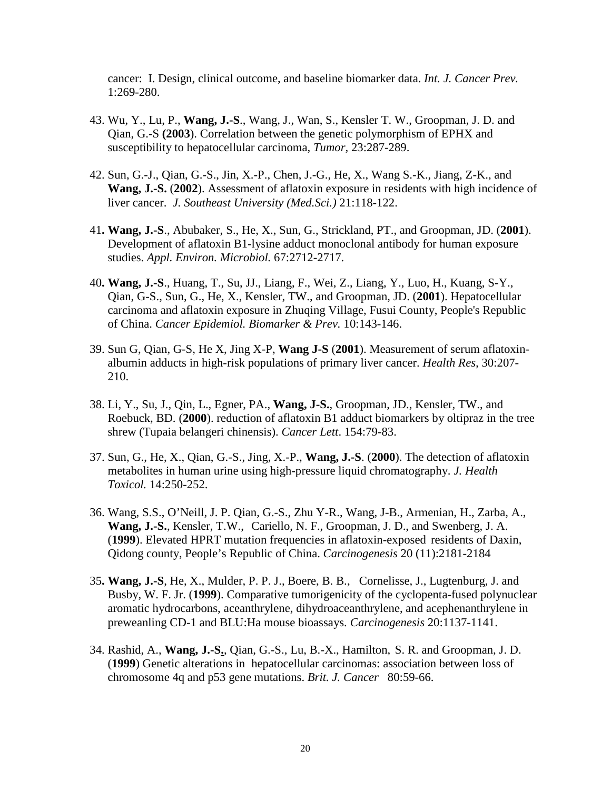cancer: I. Design, clinical outcome, and baseline biomarker data. *Int. J. Cancer Prev.* 1:269-280.

- 43. Wu, Y., Lu, P., **Wang, J.-S**., Wang, J., Wan, S., Kensler T. W., Groopman, J. D. and Qian, G.-S **(2003**). Correlation between the genetic polymorphism of EPHX and susceptibility to hepatocellular carcinoma, *Tumor,* 23:287-289.
- 42. Sun, G.-J., Qian, G.-S., Jin, X.-P., Chen, J.-G., He, X., Wang S.-K., Jiang, Z-K., and **Wang, J.-S.** (**2002**). Assessment of aflatoxin exposure in residents with high incidence of liver cancer. *J. Southeast University (Med.Sci.)* 21:118-122.
- 41**. Wang, J.-S**., Abubaker, S., He, X., Sun, G., Strickland, PT., and Groopman, JD. (**2001**). Development of aflatoxin B1-lysine adduct monoclonal antibody for human exposure studies. *Appl. Environ. Microbiol.* 67:2712-2717.
- 40**. Wang, J.-S**., Huang, T., Su, JJ., Liang, F., Wei, Z., Liang, Y., Luo, H., Kuang, S-Y., Qian, G-S., Sun, G., He, X., Kensler, TW., and Groopman, JD. (**2001**). Hepatocellular carcinoma and aflatoxin exposure in Zhuqing Village, Fusui County, People's Republic of China. *Cancer Epidemiol. Biomarker & Prev.* 10:143-146.
- 39. Sun G, Qian, G-S, He X, Jing X-P, **Wang J-S** (**2001**). Measurement of serum aflatoxinalbumin adducts in high-risk populations of primary liver cancer. *Health Res,* 30:207- 210.
- 38. Li, Y., Su, J., Qin, L., Egner, PA., **Wang, J-S.**, Groopman, JD., Kensler, TW., and Roebuck, BD. (**2000**). reduction of aflatoxin B1 adduct biomarkers by oltipraz in the tree shrew (Tupaia belangeri chinensis). *Cancer Lett*. 154:79-83.
- 37. Sun, G., He, X., Qian, G.-S., Jing, X.-P., **Wang, J.-S**. (**2000**). The detection of aflatoxin metabolites in human urine using high-pressure liquid chromatography. *J. Health Toxicol.* 14:250-252.
- 36. Wang, S.S., O'Neill, J. P. Qian, G.-S., Zhu Y-R., Wang, J-B., Armenian, H., Zarba, A., **Wang, J.-S.**, Kensler, T.W., Cariello, N. F., Groopman, J. D., and Swenberg, J. A. (**1999**). Elevated HPRT mutation frequencies in aflatoxin-exposed residents of Daxin, Qidong county, People's Republic of China. *Carcinogenesis* 20 (11):2181-2184
- 35**. Wang, J.-S**, He, X., Mulder, P. P. J., Boere, B. B., Cornelisse, J., Lugtenburg, J. and Busby, W. F. Jr. (**1999**). Comparative tumorigenicity of the cyclopenta-fused polynuclear aromatic hydrocarbons, aceanthrylene, dihydroaceanthrylene, and acephenanthrylene in preweanling CD-1 and BLU:Ha mouse bioassays. *Carcinogenesis* 20:1137-1141.
- 34. Rashid, A., **Wang, J.-S.**, Qian, G.-S., Lu, B.-X., Hamilton, S. R. and Groopman, J. D. (**1999**) Genetic alterations in hepatocellular carcinomas: association between loss of chromosome 4q and p53 gene mutations. *Brit. J. Cancer* 80:59-66.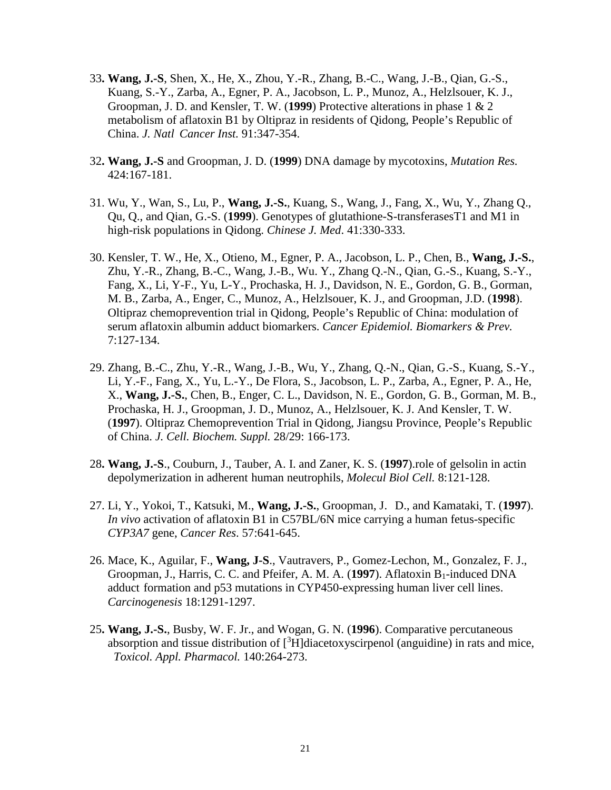- 33**. Wang, J.-S**, Shen, X., He, X., Zhou, Y.-R., Zhang, B.-C., Wang, J.-B., Qian, G.-S., Kuang, S.-Y., Zarba, A., Egner, P. A., Jacobson, L. P., Munoz, A., Helzlsouer, K. J., Groopman, J. D. and Kensler, T. W. (**1999**) Protective alterations in phase 1 & 2 metabolism of aflatoxin B1 by Oltipraz in residents of Qidong, People's Republic of China. *J. Natl Cancer Inst.* 91:347-354.
- 32**. Wang, J.-S** and Groopman, J. D. (**1999**) DNA damage by mycotoxins, *Mutation Res.* 424:167-181.
- 31. Wu, Y., Wan, S., Lu, P., **Wang, J.-S.**, Kuang, S., Wang, J., Fang, X., Wu, Y., Zhang Q., Qu, Q., and Qian, G.-S. (**1999**). Genotypes of glutathione-S-transferasesT1 and M1 in high-risk populations in Qidong. *Chinese J. Med*. 41:330-333.
- 30. Kensler, T. W., He, X., Otieno, M., Egner, P. A., Jacobson, L. P., Chen, B., **Wang, J.-S.**, Zhu, Y.-R., Zhang, B.-C., Wang, J.-B., Wu. Y., Zhang Q.-N., Qian, G.-S., Kuang, S.-Y., Fang, X., Li, Y-F., Yu, L-Y., Prochaska, H. J., Davidson, N. E., Gordon, G. B., Gorman, M. B., Zarba, A., Enger, C., Munoz, A., Helzlsouer, K. J., and Groopman, J.D. (**1998**). Oltipraz chemoprevention trial in Qidong, People's Republic of China: modulation of serum aflatoxin albumin adduct biomarkers. *Cancer Epidemiol. Biomarkers & Prev.* 7:127-134.
- 29. Zhang, B.-C., Zhu, Y.-R., Wang, J.-B., Wu, Y., Zhang, Q.-N., Qian, G.-S., Kuang, S.-Y., Li, Y.-F., Fang, X., Yu, L.-Y., De Flora, S., Jacobson, L. P., Zarba, A., Egner, P. A., He, X., **Wang, J.-S.**, Chen, B., Enger, C. L., Davidson, N. E., Gordon, G. B., Gorman, M. B., Prochaska, H. J., Groopman, J. D., Munoz, A., Helzlsouer, K. J. And Kensler, T. W. (**1997**). Oltipraz Chemoprevention Trial in Qidong, Jiangsu Province, People's Republic of China. *J. Cell. Biochem. Suppl.* 28/29: 166-173.
- 28**. Wang, J.-S**., Couburn, J., Tauber, A. I. and Zaner, K. S. (**1997**).role of gelsolin in actin depolymerization in adherent human neutrophils, *Molecul Biol Cell.* 8:121-128.
- 27. Li, Y., Yokoi, T., Katsuki, M., **Wang, J.-S.**, Groopman, J. D., and Kamataki, T. (**1997**). *In vivo* activation of aflatoxin B1 in C57BL/6N mice carrying a human fetus-specific *CYP3A7* gene, *Cancer Res*. 57:641-645.
- 26. Mace, K., Aguilar, F., **Wang, J-S**., Vautravers, P., Gomez-Lechon, M., Gonzalez, F. J., Groopman, J., Harris, C. C. and Pfeifer, A. M. A. (1997). Aflatoxin B<sub>1</sub>-induced DNA adduct formation and p53 mutations in CYP450-expressing human liver cell lines. *Carcinogenesis* 18:1291-1297.
- 25**. Wang, J.-S.**, Busby, W. F. Jr., and Wogan, G. N. (**1996**). Comparative percutaneous absorption and tissue distribution of  $[^3H]$ diacetoxyscirpenol (anguidine) in rats and mice, *Toxicol. Appl. Pharmacol.* 140:264-273.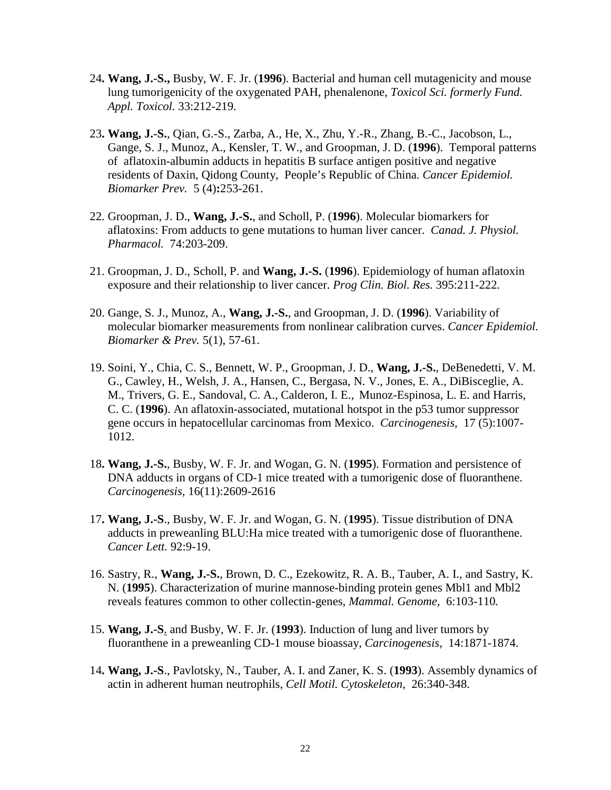- 24**. Wang, J.-S.,** Busby, W. F. Jr. (**1996**). Bacterial and human cell mutagenicity and mouse lung tumorigenicity of the oxygenated PAH, phenalenone, *Toxicol Sci. formerly Fund. Appl. Toxicol.* 33:212-219.
- 23**. Wang, J.-S.**, Qian, G.-S., Zarba, A., He, X., Zhu, Y.-R., Zhang, B.-C., Jacobson, L., Gange, S. J., Munoz, A., Kensler, T. W., and Groopman, J. D. (**1996**). Temporal patterns of aflatoxin-albumin adducts in hepatitis B surface antigen positive and negative residents of Daxin, Qidong County, People's Republic of China. *Cancer Epidemiol. Biomarker Prev.* 5 (4)**:**253-261.
- 22. Groopman, J. D., **Wang, J.-S.**, and Scholl, P. (**1996**). Molecular biomarkers for aflatoxins: From adducts to gene mutations to human liver cancer. *Canad. J. Physiol. Pharmacol.* 74:203-209.
- 21. Groopman, J. D., Scholl, P. and **Wang, J.-S.** (**1996**). Epidemiology of human aflatoxin exposure and their relationship to liver cancer. *Prog Clin. Biol. Res.* 395:211-222.
- 20. Gange, S. J., Munoz, A., **Wang, J.-S.**, and Groopman, J. D. (**1996**). Variability of molecular biomarker measurements from nonlinear calibration curves. *Cancer Epidemiol. Biomarker & Prev.* 5(1), 57-61.
- 19. Soini, Y., Chia, C. S., Bennett, W. P., Groopman, J. D., **Wang, J.-S.**, DeBenedetti, V. M. G., Cawley, H., Welsh, J. A., Hansen, C., Bergasa, N. V., Jones, E. A., DiBisceglie, A. M., Trivers, G. E., Sandoval, C. A., Calderon, I. E., Munoz-Espinosa, L. E. and Harris, C. C. (**1996**). An aflatoxin-associated, mutational hotspot in the p53 tumor suppressor gene occurs in hepatocellular carcinomas from Mexico. *Carcinogenesis,* 17 (5):1007- 1012.
- 18**. Wang, J.-S.**, Busby, W. F. Jr. and Wogan, G. N. (**1995**). Formation and persistence of DNA adducts in organs of CD-1 mice treated with a tumorigenic dose of fluoranthene. *Carcinogenesis,* 16(11):2609-2616
- 17**. Wang, J.-S**., Busby, W. F. Jr. and Wogan, G. N. (**1995**). Tissue distribution of DNA adducts in preweanling BLU:Ha mice treated with a tumorigenic dose of fluoranthene. *Cancer Lett.* 92:9-19.
- 16. Sastry, R., **Wang, J.-S.**, Brown, D. C., Ezekowitz, R. A. B., Tauber, A. I., and Sastry, K. N. (**1995**). Characterization of murine mannose-binding protein genes Mbl1 and Mbl2 reveals features common to other collectin-genes, *Mammal. Genome,* 6:103-110*.*
- 15. **Wang, J.-S**. and Busby, W. F. Jr. (**1993**). Induction of lung and liver tumors by fluoranthene in a preweanling CD-1 mouse bioassay, *Carcinogenesis*, 14:1871-1874.
- 14**. Wang, J.-S**., Pavlotsky, N., Tauber, A. I. and Zaner, K. S. (**1993**). Assembly dynamics of actin in adherent human neutrophils, *Cell Motil. Cytoskeleton*, 26:340-348.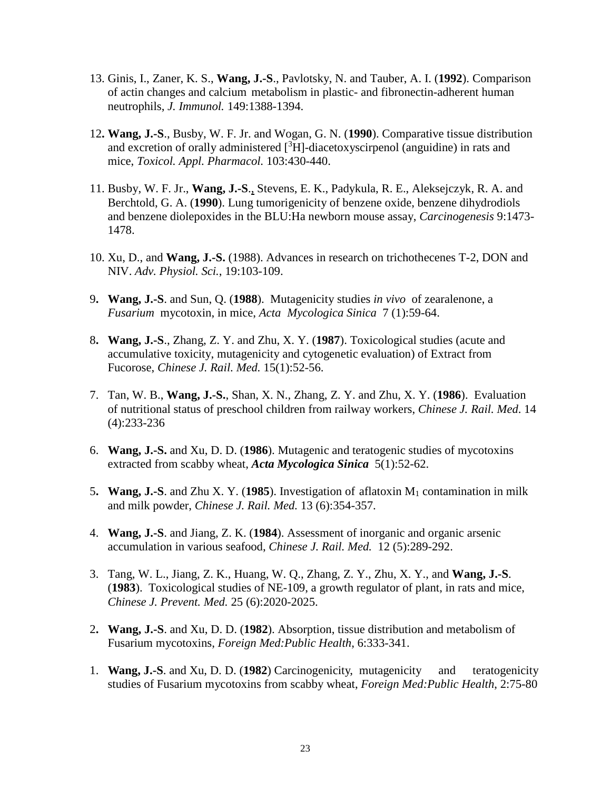- 13. Ginis, I., Zaner, K. S., **Wang, J.-S**., Pavlotsky, N. and Tauber, A. I. (**1992**). Comparison of actin changes and calcium metabolism in plastic- and fibronectin-adherent human neutrophils, *J. Immunol.* 149:1388-1394.
- 12**. Wang, J.-S**., Busby, W. F. Jr. and Wogan, G. N. (**1990**). Comparative tissue distribution and excretion of orally administered  $[^{3}H]$ -diacetoxyscirpenol (anguidine) in rats and mice, *Toxicol. Appl. Pharmacol.* 103:430-440.
- 11. Busby, W. F. Jr., **Wang, J.-S**., Stevens, E. K., Padykula, R. E., Aleksejczyk, R. A. and Berchtold, G. A. (**1990**). Lung tumorigenicity of benzene oxide, benzene dihydrodiols and benzene diolepoxides in the BLU:Ha newborn mouse assay, *Carcinogenesis* 9:1473- 1478.
- 10. Xu, D., and **Wang, J.-S.** (1988). Advances in research on trichothecenes T-2, DON and NIV. *Adv. Physiol. Sci.*, 19:103-109.
- 9**. Wang, J.-S**. and Sun, Q. (**1988**). Mutagenicity studies *in vivo* of zearalenone, a *Fusarium* mycotoxin, in mice, *Acta Mycologica Sinica* 7 (1):59-64.
- 8**. Wang, J.-S**., Zhang, Z. Y. and Zhu, X. Y. (**1987**). Toxicological studies (acute and accumulative toxicity, mutagenicity and cytogenetic evaluation) of Extract from Fucorose, *Chinese J. Rail. Med.* 15(1):52-56.
- 7. Tan, W. B., **Wang, J.-S.**, Shan, X. N., Zhang, Z. Y. and Zhu, X. Y. (**1986**). Evaluation of nutritional status of preschool children from railway workers, *Chinese J. Rail. Med*. 14 (4):233-236
- 6. **Wang, J.-S.** and Xu, D. D. (**1986**). Mutagenic and teratogenic studies of mycotoxins extracted from scabby wheat, *Acta Mycologica Sinica* 5(1):52-62.
- 5**. Wang, J.-S**. and Zhu X. Y. (**1985**). Investigation of aflatoxin M1 contamination in milk and milk powder, *Chinese J. Rail. Med.* 13 (6):354-357.
- 4. **Wang, J.-S**. and Jiang, Z. K. (**1984**). Assessment of inorganic and organic arsenic accumulation in various seafood, *Chinese J. Rail. Med.* 12 (5):289-292.
- 3. Tang, W. L., Jiang, Z. K., Huang, W. Q., Zhang, Z. Y., Zhu, X. Y., and **Wang, J.-S**. (**1983**). Toxicological studies of NE-109, a growth regulator of plant, in rats and mice, *Chinese J. Prevent. Med.* 25 (6):2020-2025.
- 2**. Wang, J.-S**. and Xu, D. D. (**1982**). Absorption, tissue distribution and metabolism of Fusarium mycotoxins, *Foreign Med:Public Health*, 6:333-341.
- 1. **Wang, J.-S**. and Xu, D. D. (**1982**) Carcinogenicity, mutagenicity and teratogenicity studies of Fusarium mycotoxins from scabby wheat, *Foreign Med:Public Health*, 2:75-80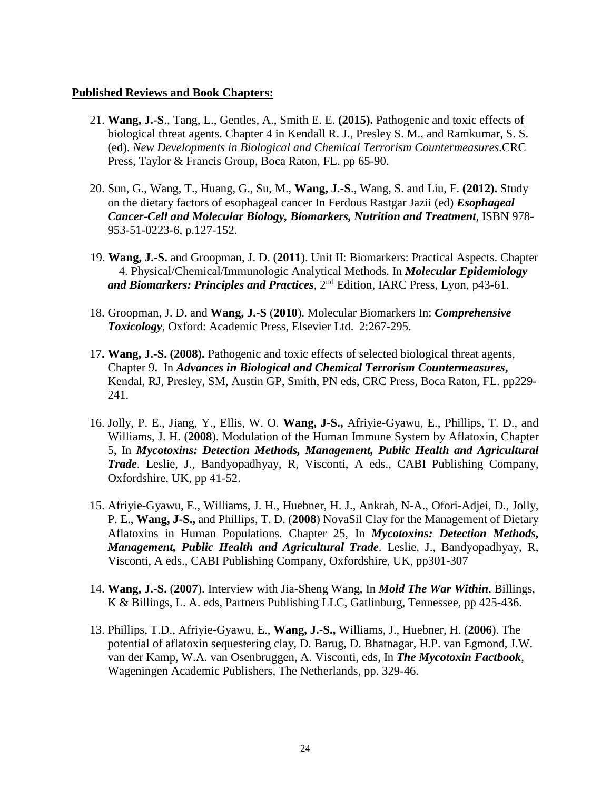### **Published Reviews and Book Chapters:**

- 21. **Wang, J.-S**., Tang, L., Gentles, A., Smith E. E. **(2015).** Pathogenic and toxic effects of biological threat agents. Chapter 4 in Kendall R. J., Presley S. M., and Ramkumar, S. S. (ed). *New Developments in Biological and Chemical Terrorism Countermeasures.*CRC Press, Taylor & Francis Group, Boca Raton, FL. pp 65-90.
- 20. Sun, G., Wang, T., Huang, G., Su, M., **Wang, J.-S**., Wang, S. and Liu, F. **(2012).** Study on the dietary factors of esophageal cancer In Ferdous Rastgar Jazii (ed) *Esophageal Cancer-Cell and Molecular Biology, Biomarkers, Nutrition and Treatment*, ISBN 978- 953-51-0223-6, p.127-152.
- 19. **Wang, J.-S.** and Groopman, J. D. (**2011**). Unit II: Biomarkers: Practical Aspects. Chapter 4. Physical/Chemical/Immunologic Analytical Methods. In *Molecular Epidemiology and Biomarkers: Principles and Practices*, 2nd Edition, IARC Press, Lyon, p43-61.
- 18. Groopman, J. D. and **Wang, J.-S** (**2010**). Molecular Biomarkers In: *Comprehensive Toxicology*, Oxford: Academic Press, Elsevier Ltd. 2:267-295.
- 17**. Wang, J.-S. (2008).** Pathogenic and toxic effects of selected biological threat agents, Chapter 9**.** In *Advances in Biological and Chemical Terrorism Countermeasures***,**  Kendal, RJ, Presley, SM, Austin GP, Smith, PN eds, CRC Press, Boca Raton, FL. pp229- 241.
- 16. Jolly, P. E., Jiang, Y., Ellis, W. O. **Wang, J-S.,** Afriyie-Gyawu, E., Phillips, T. D., and Williams, J. H. (**2008**). Modulation of the Human Immune System by Aflatoxin, Chapter 5, In *Mycotoxins: Detection Methods, Management, Public Health and Agricultural Trade*. Leslie, J., Bandyopadhyay, R, Visconti, A eds., CABI Publishing Company, Oxfordshire, UK, pp 41-52.
- 15. Afriyie-Gyawu, E., Williams, J. H., Huebner, H. J., Ankrah, N-A., Ofori-Adjei, D., Jolly, P. E., **Wang, J-S.,** and Phillips, T. D. (**2008**) NovaSil Clay for the Management of Dietary Aflatoxins in Human Populations. Chapter 25, In *Mycotoxins: Detection Methods, Management, Public Health and Agricultural Trade*. Leslie, J., Bandyopadhyay, R, Visconti, A eds., CABI Publishing Company, Oxfordshire, UK, pp301-307
- 14. **Wang, J.-S.** (**2007**). Interview with Jia-Sheng Wang, In *Mold The War Within*, Billings, K & Billings, L. A. eds, Partners Publishing LLC, Gatlinburg, Tennessee, pp 425-436.
- 13. Phillips, T.D., Afriyie-Gyawu, E., **Wang, J.-S.,** Williams, J., Huebner, H. (**2006**). The potential of aflatoxin sequestering clay, D. Barug, D. Bhatnagar, H.P. van Egmond, J.W. van der Kamp, W.A. van Osenbruggen, A. Visconti, eds, In *The Mycotoxin Factbook*, Wageningen Academic Publishers, The Netherlands, pp. 329-46.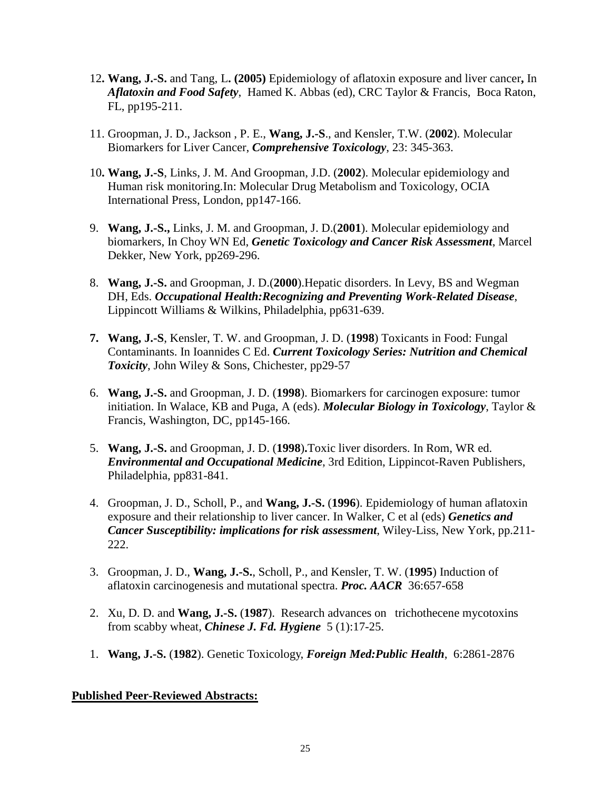- 12**. Wang, J.-S.** and Tang, L**. (2005)** Epidemiology of aflatoxin exposure and liver cancer**,** In *Aflatoxin and Food Safety*, Hamed K. Abbas (ed), CRC Taylor & Francis, Boca Raton, FL, pp195-211.
- 11. Groopman, J. D., Jackson , P. E., **Wang, J.-S**., and Kensler, T.W. (**2002**). Molecular Biomarkers for Liver Cancer, *Comprehensive Toxicology*, 23: 345-363.
- 10**. Wang, J.-S**, Links, J. M. And Groopman, J.D. (**2002**). Molecular epidemiology and Human risk monitoring.In: Molecular Drug Metabolism and Toxicology, OCIA International Press, London, pp147-166.
- 9. **Wang, J.-S.,** Links, J. M. and Groopman, J. D.(**2001**). Molecular epidemiology and biomarkers, In Choy WN Ed, *Genetic Toxicology and Cancer Risk Assessment*, Marcel Dekker, New York, pp269-296.
- 8. **Wang, J.-S.** and Groopman, J. D.(**2000**).Hepatic disorders. In Levy, BS and Wegman DH, Eds. *Occupational Health:Recognizing and Preventing Work-Related Disease*, Lippincott Williams & Wilkins, Philadelphia, pp631-639.
- **7. Wang, J.-S**, Kensler, T. W. and Groopman, J. D. (**1998**) Toxicants in Food: Fungal Contaminants. In Ioannides C Ed. *Current Toxicology Series: Nutrition and Chemical Toxicity*, John Wiley & Sons, Chichester, pp29-57
- 6. **Wang, J.-S.** and Groopman, J. D. (**1998**). Biomarkers for carcinogen exposure: tumor initiation. In Walace, KB and Puga, A (eds). *Molecular Biology in Toxicology*, Taylor & Francis, Washington, DC, pp145-166.
- 5. **Wang, J.-S.** and Groopman, J. D. (**1998**)**.**Toxic liver disorders. In Rom, WR ed. *Environmental and Occupational Medicine*, 3rd Edition, Lippincot-Raven Publishers, Philadelphia, pp831-841.
- 4. Groopman, J. D., Scholl, P., and **Wang, J.-S.** (**1996**). Epidemiology of human aflatoxin exposure and their relationship to liver cancer. In Walker, C et al (eds) *Genetics and Cancer Susceptibility: implications for risk assessment*, Wiley-Liss, New York, pp.211- 222.
- 3. Groopman, J. D., **Wang, J.-S.**, Scholl, P., and Kensler, T. W. (**1995**) Induction of aflatoxin carcinogenesis and mutational spectra. *Proc. AACR* 36:657-658
- 2. Xu, D. D. and **Wang, J.-S.** (**1987**). Research advances on trichothecene mycotoxins from scabby wheat, *Chinese J. Fd. Hygiene* 5 (1):17-25.
- 1. **Wang, J.-S.** (**1982**). Genetic Toxicology, *Foreign Med:Public Health*, 6:2861-2876

# **Published Peer-Reviewed Abstracts:**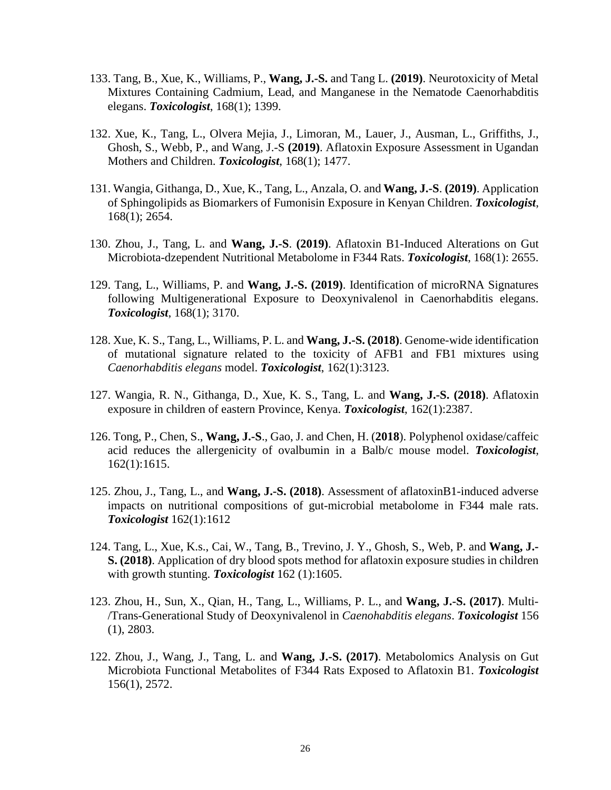- 133. Tang, B., Xue, K., Williams, P., **Wang, J.-S.** and Tang L. **(2019)**. Neurotoxicity of Metal Mixtures Containing Cadmium, Lead, and Manganese in the Nematode Caenorhabditis elegans. *Toxicologist*, 168(1); 1399.
- 132. Xue, K., Tang, L., Olvera Mejia, J., Limoran, M., Lauer, J., Ausman, L., Griffiths, J., Ghosh, S., Webb, P., and Wang, J.-S **(2019)**. Aflatoxin Exposure Assessment in Ugandan Mothers and Children. *Toxicologist*, 168(1); 1477.
- 131. Wangia, Githanga, D., Xue, K., Tang, L., Anzala, O. and **Wang, J.-S**. **(2019)**. Application of Sphingolipids as Biomarkers of Fumonisin Exposure in Kenyan Children. *Toxicologist*, 168(1); 2654.
- 130. Zhou, J., Tang, L. and **Wang, J.-S**. **(2019)**. Aflatoxin B1-Induced Alterations on Gut Microbiota-dzependent Nutritional Metabolome in F344 Rats. *Toxicologist*, 168(1): 2655.
- 129. Tang, L., Williams, P. and **Wang, J.-S. (2019)**. Identification of microRNA Signatures following Multigenerational Exposure to Deoxynivalenol in Caenorhabditis elegans. *Toxicologist*, 168(1); 3170.
- 128. Xue, K. S., Tang, L., Williams, P. L. and **Wang, J.-S. (2018)**. Genome-wide identification of mutational signature related to the toxicity of AFB1 and FB1 mixtures using *Caenorhabditis elegans* model. *Toxicologist*, 162(1):3123.
- 127. Wangia, R. N., Githanga, D., Xue, K. S., Tang, L. and **Wang, J.-S. (2018)**. Aflatoxin exposure in children of eastern Province, Kenya. *Toxicologist*, 162(1):2387.
- 126. Tong, P., Chen, S., **Wang, J.-S**., Gao, J. and Chen, H. (**2018**). Polyphenol oxidase/caffeic acid reduces the allergenicity of ovalbumin in a Balb/c mouse model. *Toxicologist*, 162(1):1615.
- 125. Zhou, J., Tang, L., and **Wang, J.-S. (2018)**. Assessment of aflatoxinB1-induced adverse impacts on nutritional compositions of gut-microbial metabolome in F344 male rats. *Toxicologist* 162(1):1612
- 124. Tang, L., Xue, K.s., Cai, W., Tang, B., Trevino, J. Y., Ghosh, S., Web, P. and **Wang, J.- S. (2018)**. Application of dry blood spots method for aflatoxin exposure studies in children with growth stunting. *Toxicologist* 162 (1):1605.
- 123. Zhou, H., Sun, X., Qian, H., Tang, L., Williams, P. L., and **Wang, J.-S. (2017)**. Multi- /Trans-Generational Study of Deoxynivalenol in *Caenohabditis elegans*. *Toxicologist* 156 (1), 2803.
- 122. Zhou, J., Wang, J., Tang, L. and **Wang, J.-S. (2017)**. Metabolomics Analysis on Gut Microbiota Functional Metabolites of F344 Rats Exposed to Aflatoxin B1. *Toxicologist*  156(1), 2572.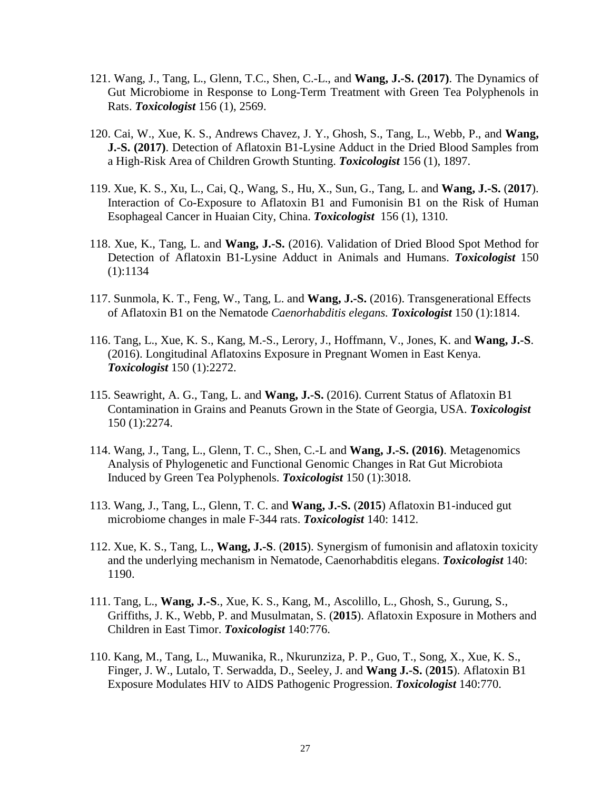- 121. Wang, J., Tang, L., Glenn, T.C., Shen, C.-L., and **Wang, J.-S. (2017)**. The Dynamics of Gut Microbiome in Response to Long-Term Treatment with Green Tea Polyphenols in Rats. *Toxicologist* 156 (1), 2569.
- 120. Cai, W., Xue, K. S., Andrews Chavez, J. Y., Ghosh, S., Tang, L., Webb, P., and **Wang, J.-S. (2017)**. Detection of Aflatoxin B1-Lysine Adduct in the Dried Blood Samples from a High-Risk Area of Children Growth Stunting. *Toxicologist* 156 (1), 1897.
- 119. Xue, K. S., Xu, L., Cai, Q., Wang, S., Hu, X., Sun, G., Tang, L. and **Wang, J.-S.** (**2017**). Interaction of Co-Exposure to Aflatoxin B1 and Fumonisin B1 on the Risk of Human Esophageal Cancer in Huaian City, China. *Toxicologist* 156 (1), 1310.
- 118. Xue, K., Tang, L. and **Wang, J.-S.** (2016). Validation of Dried Blood Spot Method for Detection of Aflatoxin B1-Lysine Adduct in Animals and Humans. *Toxicologist* 150 (1):1134
- 117. Sunmola, K. T., Feng, W., Tang, L. and **Wang, J.-S.** (2016). Transgenerational Effects of Aflatoxin B1 on the Nematode *Caenorhabditis elegans. Toxicologist* 150 (1):1814.
- 116. Tang, L., Xue, K. S., Kang, M.-S., Lerory, J., Hoffmann, V., Jones, K. and **Wang, J.-S**. (2016). Longitudinal Aflatoxins Exposure in Pregnant Women in East Kenya. *Toxicologist* 150 (1):2272.
- 115. Seawright, A. G., Tang, L. and **Wang, J.-S.** (2016). Current Status of Aflatoxin B1 Contamination in Grains and Peanuts Grown in the State of Georgia, USA. *Toxicologist* 150 (1):2274.
- 114. Wang, J., Tang, L., Glenn, T. C., Shen, C.-L and **Wang, J.-S. (2016)**. Metagenomics Analysis of Phylogenetic and Functional Genomic Changes in Rat Gut Microbiota Induced by Green Tea Polyphenols. *Toxicologist* 150 (1):3018.
- 113. Wang, J., Tang, L., Glenn, T. C. and **Wang, J.-S.** (**2015**) Aflatoxin B1-induced gut microbiome changes in male F-344 rats. *Toxicologist* 140: 1412.
- 112. Xue, K. S., Tang, L., **Wang, J.-S**. (**2015**). Synergism of fumonisin and aflatoxin toxicity and the underlying mechanism in Nematode, Caenorhabditis elegans. *Toxicologist* 140: 1190.
- 111. Tang, L., **Wang, J.-S**., Xue, K. S., Kang, M., Ascolillo, L., Ghosh, S., Gurung, S., Griffiths, J. K., Webb, P. and Musulmatan, S. (**2015**). Aflatoxin Exposure in Mothers and Children in East Timor. *Toxicologist* 140:776.
- 110. Kang, M., Tang, L., Muwanika, R., Nkurunziza, P. P., Guo, T., Song, X., Xue, K. S., Finger, J. W., Lutalo, T. Serwadda, D., Seeley, J. and **Wang J.-S.** (**2015**). Aflatoxin B1 Exposure Modulates HIV to AIDS Pathogenic Progression. *Toxicologist* 140:770.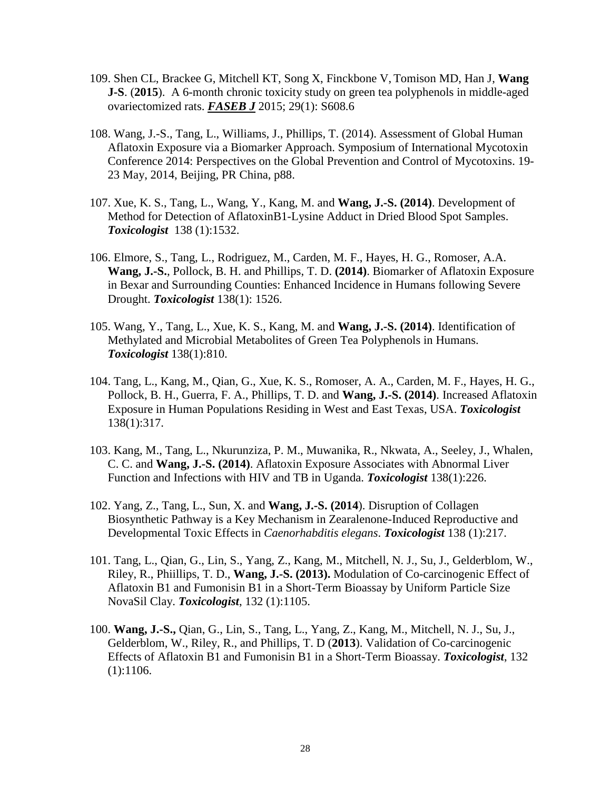- 109. Shen CL, Brackee G, Mitchell KT, Song X, Finckbone V, Tomison MD, Han J, **Wang J-S**. (**2015**). A 6-month chronic toxicity study on green tea polyphenols in middle-aged ovariectomized rats. *FASEB J* 2015; 29(1): S608.6
- 108. Wang, J.-S., Tang, L., Williams, J., Phillips, T. (2014). Assessment of Global Human Aflatoxin Exposure via a Biomarker Approach. Symposium of International Mycotoxin Conference 2014: Perspectives on the Global Prevention and Control of Mycotoxins. 19- 23 May, 2014, Beijing, PR China, p88.
- 107. Xue, K. S., Tang, L., Wang, Y., Kang, M. and **Wang, J.-S. (2014)**. Development of Method for Detection of AflatoxinB1-Lysine Adduct in Dried Blood Spot Samples. *Toxicologist* 138 (1):1532.
- 106. Elmore, S., Tang, L., Rodriguez, M., Carden, M. F., Hayes, H. G., Romoser, A.A. **Wang, J.-S.**, Pollock, B. H. and Phillips, T. D. **(2014)**. Biomarker of Aflatoxin Exposure in Bexar and Surrounding Counties: Enhanced Incidence in Humans following Severe Drought. *Toxicologist* 138(1): 1526.
- 105. Wang, Y., Tang, L., Xue, K. S., Kang, M. and **Wang, J.-S. (2014)**. Identification of Methylated and Microbial Metabolites of Green Tea Polyphenols in Humans. *Toxicologist* 138(1):810.
- 104. Tang, L., Kang, M., Qian, G., Xue, K. S., Romoser, A. A., Carden, M. F., Hayes, H. G., Pollock, B. H., Guerra, F. A., Phillips, T. D. and **Wang, J.-S. (2014)**. Increased Aflatoxin Exposure in Human Populations Residing in West and East Texas, USA. *Toxicologist*  138(1):317.
- 103. Kang, M., Tang, L., Nkurunziza, P. M., Muwanika, R., Nkwata, A., Seeley, J., Whalen, C. C. and **Wang, J.-S. (2014)**. Aflatoxin Exposure Associates with Abnormal Liver Function and Infections with HIV and TB in Uganda. *Toxicologist* 138(1):226.
- 102. Yang, Z., Tang, L., Sun, X. and **Wang, J.-S. (2014**). Disruption of Collagen Biosynthetic Pathway is a Key Mechanism in Zearalenone-Induced Reproductive and Developmental Toxic Effects in *Caenorhabditis elegans*. *Toxicologist* 138 (1):217.
- 101. Tang, L., Qian, G., Lin, S., Yang, Z., Kang, M., Mitchell, N. J., Su, J., Gelderblom, W., Riley, R., Phiillips, T. D., **Wang, J.-S. (2013).** Modulation of Co-carcinogenic Effect of Aflatoxin B1 and Fumonisin B1 in a Short-Term Bioassay by Uniform Particle Size NovaSil Clay. *Toxicologist*, 132 (1):1105.
- 100. **Wang, J.-S.,** Qian, G., Lin, S., Tang, L., Yang, Z., Kang, M., Mitchell, N. J., Su, J., Gelderblom, W., Riley, R., and Phillips, T. D (**2013**). Validation of Co-carcinogenic Effects of Aflatoxin B1 and Fumonisin B1 in a Short-Term Bioassay. *Toxicologist*, 132  $(1):1106.$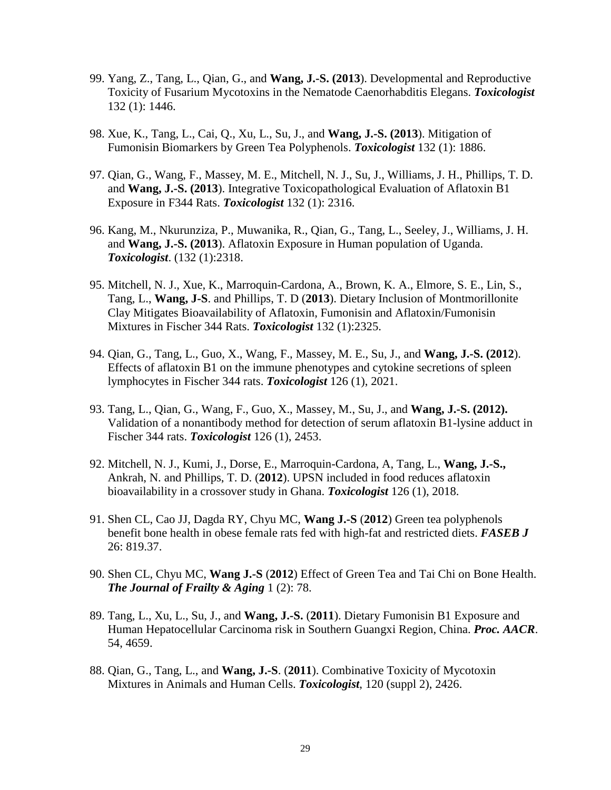- 99. Yang, Z., Tang, L., Qian, G., and **Wang, J.-S. (2013**). Developmental and Reproductive Toxicity of Fusarium Mycotoxins in the Nematode Caenorhabditis Elegans. *Toxicologist* 132 (1): 1446.
- 98. Xue, K., Tang, L., Cai, Q., Xu, L., Su, J., and **Wang, J.-S. (2013**). Mitigation of Fumonisin Biomarkers by Green Tea Polyphenols. *Toxicologist* 132 (1): 1886.
- 97. Qian, G., Wang, F., Massey, M. E., Mitchell, N. J., Su, J., Williams, J. H., Phillips, T. D. and **Wang, J.-S. (2013**). Integrative Toxicopathological Evaluation of Aflatoxin B1 Exposure in F344 Rats. *Toxicologist* 132 (1): 2316.
- 96. Kang, M., Nkurunziza, P., Muwanika, R., Qian, G., Tang, L., Seeley, J., Williams, J. H. and **Wang, J.-S. (2013**). Aflatoxin Exposure in Human population of Uganda. *Toxicologist*. (132 (1):2318.
- 95. Mitchell, N. J., Xue, K., Marroquin-Cardona, A., Brown, K. A., Elmore, S. E., Lin, S., Tang, L., **Wang, J-S**. and Phillips, T. D (**2013**). Dietary Inclusion of Montmorillonite Clay Mitigates Bioavailability of Aflatoxin, Fumonisin and Aflatoxin/Fumonisin Mixtures in Fischer 344 Rats. *Toxicologist* 132 (1):2325.
- 94. Qian, G., Tang, L., Guo, X., Wang, F., Massey, M. E., Su, J., and **Wang, J.-S. (2012**). Effects of aflatoxin B1 on the immune phenotypes and cytokine secretions of spleen lymphocytes in Fischer 344 rats. *Toxicologist* 126 (1), 2021.
- 93. Tang, L., Qian, G., Wang, F., Guo, X., Massey, M., Su, J., and **Wang, J.-S. (2012).** Validation of a nonantibody method for detection of serum aflatoxin B1-lysine adduct in Fischer 344 rats. *Toxicologist* 126 (1), 2453.
- 92. Mitchell, N. J., Kumi, J., Dorse, E., Marroquin-Cardona, A, Tang, L., **Wang, J.-S.,** Ankrah, N. and Phillips, T. D. (**2012**). UPSN included in food reduces aflatoxin bioavailability in a crossover study in Ghana. *Toxicologist* 126 (1), 2018.
- 91. Shen CL, Cao JJ, Dagda RY, Chyu MC, **Wang J.-S** (**2012**) Green tea polyphenols benefit bone health in obese female rats fed with high-fat and restricted diets. *FASEB J* 26: 819.37.
- 90. Shen CL, Chyu MC, **Wang J.-S** (**2012**) Effect of Green Tea and Tai Chi on Bone Health. *The Journal of Frailty & Aging* 1 (2): 78.
- 89. Tang, L., Xu, L., Su, J., and **Wang, J.-S.** (**2011**). Dietary Fumonisin B1 Exposure and Human Hepatocellular Carcinoma risk in Southern Guangxi Region, China. *Proc. AACR*. 54, 4659.
- 88. Qian, G., Tang, L., and **Wang, J.-S**. (**2011**). Combinative Toxicity of Mycotoxin Mixtures in Animals and Human Cells. *Toxicologist*, 120 (suppl 2), 2426.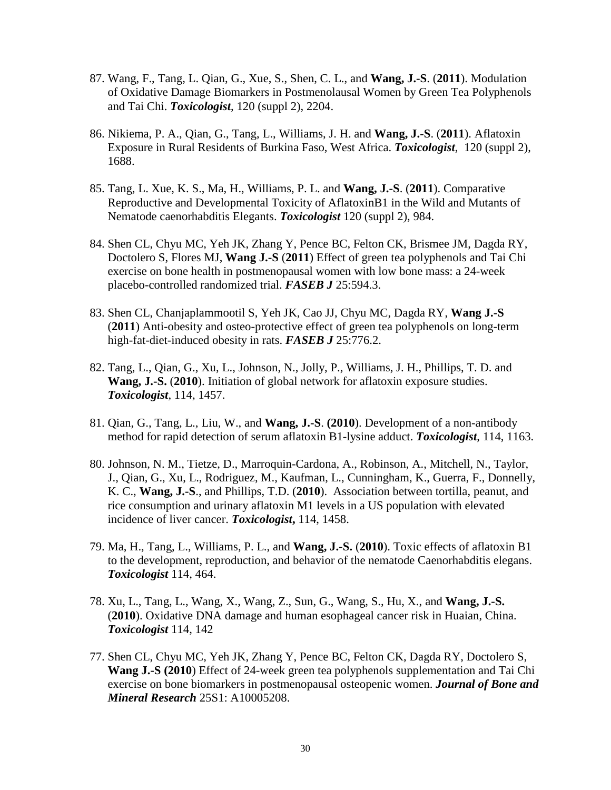- 87. Wang, F., Tang, L. Qian, G., Xue, S., Shen, C. L., and **Wang, J.-S**. (**2011**). Modulation of Oxidative Damage Biomarkers in Postmenolausal Women by Green Tea Polyphenols and Tai Chi. *Toxicologist*, 120 (suppl 2), 2204.
- 86. Nikiema, P. A., Qian, G., Tang, L., Williams, J. H. and **Wang, J.-S**. (**2011**). Aflatoxin Exposure in Rural Residents of Burkina Faso, West Africa. *Toxicologist*, 120 (suppl 2), 1688.
- 85. Tang, L. Xue, K. S., Ma, H., Williams, P. L. and **Wang, J.-S**. (**2011**). Comparative Reproductive and Developmental Toxicity of AflatoxinB1 in the Wild and Mutants of Nematode caenorhabditis Elegants. *Toxicologist* 120 (suppl 2), 984.
- 84. Shen CL, Chyu MC, Yeh JK, Zhang Y, Pence BC, Felton CK, Brismee JM, Dagda RY, Doctolero S, Flores MJ, **Wang J.-S** (**2011**) Effect of green tea polyphenols and Tai Chi exercise on bone health in postmenopausal women with low bone mass: a 24-week placebo-controlled randomized trial. *FASEB J* 25:594.3.
- 83. Shen CL, Chanjaplammootil S, Yeh JK, Cao JJ, Chyu MC, Dagda RY, **Wang J.-S** (**2011**) Anti-obesity and osteo-protective effect of green tea polyphenols on long-term high-fat-diet-induced obesity in rats. *FASEB J* 25:776.2.
- 82. Tang, L., Qian, G., Xu, L., Johnson, N., Jolly, P., Williams, J. H., Phillips, T. D. and **Wang, J.-S.** (**2010**). Initiation of global network for aflatoxin exposure studies. *Toxicologist*, 114, 1457.
- 81. Qian, G., Tang, L., Liu, W., and **Wang, J.-S**. **(2010**). Development of a non-antibody method for rapid detection of serum aflatoxin B1-lysine adduct. *Toxicologist*, 114, 1163.
- 80. Johnson, N. M., Tietze, D., Marroquin-Cardona, A., Robinson, A., Mitchell, N., Taylor, J., Qian, G., Xu, L., Rodriguez, M., Kaufman, L., Cunningham, K., Guerra, F., Donnelly, K. C., **Wang, J.-S**., and Phillips, T.D. (**2010**). Association between tortilla, peanut, and rice consumption and urinary aflatoxin M1 levels in a US population with elevated incidence of liver cancer. *Toxicologist***,** 114, 1458.
- 79. Ma, H., Tang, L., Williams, P. L., and **Wang, J.-S.** (**2010**). Toxic effects of aflatoxin B1 to the development, reproduction, and behavior of the nematode Caenorhabditis elegans. *Toxicologist* 114, 464.
- 78. Xu, L., Tang, L., Wang, X., Wang, Z., Sun, G., Wang, S., Hu, X., and **Wang, J.-S.** (**2010**). Oxidative DNA damage and human esophageal cancer risk in Huaian, China. *Toxicologist* 114, 142
- 77. Shen CL, Chyu MC, Yeh JK, Zhang Y, Pence BC, Felton CK, Dagda RY, Doctolero S, **Wang J.-S (2010**) Effect of 24-week green tea polyphenols supplementation and Tai Chi exercise on bone biomarkers in postmenopausal osteopenic women. *Journal of Bone and Mineral Research* 25S1: A10005208.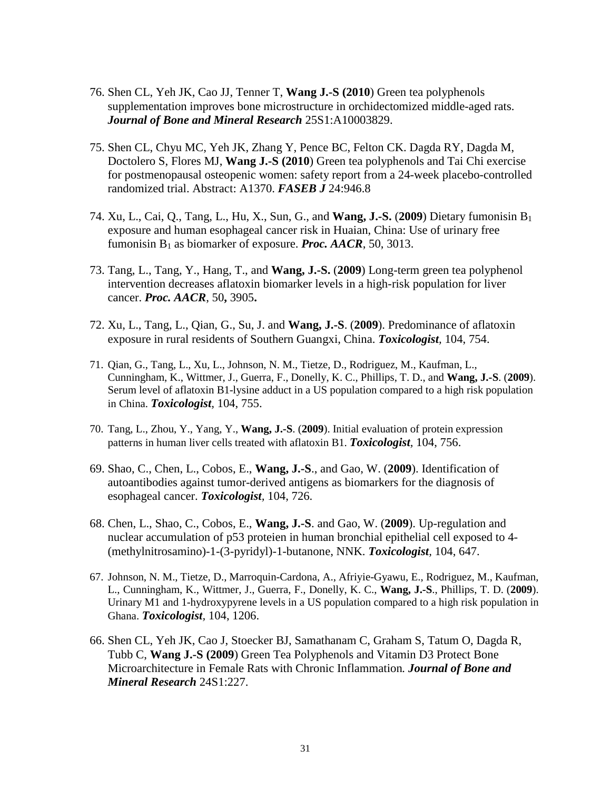- 76. Shen CL, Yeh JK, Cao JJ, Tenner T, **Wang J.-S (2010**) Green tea polyphenols supplementation improves bone microstructure in orchidectomized middle-aged rats. *Journal of Bone and Mineral Research* 25S1:A10003829.
- 75. Shen CL, Chyu MC, Yeh JK, Zhang Y, Pence BC, Felton CK. Dagda RY, Dagda M, Doctolero S, Flores MJ, **Wang J.-S (2010**) Green tea polyphenols and Tai Chi exercise for postmenopausal osteopenic women: safety report from a 24-week placebo-controlled randomized trial. Abstract: A1370. *FASEB J* 24:946.8
- 74. Xu, L., Cai, Q., Tang, L., Hu, X., Sun, G., and **Wang, J.-S.** (**2009**) Dietary fumonisin B1 exposure and human esophageal cancer risk in Huaian, China: Use of urinary free fumonisin B1 as biomarker of exposure. *Proc. AACR*, 50, 3013.
- 73. Tang, L., Tang, Y., Hang, T., and **Wang, J.-S.** (**2009**) Long-term green tea polyphenol intervention decreases aflatoxin biomarker levels in a high-risk population for liver cancer. *Proc. AACR*, 50**,** 3905**.**
- 72. Xu, L., Tang, L., Qian, G., Su, J. and **Wang, J.-S**. (**2009**). Predominance of aflatoxin exposure in rural residents of Southern Guangxi, China. *Toxicologist,* 104, 754.
- 71. Qian, G., Tang, L., Xu, L., Johnson, N. M., Tietze, D., Rodriguez, M., Kaufman, L., Cunningham, K., Wittmer, J., Guerra, F., Donelly, K. C., Phillips, T. D., and **Wang, J.-S**. (**2009**). Serum level of aflatoxin B1-lysine adduct in a US population compared to a high risk population in China. *Toxicologist,* 104, 755.
- 70. Tang, L., Zhou, Y., Yang, Y., **Wang, J.-S**. (**2009**). Initial evaluation of protein expression patterns in human liver cells treated with aflatoxin B1. *Toxicologist,* 104, 756.
- 69. Shao, C., Chen, L., Cobos, E., **Wang, J.-S**., and Gao, W. (**2009**). Identification of autoantibodies against tumor-derived antigens as biomarkers for the diagnosis of esophageal cancer. *Toxicologist,* 104, 726.
- 68. Chen, L., Shao, C., Cobos, E., **Wang, J.-S**. and Gao, W. (**2009**). Up-regulation and nuclear accumulation of p53 proteien in human bronchial epithelial cell exposed to 4- (methylnitrosamino)-1-(3-pyridyl)-1-butanone, NNK. *Toxicologist,* 104, 647.
- 67. Johnson, N. M., Tietze, D., Marroquin-Cardona, A., Afriyie-Gyawu, E., Rodriguez, M., Kaufman, L., Cunningham, K., Wittmer, J., Guerra, F., Donelly, K. C., **Wang, J.-S**., Phillips, T. D. (**2009**). Urinary M1 and 1-hydroxypyrene levels in a US population compared to a high risk population in Ghana. *Toxicologist,* 104, 1206.
- 66. Shen CL, Yeh JK, Cao J, Stoecker BJ, Samathanam C, Graham S, Tatum O, Dagda R, Tubb C, **Wang J.-S (2009**) Green Tea Polyphenols and Vitamin D3 Protect Bone Microarchitecture in Female Rats with Chronic Inflammation*. Journal of Bone and Mineral Research* 24S1:227.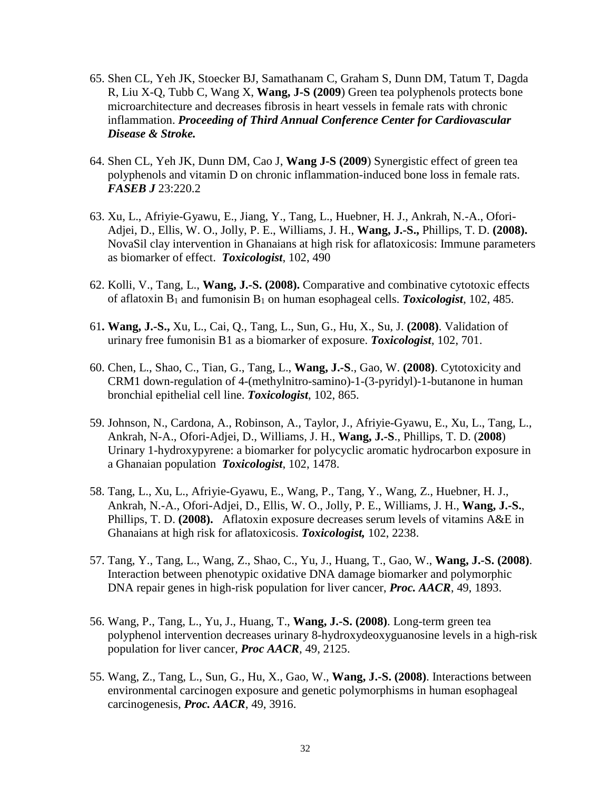- 65. Shen CL, Yeh JK, Stoecker BJ, Samathanam C, Graham S, Dunn DM, Tatum T, Dagda R, Liu X-Q, Tubb C, Wang X, **Wang, J-S (2009**) Green tea polyphenols protects bone microarchitecture and decreases fibrosis in heart vessels in female rats with chronic inflammation. *Proceeding of Third Annual Conference Center for Cardiovascular Disease & Stroke.*
- 64. Shen CL, Yeh JK, Dunn DM, Cao J, **Wang J-S (2009**) Synergistic effect of green tea polyphenols and vitamin D on chronic inflammation-induced bone loss in female rats. *FASEB J* 23:220.2
- 63. Xu, L., Afriyie-Gyawu, E., Jiang, Y., Tang, L., Huebner, H. J., Ankrah, N.-A., Ofori-Adjei, D., Ellis, W. O., Jolly, P. E., Williams, J. H., **Wang, J.-S.,** Phillips, T. D. **(2008).** NovaSil clay intervention in Ghanaians at high risk for aflatoxicosis: Immune parameters as biomarker of effect. *Toxicologist*, 102, 490
- 62. Kolli, V., Tang, L., **Wang, J.-S. (2008).** Comparative and combinative cytotoxic effects of aflatoxin B1 and fumonisin B1 on human esophageal cells. *Toxicologist*, 102, 485.
- 61**. Wang, J.-S.,** Xu, L., Cai, Q., Tang, L., Sun, G., Hu, X., Su, J. **(2008)**. Validation of urinary free fumonisin B1 as a biomarker of exposure. *Toxicologist*, 102, 701.
- 60. Chen, L., Shao, C., Tian, G., Tang, L., **Wang, J.-S**., Gao, W. **(2008)**. Cytotoxicity and CRM1 down-regulation of 4-(methylnitro-samino)-1-(3-pyridyl)-1-butanone in human bronchial epithelial cell line. *Toxicologist*, 102, 865.
- 59. Johnson, N., Cardona, A., Robinson, A., Taylor, J., Afriyie-Gyawu, E., Xu, L., Tang, L., Ankrah, N-A., Ofori-Adjei, D., Williams, J. H., **Wang, J.-S**., Phillips, T. D. (**2008**) Urinary 1-hydroxypyrene: a biomarker for polycyclic aromatic hydrocarbon exposure in a Ghanaian population *Toxicologist*, 102, 1478.
- 58. Tang, L., Xu, L., Afriyie-Gyawu, E., Wang, P., Tang, Y., Wang, Z., Huebner, H. J., Ankrah, N.-A., Ofori-Adjei, D., Ellis, W. O., Jolly, P. E., Williams, J. H., **Wang, J.-S.**, Phillips, T. D. **(2008).** Aflatoxin exposure decreases serum levels of vitamins A&E in Ghanaians at high risk for aflatoxicosis. *Toxicologist,* 102, 2238.
- 57. Tang, Y., Tang, L., Wang, Z., Shao, C., Yu, J., Huang, T., Gao, W., **Wang, J.-S. (2008)**. Interaction between phenotypic oxidative DNA damage biomarker and polymorphic DNA repair genes in high-risk population for liver cancer, *Proc. AACR*, 49, 1893.
- 56. Wang, P., Tang, L., Yu, J., Huang, T., **Wang, J.-S. (2008)**. Long-term green tea polyphenol intervention decreases urinary 8-hydroxydeoxyguanosine levels in a high-risk population for liver cancer, *Proc AACR*, 49, 2125.
- 55. Wang, Z., Tang, L., Sun, G., Hu, X., Gao, W., **Wang, J.-S. (2008)**. Interactions between environmental carcinogen exposure and genetic polymorphisms in human esophageal carcinogenesis, *Proc. AACR*, 49, 3916.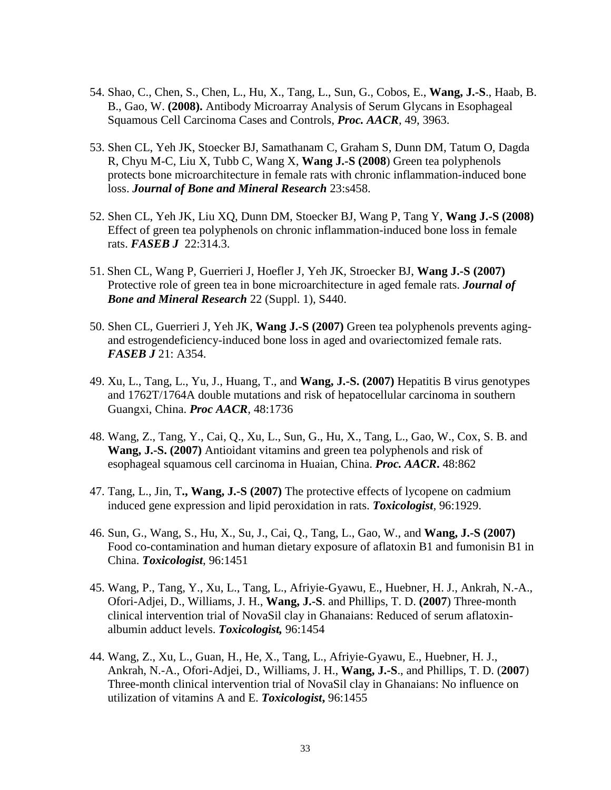- 54. Shao, C., Chen, S., Chen, L., Hu, X., Tang, L., Sun, G., Cobos, E., **Wang, J.-S**., Haab, B. B., Gao, W. **(2008).** Antibody Microarray Analysis of Serum Glycans in Esophageal Squamous Cell Carcinoma Cases and Controls, *Proc. AACR*, 49, 3963.
- 53. Shen CL, Yeh JK, Stoecker BJ, Samathanam C, Graham S, Dunn DM, Tatum O, Dagda R, Chyu M-C, Liu X, Tubb C, Wang X, **Wang J.-S (2008**) Green tea polyphenols protects bone microarchitecture in female rats with chronic inflammation-induced bone loss. *Journal of Bone and Mineral Research* 23:s458.
- 52. Shen CL, Yeh JK, Liu XQ, Dunn DM, Stoecker BJ, Wang P, Tang Y, **Wang J.-S (2008)** Effect of green tea polyphenols on chronic inflammation-induced bone loss in female rats. *FASEB J* 22:314.3.
- 51. Shen CL, Wang P, Guerrieri J, Hoefler J, Yeh JK, Stroecker BJ, **Wang J.-S (2007)** Protective role of green tea in bone microarchitecture in aged female rats. *Journal of Bone and Mineral Research* 22 (Suppl. 1), S440.
- 50. Shen CL, Guerrieri J, Yeh JK, **Wang J.-S (2007)** Green tea polyphenols prevents agingand estrogendeficiency-induced bone loss in aged and ovariectomized female rats. *FASEB J* 21: A354.
- 49. Xu, L., Tang, L., Yu, J., Huang, T., and **Wang, J.-S. (2007)** Hepatitis B virus genotypes and 1762T/1764A double mutations and risk of hepatocellular carcinoma in southern Guangxi, China. *Proc AACR*, 48:1736
- 48. Wang, Z., Tang, Y., Cai, Q., Xu, L., Sun, G., Hu, X., Tang, L., Gao, W., Cox, S. B. and **Wang, J.-S. (2007)** Antioidant vitamins and green tea polyphenols and risk of esophageal squamous cell carcinoma in Huaian, China. *Proc. AACR***.** 48:862
- 47. Tang, L., Jin, T**., Wang, J.-S (2007)** The protective effects of lycopene on cadmium induced gene expression and lipid peroxidation in rats. *Toxicologist,* 96:1929.
- 46. Sun, G., Wang, S., Hu, X., Su, J., Cai, Q., Tang, L., Gao, W., and **Wang, J.-S (2007)**  Food co-contamination and human dietary exposure of aflatoxin B1 and fumonisin B1 in China. *Toxicologist*, 96:1451
- 45. Wang, P., Tang, Y., Xu, L., Tang, L., Afriyie-Gyawu, E., Huebner, H. J., Ankrah, N.-A., Ofori-Adjei, D., Williams, J. H., **Wang, J.-S**. and Phillips, T. D. **(2007**) Three-month clinical intervention trial of NovaSil clay in Ghanaians: Reduced of serum aflatoxinalbumin adduct levels. *Toxicologist,* 96:1454
- 44. Wang, Z., Xu, L., Guan, H., He, X., Tang, L., Afriyie-Gyawu, E., Huebner, H. J., Ankrah, N.-A., Ofori-Adjei, D., Williams, J. H., **Wang, J.-S**., and Phillips, T. D. (**2007**) Three-month clinical intervention trial of NovaSil clay in Ghanaians: No influence on utilization of vitamins A and E. *Toxicologist***,** 96:1455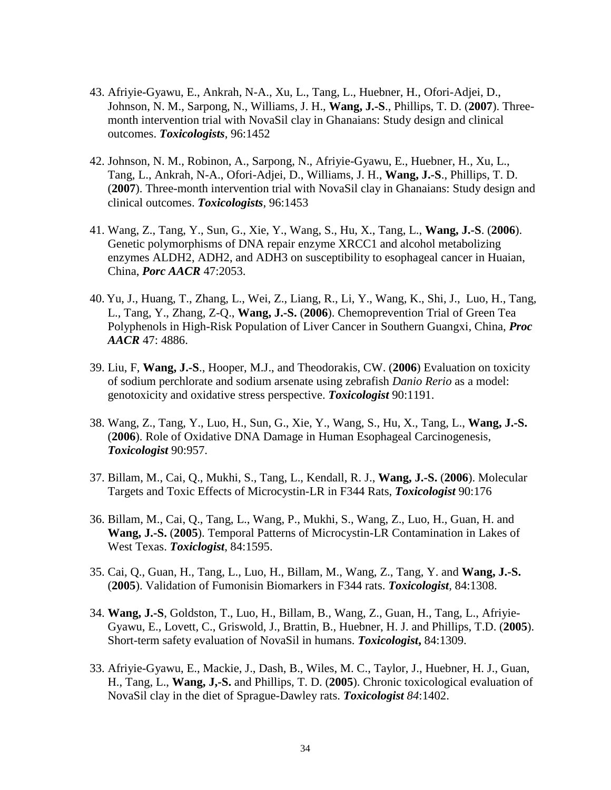- 43. Afriyie-Gyawu, E., Ankrah, N-A., Xu, L., Tang, L., Huebner, H., Ofori-Adjei, D., Johnson, N. M., Sarpong, N., Williams, J. H., **Wang, J.-S**., Phillips, T. D. (**2007**). Threemonth intervention trial with NovaSil clay in Ghanaians: Study design and clinical outcomes. *Toxicologists*, 96:1452
- 42. Johnson, N. M., Robinon, A., Sarpong, N., Afriyie-Gyawu, E., Huebner, H., Xu, L., Tang, L., Ankrah, N-A., Ofori-Adjei, D., Williams, J. H., **Wang, J.-S**., Phillips, T. D. (**2007**). Three-month intervention trial with NovaSil clay in Ghanaians: Study design and clinical outcomes. *Toxicologists*, 96:1453
- 41. Wang, Z., Tang, Y., Sun, G., Xie, Y., Wang, S., Hu, X., Tang, L., **Wang, J.-S**. (**2006**). Genetic polymorphisms of DNA repair enzyme XRCC1 and alcohol metabolizing enzymes ALDH2, ADH2, and ADH3 on susceptibility to esophageal cancer in Huaian, China, *Porc AACR* 47:2053.
- 40. Yu, J., Huang, T., Zhang, L., Wei, Z., Liang, R., Li, Y., Wang, K., Shi, J., Luo, H., Tang, L., Tang, Y., Zhang, Z-Q., **Wang, J.-S.** (**2006**). Chemoprevention Trial of Green Tea Polyphenols in High-Risk Population of Liver Cancer in Southern Guangxi, China, *Proc AACR* 47: 4886.
- 39. Liu, F, **Wang, J.-S**., Hooper, M.J., and Theodorakis, CW. (**2006**) Evaluation on toxicity of sodium perchlorate and sodium arsenate using zebrafish *Danio Rerio* as a model: genotoxicity and oxidative stress perspective. *Toxicologist* 90:1191.
- 38. Wang, Z., Tang, Y., Luo, H., Sun, G., Xie, Y., Wang, S., Hu, X., Tang, L., **Wang, J.-S.** (**2006**). Role of Oxidative DNA Damage in Human Esophageal Carcinogenesis, *Toxicologist* 90:957.
- 37. Billam, M., Cai, Q., Mukhi, S., Tang, L., Kendall, R. J., **Wang, J.-S.** (**2006**). Molecular Targets and Toxic Effects of Microcystin-LR in F344 Rats, *Toxicologist* 90:176
- 36. Billam, M., Cai, Q., Tang, L., Wang, P., Mukhi, S., Wang, Z., Luo, H., Guan, H. and **Wang, J.-S.** (**2005**). Temporal Patterns of Microcystin-LR Contamination in Lakes of West Texas. *Toxiclogist*, 84:1595.
- 35. Cai, Q., Guan, H., Tang, L., Luo, H., Billam, M., Wang, Z., Tang, Y. and **Wang, J.-S.** (**2005**). Validation of Fumonisin Biomarkers in F344 rats. *Toxicologist,* 84:1308.
- 34. **Wang, J.-S**, Goldston, T., Luo, H., Billam, B., Wang, Z., Guan, H., Tang, L., Afriyie-Gyawu, E., Lovett, C., Griswold, J., Brattin, B., Huebner, H. J. and Phillips, T.D. (**2005**). Short-term safety evaluation of NovaSil in humans. *Toxicologist***,** 84:1309.
- 33. Afriyie-Gyawu, E., Mackie, J., Dash, B., Wiles, M. C., Taylor, J., Huebner, H. J., Guan, H., Tang, L., **Wang, J,-S.** and Phillips, T. D. (**2005**). Chronic toxicological evaluation of NovaSil clay in the diet of Sprague-Dawley rats. *Toxicologist 84*:1402.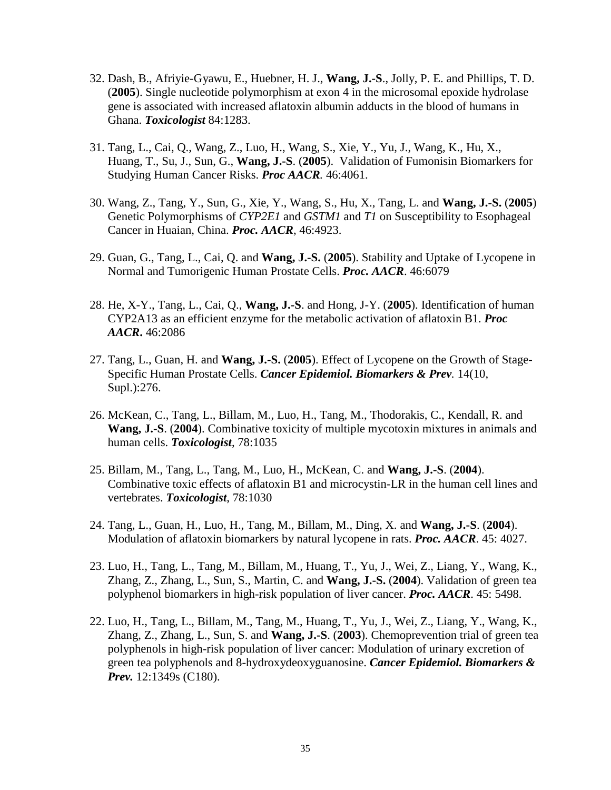- 32. Dash, B., Afriyie-Gyawu, E., Huebner, H. J., **Wang, J.-S**., Jolly, P. E. and Phillips, T. D. (**2005**). Single nucleotide polymorphism at exon 4 in the microsomal epoxide hydrolase gene is associated with increased aflatoxin albumin adducts in the blood of humans in Ghana. *Toxicologist* 84:1283.
- 31. Tang, L., Cai, Q., Wang, Z., Luo, H., Wang, S., Xie, Y., Yu, J., Wang, K., Hu, X., Huang, T., Su, J., Sun, G., **Wang, J.-S**. (**2005**). Validation of Fumonisin Biomarkers for Studying Human Cancer Risks. *Proc AACR.* 46:4061.
- 30. Wang, Z., Tang, Y., Sun, G., Xie, Y., Wang, S., Hu, X., Tang, L. and **Wang, J.-S.** (**2005**) Genetic Polymorphisms of *CYP2E1* and *GSTM1* and *T1* on Susceptibility to Esophageal Cancer in Huaian, China. *Proc. AACR*, 46:4923.
- 29. Guan, G., Tang, L., Cai, Q. and **Wang, J.-S.** (**2005**). Stability and Uptake of Lycopene in Normal and Tumorigenic Human Prostate Cells. *Proc. AACR*. 46:6079
- 28. He, X-Y., Tang, L., Cai, Q., **Wang, J.-S**. and Hong, J-Y. (**2005**). Identification of human CYP2A13 as an efficient enzyme for the metabolic activation of aflatoxin B1. *Proc AACR***.** 46:2086
- 27. Tang, L., Guan, H. and **Wang, J.-S.** (**2005**). Effect of Lycopene on the Growth of Stage-Specific Human Prostate Cells. *Cancer Epidemiol. Biomarkers & Prev.* 14(10, Supl.):276.
- 26. McKean, C., Tang, L., Billam, M., Luo, H., Tang, M., Thodorakis, C., Kendall, R. and **Wang, J.-S**. (**2004**). Combinative toxicity of multiple mycotoxin mixtures in animals and human cells. *Toxicologist*, 78:1035
- 25. Billam, M., Tang, L., Tang, M., Luo, H., McKean, C. and **Wang, J.-S**. (**2004**). Combinative toxic effects of aflatoxin B1 and microcystin-LR in the human cell lines and vertebrates. *Toxicologist*, 78:1030
- 24. Tang, L., Guan, H., Luo, H., Tang, M., Billam, M., Ding, X. and **Wang, J.-S**. (**2004**). Modulation of aflatoxin biomarkers by natural lycopene in rats. *Proc. AACR*. 45: 4027.
- 23. Luo, H., Tang, L., Tang, M., Billam, M., Huang, T., Yu, J., Wei, Z., Liang, Y., Wang, K., Zhang, Z., Zhang, L., Sun, S., Martin, C. and **Wang, J.-S.** (**2004**). Validation of green tea polyphenol biomarkers in high-risk population of liver cancer. *Proc. AACR*. 45: 5498.
- 22. Luo, H., Tang, L., Billam, M., Tang, M., Huang, T., Yu, J., Wei, Z., Liang, Y., Wang, K., Zhang, Z., Zhang, L., Sun, S. and **Wang, J.-S**. (**2003**). Chemoprevention trial of green tea polyphenols in high-risk population of liver cancer: Modulation of urinary excretion of green tea polyphenols and 8-hydroxydeoxyguanosine. *Cancer Epidemiol. Biomarkers & Prev.* 12:1349s (C180).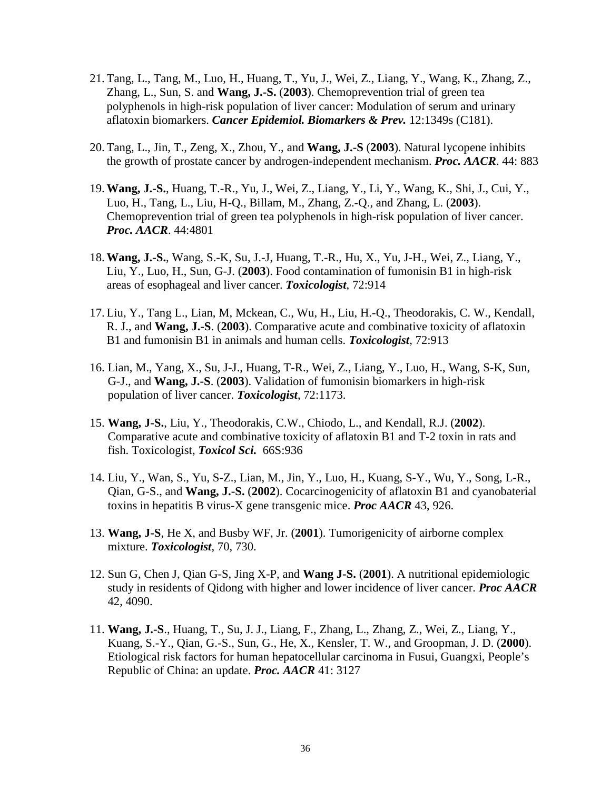- 21. Tang, L., Tang, M., Luo, H., Huang, T., Yu, J., Wei, Z., Liang, Y., Wang, K., Zhang, Z., Zhang, L., Sun, S. and **Wang, J.-S.** (**2003**). Chemoprevention trial of green tea polyphenols in high-risk population of liver cancer: Modulation of serum and urinary aflatoxin biomarkers. *Cancer Epidemiol. Biomarkers & Prev.* 12:1349s (C181).
- 20. Tang, L., Jin, T., Zeng, X., Zhou, Y., and **Wang, J.-S** (**2003**). Natural lycopene inhibits the growth of prostate cancer by androgen-independent mechanism. *Proc. AACR*. 44: 883
- 19. **Wang, J.-S.**, Huang, T.-R., Yu, J., Wei, Z., Liang, Y., Li, Y., Wang, K., Shi, J., Cui, Y., Luo, H., Tang, L., Liu, H-Q., Billam, M., Zhang, Z.-Q., and Zhang, L. (**2003**). Chemoprevention trial of green tea polyphenols in high-risk population of liver cancer. *Proc. AACR*. 44:4801
- 18. **Wang, J.-S.**, Wang, S.-K, Su, J.-J, Huang, T.-R., Hu, X., Yu, J-H., Wei, Z., Liang, Y., Liu, Y., Luo, H., Sun, G-J. (**2003**). Food contamination of fumonisin B1 in high-risk areas of esophageal and liver cancer. *Toxicologist*, 72:914
- 17. Liu, Y., Tang L., Lian, M, Mckean, C., Wu, H., Liu, H.-Q., Theodorakis, C. W., Kendall, R. J., and **Wang, J.-S**. (**2003**). Comparative acute and combinative toxicity of aflatoxin B1 and fumonisin B1 in animals and human cells. *Toxicologist*, 72:913
- 16. Lian, M., Yang, X., Su, J-J., Huang, T-R., Wei, Z., Liang, Y., Luo, H., Wang, S-K, Sun, G-J., and **Wang, J.-S**. (**2003**). Validation of fumonisin biomarkers in high-risk population of liver cancer. *Toxicologist*, 72:1173.
- 15. **Wang, J-S.**, Liu, Y., Theodorakis, C.W., Chiodo, L., and Kendall, R.J. (**2002**). Comparative acute and combinative toxicity of aflatoxin B1 and T-2 toxin in rats and fish. Toxicologist, *Toxicol Sci.* 66S:936
- 14. Liu, Y., Wan, S., Yu, S-Z., Lian, M., Jin, Y., Luo, H., Kuang, S-Y., Wu, Y., Song, L-R., Qian, G-S., and **Wang, J.-S.** (**2002**). Cocarcinogenicity of aflatoxin B1 and cyanobaterial toxins in hepatitis B virus-X gene transgenic mice. *Proc AACR* 43, 926.
- 13. **Wang, J-S**, He X, and Busby WF, Jr. (**2001**). Tumorigenicity of airborne complex mixture. *Toxicologist*, 70, 730.
- 12. Sun G, Chen J, Qian G-S, Jing X-P, and **Wang J-S.** (**2001**). A nutritional epidemiologic study in residents of Qidong with higher and lower incidence of liver cancer. *Proc AACR* 42, 4090.
- 11. **Wang, J.-S**., Huang, T., Su, J. J., Liang, F., Zhang, L., Zhang, Z., Wei, Z., Liang, Y., Kuang, S.-Y., Qian, G.-S., Sun, G., He, X., Kensler, T. W., and Groopman, J. D. (**2000**). Etiological risk factors for human hepatocellular carcinoma in Fusui, Guangxi, People's Republic of China: an update. *Proc. AACR* 41: 3127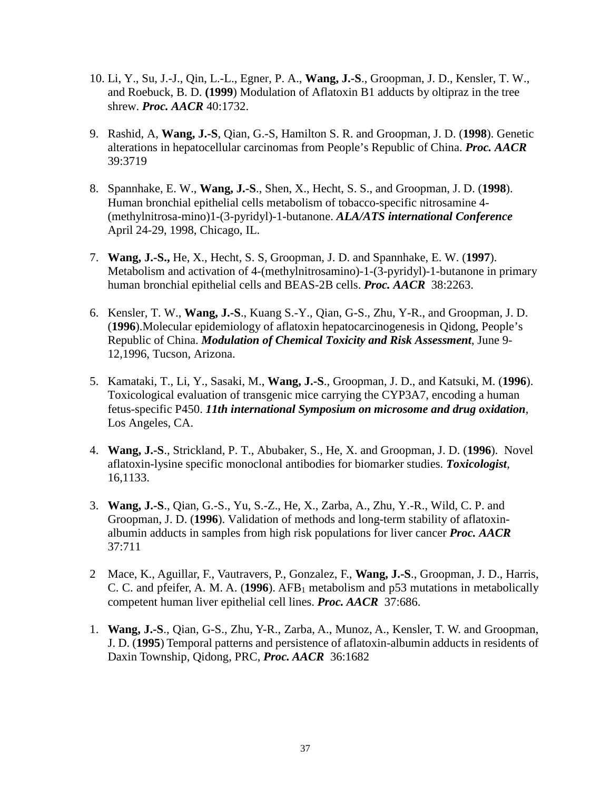- 10. Li, Y., Su, J.-J., Qin, L.-L., Egner, P. A., **Wang, J.-S**., Groopman, J. D., Kensler, T. W., and Roebuck, B. D. **(1999**) Modulation of Aflatoxin B1 adducts by oltipraz in the tree shrew. *Proc. AACR* 40:1732.
- 9. Rashid, A, **Wang, J.-S**, Qian, G.-S, Hamilton S. R. and Groopman, J. D. (**1998**). Genetic alterations in hepatocellular carcinomas from People's Republic of China. *Proc. AACR* 39:3719
- 8. Spannhake, E. W., **Wang, J.-S**., Shen, X., Hecht, S. S., and Groopman, J. D. (**1998**). Human bronchial epithelial cells metabolism of tobacco-specific nitrosamine 4- (methylnitrosa-mino)1-(3-pyridyl)-1-butanone. *ALA/ATS international Conference* April 24-29, 1998, Chicago, IL.
- 7. **Wang, J.-S.,** He, X., Hecht, S. S, Groopman, J. D. and Spannhake, E. W. (**1997**). Metabolism and activation of 4-(methylnitrosamino)-1-(3-pyridyl)-1-butanone in primary human bronchial epithelial cells and BEAS-2B cells. *Proc. AACR* 38:2263.
- 6. Kensler, T. W., **Wang, J.-S**., Kuang S.-Y., Qian, G-S., Zhu, Y-R., and Groopman, J. D. (**1996**).Molecular epidemiology of aflatoxin hepatocarcinogenesis in Qidong, People's Republic of China. *Modulation of Chemical Toxicity and Risk Assessment*, June 9- 12,1996, Tucson, Arizona.
- 5. Kamataki, T., Li, Y., Sasaki, M., **Wang, J.-S**., Groopman, J. D., and Katsuki, M. (**1996**). Toxicological evaluation of transgenic mice carrying the CYP3A7, encoding a human fetus-specific P450. *11th international Symposium on microsome and drug oxidation*, Los Angeles, CA.
- 4. **Wang, J.-S**., Strickland, P. T., Abubaker, S., He, X. and Groopman, J. D. (**1996**). Novel aflatoxin-lysine specific monoclonal antibodies for biomarker studies. *Toxicologist*, 16,1133.
- 3. **Wang, J.-S**., Qian, G.-S., Yu, S.-Z., He, X., Zarba, A., Zhu, Y.-R., Wild, C. P. and Groopman, J. D. (**1996**). Validation of methods and long-term stability of aflatoxinalbumin adducts in samples from high risk populations for liver cancer *Proc. AACR* 37:711
- 2 Mace, K., Aguillar, F., Vautravers, P., Gonzalez, F., **Wang, J.-S**., Groopman, J. D., Harris, C. C. and pfeifer, A. M. A. (**1996**). AFB1 metabolism and p53 mutations in metabolically competent human liver epithelial cell lines. *Proc. AACR* 37:686.
- 1. **Wang, J.-S**., Qian, G-S., Zhu, Y-R., Zarba, A., Munoz, A., Kensler, T. W. and Groopman, J. D. (**1995**) Temporal patterns and persistence of aflatoxin-albumin adducts in residents of Daxin Township, Qidong, PRC, *Proc. AACR* 36:1682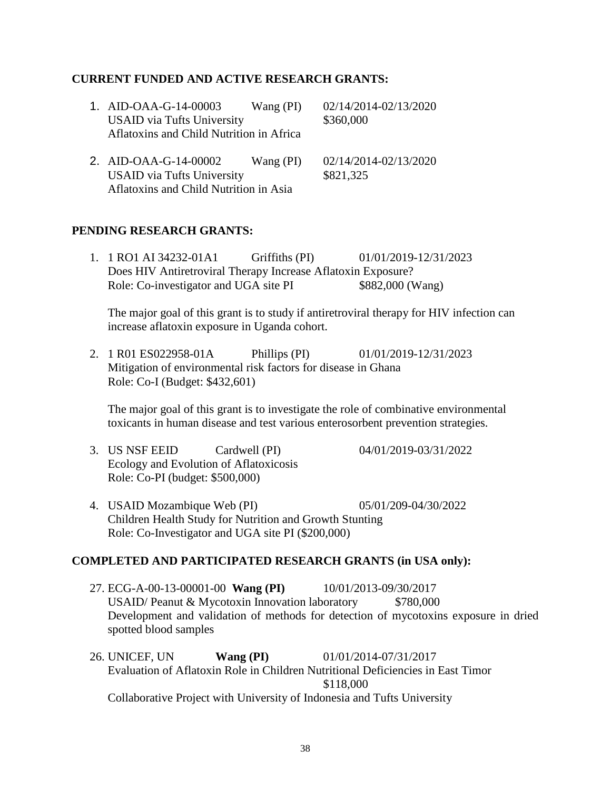# **CURRENT FUNDED AND ACTIVE RESEARCH GRANTS:**

| 1. AID-OAA-G-14-00003                    | Wang $(PI)$ | 02/14/2014-02/13/2020 |
|------------------------------------------|-------------|-----------------------|
| <b>USAID</b> via Tufts University        |             | \$360,000             |
| Aflatoxins and Child Nutrition in Africa |             |                       |
| 2. AID-OAA-G-14-00002                    | Wang $(PI)$ | 02/14/2014-02/13/2020 |
| <b>USAID</b> via Tufts University        |             | \$821,325             |
| Aflatoxins and Child Nutrition in Asia   |             |                       |

# **PENDING RESEARCH GRANTS:**

1. 1 RO1 AI 34232-01A1 Griffiths (PI) 01/01/2019-12/31/2023 Does HIV Antiretroviral Therapy Increase Aflatoxin Exposure? Role: Co-investigator and UGA site PI  $$882,000$  (Wang)

The major goal of this grant is to study if antiretroviral therapy for HIV infection can increase aflatoxin exposure in Uganda cohort.

2. 1 R01 ES022958-01A Phillips (PI) 01/01/2019-12/31/2023 Mitigation of environmental risk factors for disease in Ghana Role: Co-I (Budget: \$432,601)

The major goal of this grant is to investigate the role of combinative environmental toxicants in human disease and test various enterosorbent prevention strategies.

- 3. US NSF EEID Cardwell (PI) 04/01/2019-03/31/2022 Ecology and Evolution of Aflatoxicosis Role: Co-PI (budget: \$500,000)
- 4. USAID Mozambique Web (PI) 05/01/209-04/30/2022 Children Health Study for Nutrition and Growth Stunting Role: Co-Investigator and UGA site PI (\$200,000)

# **COMPLETED AND PARTICIPATED RESEARCH GRANTS (in USA only):**

- 27. ECG-A-00-13-00001-00 **Wang (PI)** 10/01/2013-09/30/2017 USAID/ Peanut & Mycotoxin Innovation laboratory \$780,000 Development and validation of methods for detection of mycotoxins exposure in dried spotted blood samples
- 26. UNICEF, UN **Wang (PI)** 01/01/2014-07/31/2017 Evaluation of Aflatoxin Role in Children Nutritional Deficiencies in East Timor \$118,000 Collaborative Project with University of Indonesia and Tufts University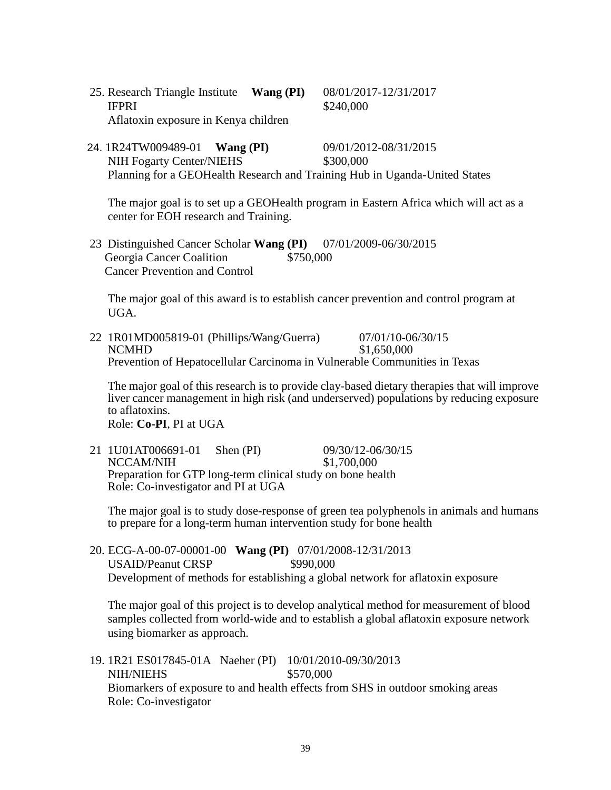25. Research Triangle Institute **Wang (PI)** 08/01/2017-12/31/2017 **IFPRI** \$240,000 Aflatoxin exposure in Kenya children

 24. 1R24TW009489-01 **Wang (PI)** 09/01/2012-08/31/2015 NIH Fogarty Center/NIEHS  $$300,000$ Planning for a GEOHealth Research and Training Hub in Uganda-United States

The major goal is to set up a GEOHealth program in Eastern Africa which will act as a center for EOH research and Training.

23 Distinguished Cancer Scholar **Wang (PI)** 07/01/2009-06/30/2015 Georgia Cancer Coalition \$750,000 Cancer Prevention and Control

The major goal of this award is to establish cancer prevention and control program at UGA.

22 1R01MD005819-01 (Phillips/Wang/Guerra) 07/01/10-06/30/15 NCMHD \$1,650,000 Prevention of Hepatocellular Carcinoma in Vulnerable Communities in Texas

The major goal of this research is to provide clay-based dietary therapies that will improve liver cancer management in high risk (and underserved) populations by reducing exposure to aflatoxins.

Role: **Co-PI**, PI at UGA

21 1U01AT006691-01 Shen (PI) 09/30/12-06/30/15<br>NCCAM/NIH \$1,700.000 NCCAM/NIH Preparation for GTP long-term clinical study on bone health Role: Co-investigator and PI at UGA

The major goal is to study dose-response of green tea polyphenols in animals and humans to prepare for a long-term human intervention study for bone health

20. ECG-A-00-07-00001-00 **Wang (PI)** 07/01/2008-12/31/2013 USAID/Peanut CRSP \$990,000 Development of methods for establishing a global network for aflatoxin exposure

The major goal of this project is to develop analytical method for measurement of blood samples collected from world-wide and to establish a global aflatoxin exposure network using biomarker as approach.

19. 1R21 ES017845-01A Naeher (PI) 10/01/2010-09/30/2013 NIH/NIEHS \$570,000 Biomarkers of exposure to and health effects from SHS in outdoor smoking areas Role: Co-investigator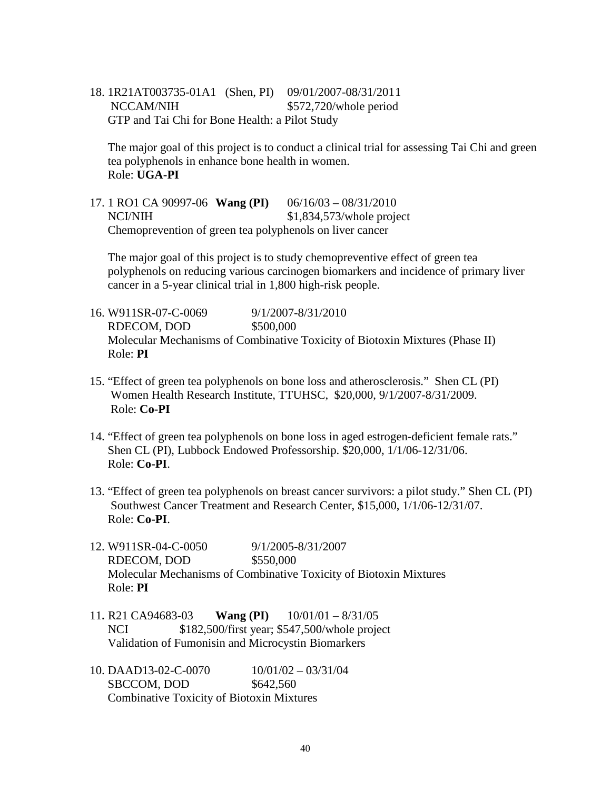18. 1R21AT003735-01A1 (Shen, PI) 09/01/2007-08/31/2011 NCCAM/NIH  $$572,720/whole period$ GTP and Tai Chi for Bone Health: a Pilot Study

The major goal of this project is to conduct a clinical trial for assessing Tai Chi and green tea polyphenols in enhance bone health in women. Role: **UGA-PI**

17. 1 RO1 CA 90997-06 **Wang (PI)** 06/16/03 – 08/31/2010 NCI/NIH  $$1,834,573$ /whole project Chemoprevention of green tea polyphenols on liver cancer

The major goal of this project is to study chemopreventive effect of green tea polyphenols on reducing various carcinogen biomarkers and incidence of primary liver cancer in a 5-year clinical trial in 1,800 high-risk people.

- 16. W911SR-07-C-0069 9/1/2007-8/31/2010 RDECOM, DOD \$500,000 Molecular Mechanisms of Combinative Toxicity of Biotoxin Mixtures (Phase II) Role: **PI**
- 15. "Effect of green tea polyphenols on bone loss and atherosclerosis." Shen CL (PI) Women Health Research Institute, TTUHSC, \$20,000, 9/1/2007-8/31/2009. Role: **Co-PI**
- 14. "Effect of green tea polyphenols on bone loss in aged estrogen-deficient female rats." Shen CL (PI), Lubbock Endowed Professorship. \$20,000, 1/1/06-12/31/06. Role: **Co-PI**.
- 13. "Effect of green tea polyphenols on breast cancer survivors: a pilot study." Shen CL (PI) Southwest Cancer Treatment and Research Center, \$15,000, 1/1/06-12/31/07. Role: **Co-PI**.
- 12. W911SR-04-C-0050 9/1/2005-8/31/2007 RDECOM, DOD \$550,000 Molecular Mechanisms of Combinative Toxicity of Biotoxin Mixtures Role: **PI**
- 11**.** R21 CA94683-03 **Wang (PI)** 10/01/01 8/31/05 NCI \$182,500/first year; \$547,500/whole project Validation of Fumonisin and Microcystin Biomarkers
- 10. DAAD13-02-C-0070 10/01/02 03/31/04 SBCCOM, DOD \$642,560 Combinative Toxicity of Biotoxin Mixtures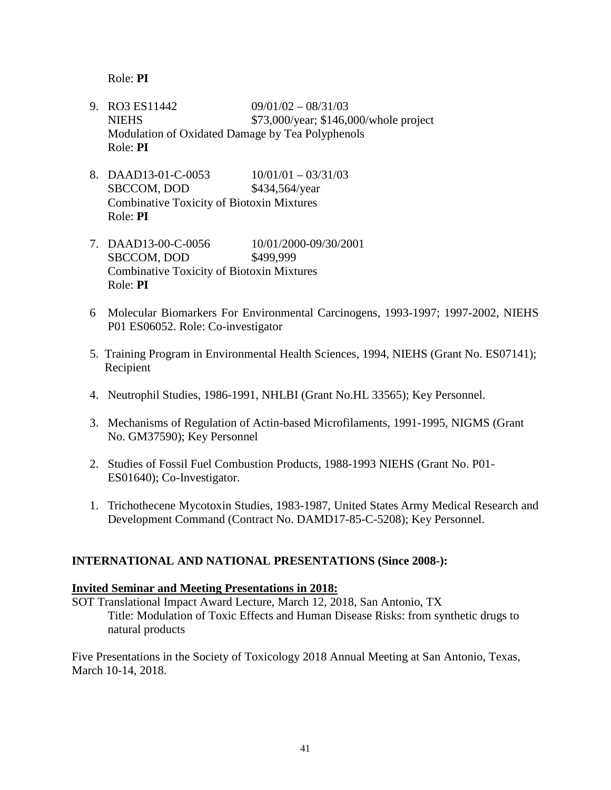Role: **PI**

- 9. RO3 ES11442 09/01/02 08/31/03 NIEHS \$73,000/year; \$146,000/whole project Modulation of Oxidated Damage by Tea Polyphenols Role: **PI**
- 8. DAAD13-01-C-0053 10/01/01 03/31/03 SBCCOM, DOD \$434,564/year Combinative Toxicity of Biotoxin Mixtures Role: **PI**
- 7. DAAD13-00-C-0056 10/01/2000-09/30/2001 SBCCOM, DOD \$499,999 Combinative Toxicity of Biotoxin Mixtures Role: **PI**
- 6 Molecular Biomarkers For Environmental Carcinogens, 1993-1997; 1997-2002, NIEHS P01 ES06052. Role: Co-investigator
- 5. Training Program in Environmental Health Sciences, 1994, NIEHS (Grant No. ES07141); Recipient
- 4. Neutrophil Studies, 1986-1991, NHLBI (Grant No.HL 33565); Key Personnel.
- 3. Mechanisms of Regulation of Actin-based Microfilaments, 1991-1995, NIGMS (Grant No. GM37590); Key Personnel
- 2. Studies of Fossil Fuel Combustion Products, 1988-1993 NIEHS (Grant No. P01- ES01640); Co-Investigator.
- 1. Trichothecene Mycotoxin Studies, 1983-1987, United States Army Medical Research and Development Command (Contract No. DAMD17-85-C-5208); Key Personnel.

# **INTERNATIONAL AND NATIONAL PRESENTATIONS (Since 2008-):**

#### **Invited Seminar and Meeting Presentations in 2018:**

SOT Translational Impact Award Lecture, March 12, 2018, San Antonio, TX Title: Modulation of Toxic Effects and Human Disease Risks: from synthetic drugs to natural products

Five Presentations in the Society of Toxicology 2018 Annual Meeting at San Antonio, Texas, March 10-14, 2018.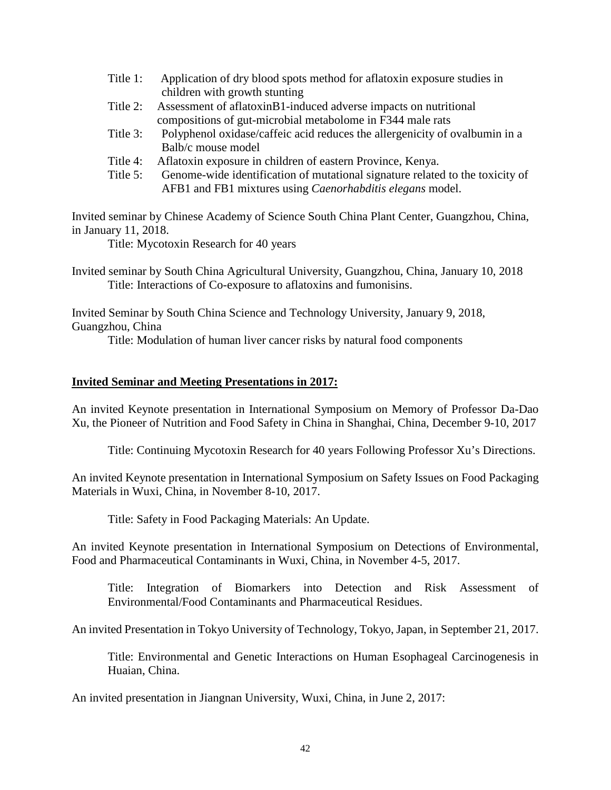- Title 1: Application of dry blood spots method for aflatoxin exposure studies in children with growth stunting
- Title 2: Assessment of aflatoxinB1-induced adverse impacts on nutritional compositions of gut-microbial metabolome in F344 male rats
- Title 3: Polyphenol oxidase/caffeic acid reduces the allergenicity of ovalbumin in a Balb/c mouse model
- Title 4: Aflatoxin exposure in children of eastern Province, Kenya.
- Title 5: Genome-wide identification of mutational signature related to the toxicity of AFB1 and FB1 mixtures using *Caenorhabditis elegans* model.

Invited seminar by Chinese Academy of Science South China Plant Center, Guangzhou, China, in January 11, 2018.

Title: Mycotoxin Research for 40 years

Invited seminar by South China Agricultural University, Guangzhou, China, January 10, 2018 Title: Interactions of Co-exposure to aflatoxins and fumonisins.

Invited Seminar by South China Science and Technology University, January 9, 2018, Guangzhou, China

Title: Modulation of human liver cancer risks by natural food components

# **Invited Seminar and Meeting Presentations in 2017:**

An invited Keynote presentation in International Symposium on Memory of Professor Da-Dao Xu, the Pioneer of Nutrition and Food Safety in China in Shanghai, China, December 9-10, 2017

Title: Continuing Mycotoxin Research for 40 years Following Professor Xu's Directions.

An invited Keynote presentation in International Symposium on Safety Issues on Food Packaging Materials in Wuxi, China, in November 8-10, 2017.

Title: Safety in Food Packaging Materials: An Update.

An invited Keynote presentation in International Symposium on Detections of Environmental, Food and Pharmaceutical Contaminants in Wuxi, China, in November 4-5, 2017.

Title: Integration of Biomarkers into Detection and Risk Assessment of Environmental/Food Contaminants and Pharmaceutical Residues.

An invited Presentation in Tokyo University of Technology, Tokyo, Japan, in September 21, 2017.

Title: Environmental and Genetic Interactions on Human Esophageal Carcinogenesis in Huaian, China.

An invited presentation in Jiangnan University, Wuxi, China, in June 2, 2017: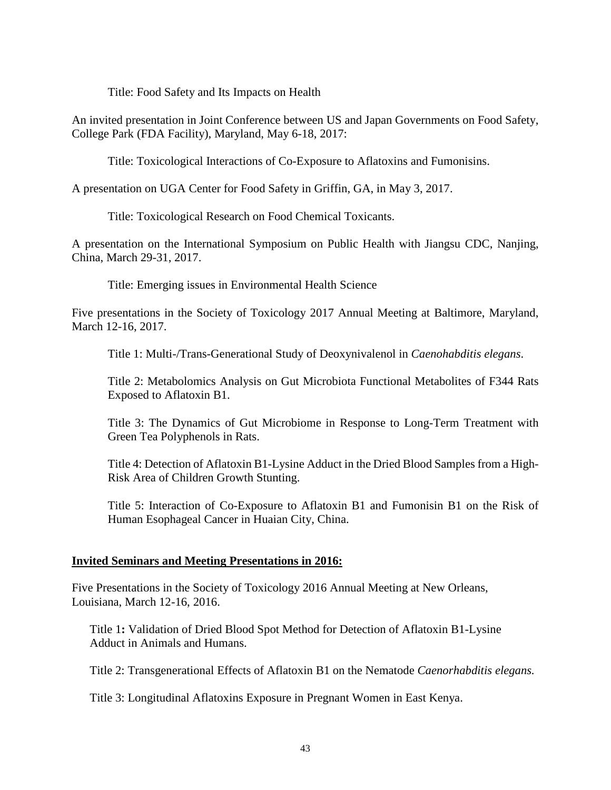Title: Food Safety and Its Impacts on Health

An invited presentation in Joint Conference between US and Japan Governments on Food Safety, College Park (FDA Facility), Maryland, May 6-18, 2017:

Title: Toxicological Interactions of Co-Exposure to Aflatoxins and Fumonisins.

A presentation on UGA Center for Food Safety in Griffin, GA, in May 3, 2017.

Title: Toxicological Research on Food Chemical Toxicants.

A presentation on the International Symposium on Public Health with Jiangsu CDC, Nanjing, China, March 29-31, 2017.

Title: Emerging issues in Environmental Health Science

Five presentations in the Society of Toxicology 2017 Annual Meeting at Baltimore, Maryland, March 12-16, 2017.

Title 1: Multi-/Trans-Generational Study of Deoxynivalenol in *Caenohabditis elegans*.

Title 2: Metabolomics Analysis on Gut Microbiota Functional Metabolites of F344 Rats Exposed to Aflatoxin B1.

Title 3: The Dynamics of Gut Microbiome in Response to Long-Term Treatment with Green Tea Polyphenols in Rats.

Title 4: Detection of Aflatoxin B1-Lysine Adduct in the Dried Blood Samples from a High-Risk Area of Children Growth Stunting.

Title 5: Interaction of Co-Exposure to Aflatoxin B1 and Fumonisin B1 on the Risk of Human Esophageal Cancer in Huaian City, China.

#### **Invited Seminars and Meeting Presentations in 2016:**

Five Presentations in the Society of Toxicology 2016 Annual Meeting at New Orleans, Louisiana, March 12-16, 2016.

Title 1**:** Validation of Dried Blood Spot Method for Detection of Aflatoxin B1-Lysine Adduct in Animals and Humans.

Title 2: Transgenerational Effects of Aflatoxin B1 on the Nematode *Caenorhabditis elegans.*

Title 3: Longitudinal Aflatoxins Exposure in Pregnant Women in East Kenya.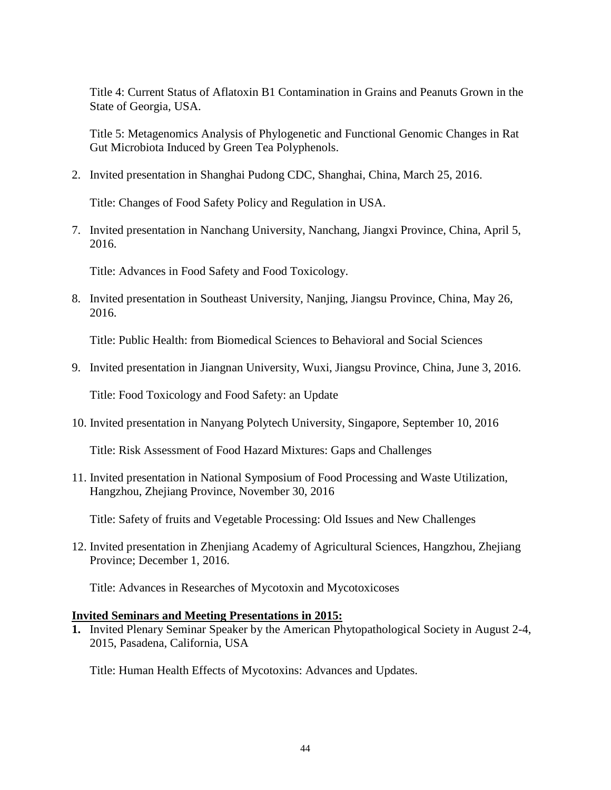Title 4: Current Status of Aflatoxin B1 Contamination in Grains and Peanuts Grown in the State of Georgia, USA.

Title 5: Metagenomics Analysis of Phylogenetic and Functional Genomic Changes in Rat Gut Microbiota Induced by Green Tea Polyphenols.

2. Invited presentation in Shanghai Pudong CDC, Shanghai, China, March 25, 2016.

Title: Changes of Food Safety Policy and Regulation in USA.

7. Invited presentation in Nanchang University, Nanchang, Jiangxi Province, China, April 5, 2016.

Title: Advances in Food Safety and Food Toxicology.

8. Invited presentation in Southeast University, Nanjing, Jiangsu Province, China, May 26, 2016.

Title: Public Health: from Biomedical Sciences to Behavioral and Social Sciences

9. Invited presentation in Jiangnan University, Wuxi, Jiangsu Province, China, June 3, 2016.

Title: Food Toxicology and Food Safety: an Update

10. Invited presentation in Nanyang Polytech University, Singapore, September 10, 2016

Title: Risk Assessment of Food Hazard Mixtures: Gaps and Challenges

11. Invited presentation in National Symposium of Food Processing and Waste Utilization, Hangzhou, Zhejiang Province, November 30, 2016

Title: Safety of fruits and Vegetable Processing: Old Issues and New Challenges

12. Invited presentation in Zhenjiang Academy of Agricultural Sciences, Hangzhou, Zhejiang Province; December 1, 2016.

Title: Advances in Researches of Mycotoxin and Mycotoxicoses

# **Invited Seminars and Meeting Presentations in 2015:**

**1.** Invited Plenary Seminar Speaker by the American Phytopathological Society in August 2-4, 2015, Pasadena, California, USA

Title: Human Health Effects of Mycotoxins: Advances and Updates.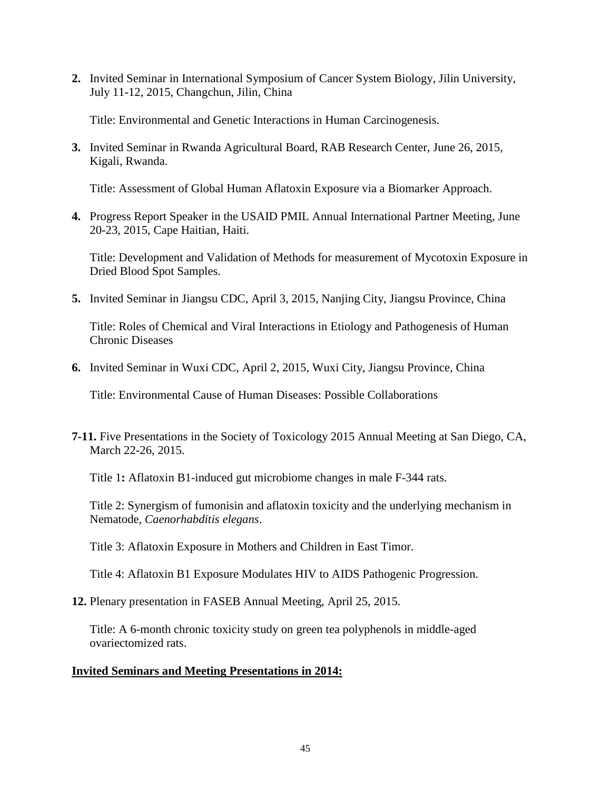**2.** Invited Seminar in International Symposium of Cancer System Biology, Jilin University, July 11-12, 2015, Changchun, Jilin, China

Title: Environmental and Genetic Interactions in Human Carcinogenesis.

**3.** Invited Seminar in Rwanda Agricultural Board, RAB Research Center, June 26, 2015, Kigali, Rwanda.

Title: Assessment of Global Human Aflatoxin Exposure via a Biomarker Approach.

**4.** Progress Report Speaker in the USAID PMIL Annual International Partner Meeting, June 20-23, 2015, Cape Haitian, Haiti.

Title: Development and Validation of Methods for measurement of Mycotoxin Exposure in Dried Blood Spot Samples.

**5.** Invited Seminar in Jiangsu CDC, April 3, 2015, Nanjing City, Jiangsu Province, China

Title: Roles of Chemical and Viral Interactions in Etiology and Pathogenesis of Human Chronic Diseases

**6.** Invited Seminar in Wuxi CDC, April 2, 2015, Wuxi City, Jiangsu Province, China

Title: Environmental Cause of Human Diseases: Possible Collaborations

**7-11.** Five Presentations in the Society of Toxicology 2015 Annual Meeting at San Diego, CA, March 22-26, 2015.

Title 1**:** Aflatoxin B1-induced gut microbiome changes in male F-344 rats.

Title 2: Synergism of fumonisin and aflatoxin toxicity and the underlying mechanism in Nematode, *Caenorhabditis elegans*.

Title 3: Aflatoxin Exposure in Mothers and Children in East Timor.

Title 4: Aflatoxin B1 Exposure Modulates HIV to AIDS Pathogenic Progression.

**12.** Plenary presentation in FASEB Annual Meeting, April 25, 2015.

Title: A 6-month chronic toxicity study on green tea polyphenols in middle-aged ovariectomized rats.

# **Invited Seminars and Meeting Presentations in 2014:**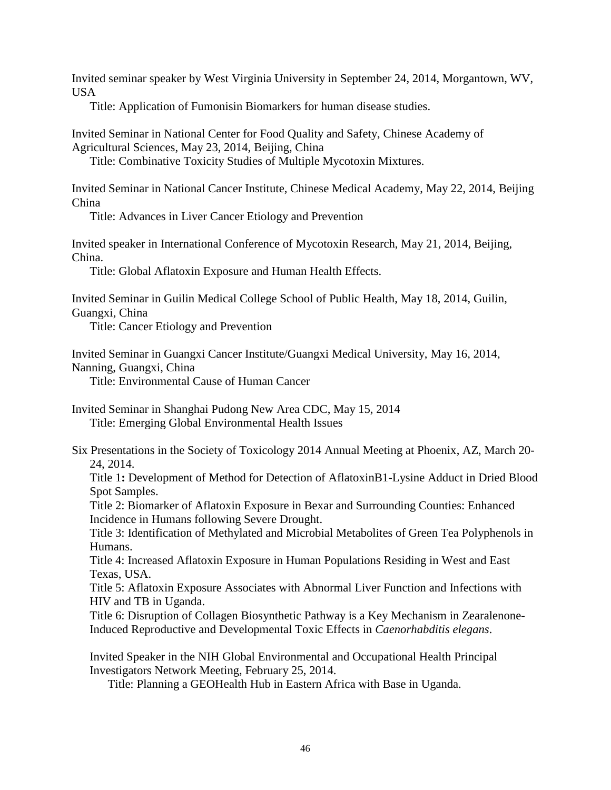Invited seminar speaker by West Virginia University in September 24, 2014, Morgantown, WV, **USA** 

Title: Application of Fumonisin Biomarkers for human disease studies.

Invited Seminar in National Center for Food Quality and Safety, Chinese Academy of Agricultural Sciences, May 23, 2014, Beijing, China

Title: Combinative Toxicity Studies of Multiple Mycotoxin Mixtures.

Invited Seminar in National Cancer Institute, Chinese Medical Academy, May 22, 2014, Beijing China

Title: Advances in Liver Cancer Etiology and Prevention

Invited speaker in International Conference of Mycotoxin Research, May 21, 2014, Beijing, China.

Title: Global Aflatoxin Exposure and Human Health Effects.

Invited Seminar in Guilin Medical College School of Public Health, May 18, 2014, Guilin, Guangxi, China

Title: Cancer Etiology and Prevention

Invited Seminar in Guangxi Cancer Institute/Guangxi Medical University, May 16, 2014, Nanning, Guangxi, China

Title: Environmental Cause of Human Cancer

Invited Seminar in Shanghai Pudong New Area CDC, May 15, 2014 Title: Emerging Global Environmental Health Issues

Six Presentations in the Society of Toxicology 2014 Annual Meeting at Phoenix, AZ, March 20- 24, 2014.

Title 1**:** Development of Method for Detection of AflatoxinB1-Lysine Adduct in Dried Blood Spot Samples.

Title 2: Biomarker of Aflatoxin Exposure in Bexar and Surrounding Counties: Enhanced Incidence in Humans following Severe Drought.

Title 3: Identification of Methylated and Microbial Metabolites of Green Tea Polyphenols in Humans.

Title 4: Increased Aflatoxin Exposure in Human Populations Residing in West and East Texas, USA.

Title 5: Aflatoxin Exposure Associates with Abnormal Liver Function and Infections with HIV and TB in Uganda.

Title 6: Disruption of Collagen Biosynthetic Pathway is a Key Mechanism in Zearalenone-Induced Reproductive and Developmental Toxic Effects in *Caenorhabditis elegans*.

Invited Speaker in the NIH Global Environmental and Occupational Health Principal Investigators Network Meeting, February 25, 2014.

Title: Planning a GEOHealth Hub in Eastern Africa with Base in Uganda.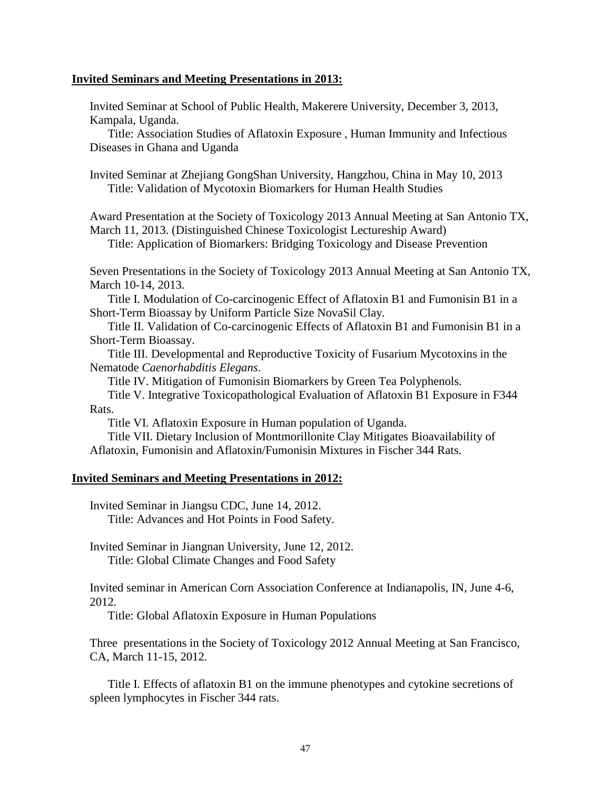#### **Invited Seminars and Meeting Presentations in 2013:**

Invited Seminar at School of Public Health, Makerere University, December 3, 2013, Kampala, Uganda.

Title: Association Studies of Aflatoxin Exposure , Human Immunity and Infectious Diseases in Ghana and Uganda

Invited Seminar at Zhejiang GongShan University, Hangzhou, China in May 10, 2013 Title: Validation of Mycotoxin Biomarkers for Human Health Studies

Award Presentation at the Society of Toxicology 2013 Annual Meeting at San Antonio TX, March 11, 2013. (Distinguished Chinese Toxicologist Lectureship Award)

Title: Application of Biomarkers: Bridging Toxicology and Disease Prevention

Seven Presentations in the Society of Toxicology 2013 Annual Meeting at San Antonio TX, March 10-14, 2013.

Title I. Modulation of Co-carcinogenic Effect of Aflatoxin B1 and Fumonisin B1 in a Short-Term Bioassay by Uniform Particle Size NovaSil Clay.

Title II. Validation of Co-carcinogenic Effects of Aflatoxin B1 and Fumonisin B1 in a Short-Term Bioassay.

Title III. Developmental and Reproductive Toxicity of Fusarium Mycotoxins in the Nematode *Caenorhabditis Elegans*.

Title IV. Mitigation of Fumonisin Biomarkers by Green Tea Polyphenols.

Title V. Integrative Toxicopathological Evaluation of Aflatoxin B1 Exposure in F344 Rats.

Title VI. Aflatoxin Exposure in Human population of Uganda.

Title VII. Dietary Inclusion of Montmorillonite Clay Mitigates Bioavailability of Aflatoxin, Fumonisin and Aflatoxin/Fumonisin Mixtures in Fischer 344 Rats.

#### **Invited Seminars and Meeting Presentations in 2012:**

Invited Seminar in Jiangsu CDC, June 14, 2012. Title: Advances and Hot Points in Food Safety.

Invited Seminar in Jiangnan University, June 12, 2012. Title: Global Climate Changes and Food Safety

Invited seminar in American Corn Association Conference at Indianapolis, IN, June 4-6, 2012.

Title: Global Aflatoxin Exposure in Human Populations

Three presentations in the Society of Toxicology 2012 Annual Meeting at San Francisco, CA, March 11-15, 2012.

Title I. Effects of aflatoxin B1 on the immune phenotypes and cytokine secretions of spleen lymphocytes in Fischer 344 rats.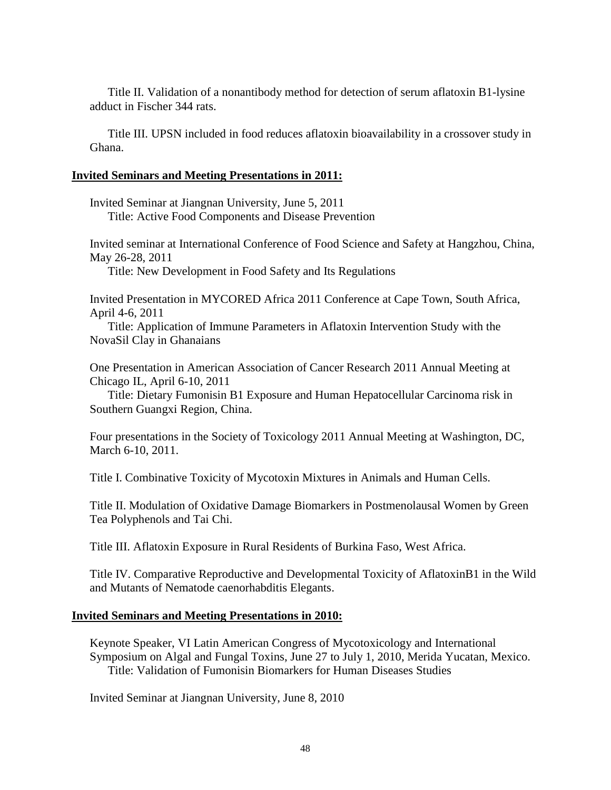Title II. Validation of a nonantibody method for detection of serum aflatoxin B1-lysine adduct in Fischer 344 rats.

Title III. UPSN included in food reduces aflatoxin bioavailability in a crossover study in Ghana.

#### **Invited Seminars and Meeting Presentations in 2011:**

Invited Seminar at Jiangnan University, June 5, 2011 Title: Active Food Components and Disease Prevention

Invited seminar at International Conference of Food Science and Safety at Hangzhou, China, May 26-28, 2011

Title: New Development in Food Safety and Its Regulations

Invited Presentation in MYCORED Africa 2011 Conference at Cape Town, South Africa, April 4-6, 2011

Title: Application of Immune Parameters in Aflatoxin Intervention Study with the NovaSil Clay in Ghanaians

One Presentation in American Association of Cancer Research 2011 Annual Meeting at Chicago IL, April 6-10, 2011

Title: Dietary Fumonisin B1 Exposure and Human Hepatocellular Carcinoma risk in Southern Guangxi Region, China.

Four presentations in the Society of Toxicology 2011 Annual Meeting at Washington, DC, March 6-10, 2011.

Title I. Combinative Toxicity of Mycotoxin Mixtures in Animals and Human Cells.

Title II. Modulation of Oxidative Damage Biomarkers in Postmenolausal Women by Green Tea Polyphenols and Tai Chi.

Title III. Aflatoxin Exposure in Rural Residents of Burkina Faso, West Africa.

Title IV. Comparative Reproductive and Developmental Toxicity of AflatoxinB1 in the Wild and Mutants of Nematode caenorhabditis Elegants.

# **Invited Seminars and Meeting Presentations in 2010:**

Keynote Speaker, VI Latin American Congress of Mycotoxicology and International Symposium on Algal and Fungal Toxins, June 27 to July 1, 2010, Merida Yucatan, Mexico. Title: Validation of Fumonisin Biomarkers for Human Diseases Studies

Invited Seminar at Jiangnan University, June 8, 2010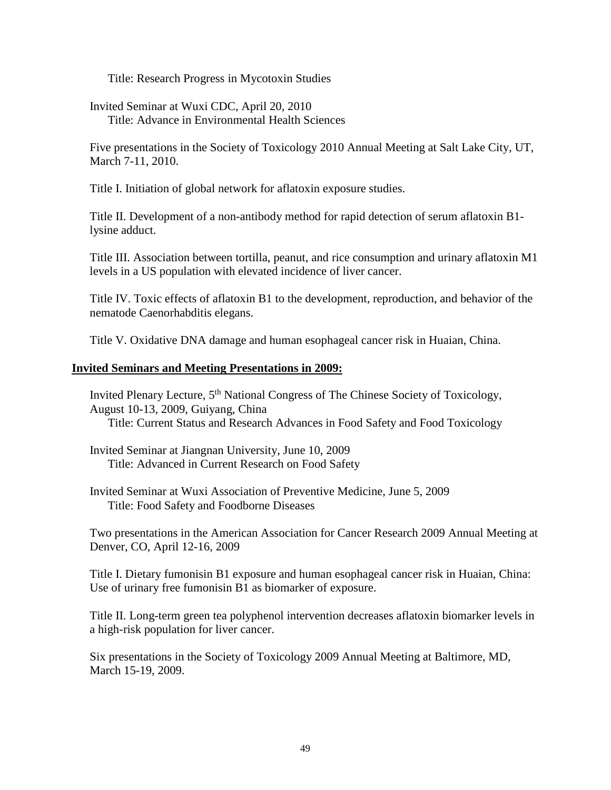Title: Research Progress in Mycotoxin Studies

Invited Seminar at Wuxi CDC, April 20, 2010 Title: Advance in Environmental Health Sciences

Five presentations in the Society of Toxicology 2010 Annual Meeting at Salt Lake City, UT, March 7-11, 2010.

Title I. Initiation of global network for aflatoxin exposure studies.

Title II. Development of a non-antibody method for rapid detection of serum aflatoxin B1 lysine adduct.

Title III. Association between tortilla, peanut, and rice consumption and urinary aflatoxin M1 levels in a US population with elevated incidence of liver cancer.

Title IV. Toxic effects of aflatoxin B1 to the development, reproduction, and behavior of the nematode Caenorhabditis elegans.

Title V. Oxidative DNA damage and human esophageal cancer risk in Huaian, China.

#### **Invited Seminars and Meeting Presentations in 2009:**

Invited Plenary Lecture, 5<sup>th</sup> National Congress of The Chinese Society of Toxicology, August 10-13, 2009, Guiyang, China Title: Current Status and Research Advances in Food Safety and Food Toxicology

Invited Seminar at Jiangnan University, June 10, 2009 Title: Advanced in Current Research on Food Safety

Invited Seminar at Wuxi Association of Preventive Medicine, June 5, 2009 Title: Food Safety and Foodborne Diseases

Two presentations in the American Association for Cancer Research 2009 Annual Meeting at Denver, CO, April 12-16, 2009

Title I. Dietary fumonisin B1 exposure and human esophageal cancer risk in Huaian, China: Use of urinary free fumonisin B1 as biomarker of exposure.

Title II. Long-term green tea polyphenol intervention decreases aflatoxin biomarker levels in a high-risk population for liver cancer.

Six presentations in the Society of Toxicology 2009 Annual Meeting at Baltimore, MD, March 15-19, 2009.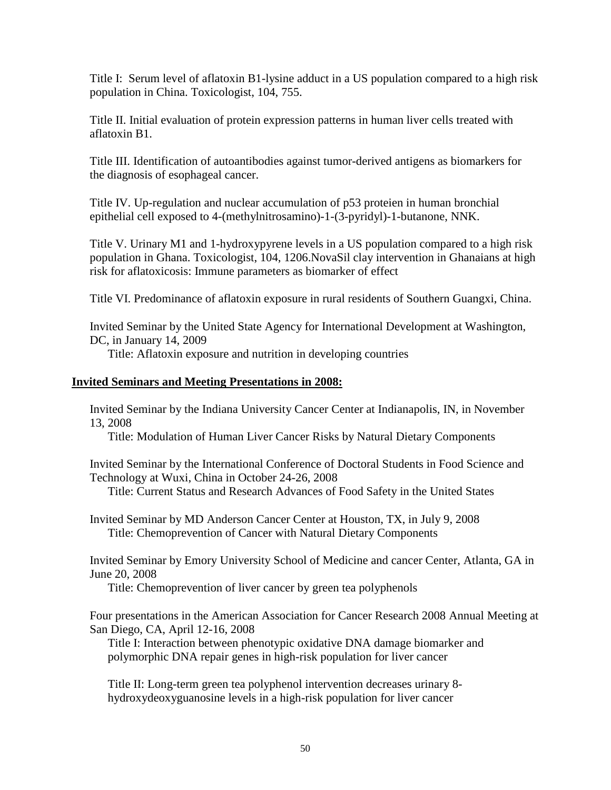Title I: Serum level of aflatoxin B1-lysine adduct in a US population compared to a high risk population in China. Toxicologist, 104, 755.

Title II. Initial evaluation of protein expression patterns in human liver cells treated with aflatoxin B1.

Title III. Identification of autoantibodies against tumor-derived antigens as biomarkers for the diagnosis of esophageal cancer.

Title IV. Up-regulation and nuclear accumulation of p53 proteien in human bronchial epithelial cell exposed to 4-(methylnitrosamino)-1-(3-pyridyl)-1-butanone, NNK.

Title V. Urinary M1 and 1-hydroxypyrene levels in a US population compared to a high risk population in Ghana. Toxicologist, 104, 1206.NovaSil clay intervention in Ghanaians at high risk for aflatoxicosis: Immune parameters as biomarker of effect

Title VI. Predominance of aflatoxin exposure in rural residents of Southern Guangxi, China.

Invited Seminar by the United State Agency for International Development at Washington, DC, in January 14, 2009

Title: Aflatoxin exposure and nutrition in developing countries

# **Invited Seminars and Meeting Presentations in 2008:**

Invited Seminar by the Indiana University Cancer Center at Indianapolis, IN, in November 13, 2008

Title: Modulation of Human Liver Cancer Risks by Natural Dietary Components

Invited Seminar by the International Conference of Doctoral Students in Food Science and Technology at Wuxi, China in October 24-26, 2008

Title: Current Status and Research Advances of Food Safety in the United States

Invited Seminar by MD Anderson Cancer Center at Houston, TX, in July 9, 2008 Title: Chemoprevention of Cancer with Natural Dietary Components

Invited Seminar by Emory University School of Medicine and cancer Center, Atlanta, GA in June 20, 2008

Title: Chemoprevention of liver cancer by green tea polyphenols

Four presentations in the American Association for Cancer Research 2008 Annual Meeting at San Diego, CA, April 12-16, 2008

Title I: Interaction between phenotypic oxidative DNA damage biomarker and polymorphic DNA repair genes in high-risk population for liver cancer

Title II: Long-term green tea polyphenol intervention decreases urinary 8 hydroxydeoxyguanosine levels in a high-risk population for liver cancer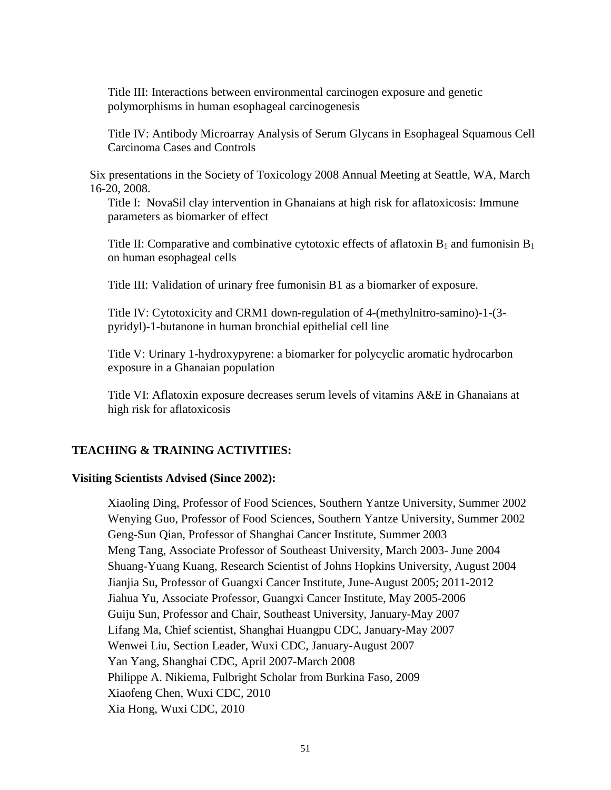Title III: Interactions between environmental carcinogen exposure and genetic polymorphisms in human esophageal carcinogenesis

Title IV: Antibody Microarray Analysis of Serum Glycans in Esophageal Squamous Cell Carcinoma Cases and Controls

Six presentations in the Society of Toxicology 2008 Annual Meeting at Seattle, WA, March 16-20, 2008.

Title I: NovaSil clay intervention in Ghanaians at high risk for aflatoxicosis: Immune parameters as biomarker of effect

Title II: Comparative and combinative cytotoxic effects of aflatoxin  $B_1$  and fumonisin  $B_1$ on human esophageal cells

Title III: Validation of urinary free fumonisin B1 as a biomarker of exposure.

Title IV: Cytotoxicity and CRM1 down-regulation of 4-(methylnitro-samino)-1-(3 pyridyl)-1-butanone in human bronchial epithelial cell line

Title V: Urinary 1-hydroxypyrene: a biomarker for polycyclic aromatic hydrocarbon exposure in a Ghanaian population

Title VI: Aflatoxin exposure decreases serum levels of vitamins A&E in Ghanaians at high risk for aflatoxicosis

# **TEACHING & TRAINING ACTIVITIES:**

#### **Visiting Scientists Advised (Since 2002):**

Xiaoling Ding, Professor of Food Sciences, Southern Yantze University, Summer 2002 Wenying Guo, Professor of Food Sciences, Southern Yantze University, Summer 2002 Geng-Sun Qian, Professor of Shanghai Cancer Institute, Summer 2003 Meng Tang, Associate Professor of Southeast University, March 2003- June 2004 Shuang-Yuang Kuang, Research Scientist of Johns Hopkins University, August 2004 Jianjia Su, Professor of Guangxi Cancer Institute, June-August 2005; 2011-2012 Jiahua Yu, Associate Professor, Guangxi Cancer Institute, May 2005-2006 Guiju Sun, Professor and Chair, Southeast University, January-May 2007 Lifang Ma, Chief scientist, Shanghai Huangpu CDC, January-May 2007 Wenwei Liu, Section Leader, Wuxi CDC, January-August 2007 Yan Yang, Shanghai CDC, April 2007-March 2008 Philippe A. Nikiema, Fulbright Scholar from Burkina Faso, 2009 Xiaofeng Chen, Wuxi CDC, 2010 Xia Hong, Wuxi CDC, 2010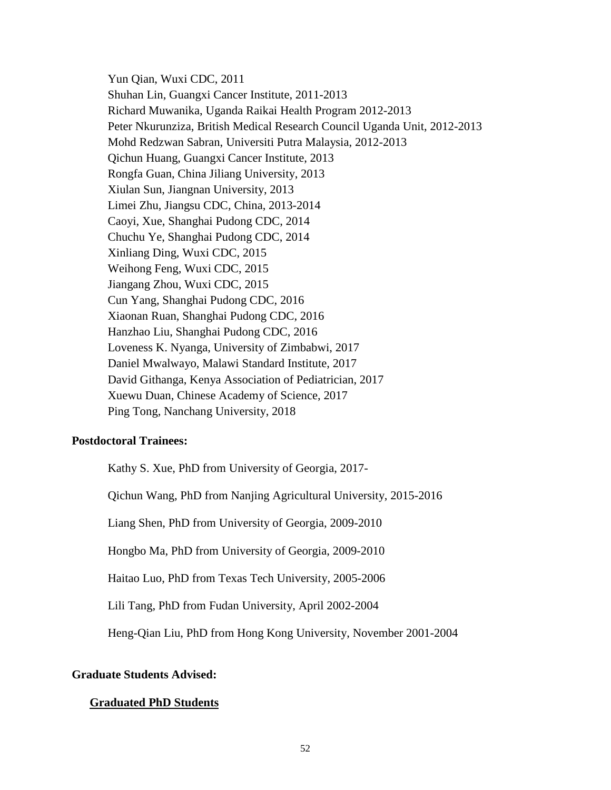Yun Qian, Wuxi CDC, 2011 Shuhan Lin, Guangxi Cancer Institute, 2011-2013 Richard Muwanika, Uganda Raikai Health Program 2012-2013 Peter Nkurunziza, British Medical Research Council Uganda Unit, 2012-2013 Mohd Redzwan Sabran, Universiti Putra Malaysia, 2012-2013 Qichun Huang, Guangxi Cancer Institute, 2013 Rongfa Guan, China Jiliang University, 2013 Xiulan Sun, Jiangnan University, 2013 Limei Zhu, Jiangsu CDC, China, 2013-2014 Caoyi, Xue, Shanghai Pudong CDC, 2014 Chuchu Ye, Shanghai Pudong CDC, 2014 Xinliang Ding, Wuxi CDC, 2015 Weihong Feng, Wuxi CDC, 2015 Jiangang Zhou, Wuxi CDC, 2015 Cun Yang, Shanghai Pudong CDC, 2016 Xiaonan Ruan, Shanghai Pudong CDC, 2016 Hanzhao Liu, Shanghai Pudong CDC, 2016 Loveness K. Nyanga, University of Zimbabwi, 2017 Daniel Mwalwayo, Malawi Standard Institute, 2017 David Githanga, Kenya Association of Pediatrician, 2017 Xuewu Duan, Chinese Academy of Science, 2017 Ping Tong, Nanchang University, 2018

#### **Postdoctoral Trainees:**

Kathy S. Xue, PhD from University of Georgia, 2017-

Qichun Wang, PhD from Nanjing Agricultural University, 2015-2016

Liang Shen, PhD from University of Georgia, 2009-2010

Hongbo Ma, PhD from University of Georgia, 2009-2010

Haitao Luo, PhD from Texas Tech University, 2005-2006

Lili Tang, PhD from Fudan University, April 2002-2004

Heng-Qian Liu, PhD from Hong Kong University, November 2001-2004

#### **Graduate Students Advised:**

#### **Graduated PhD Students**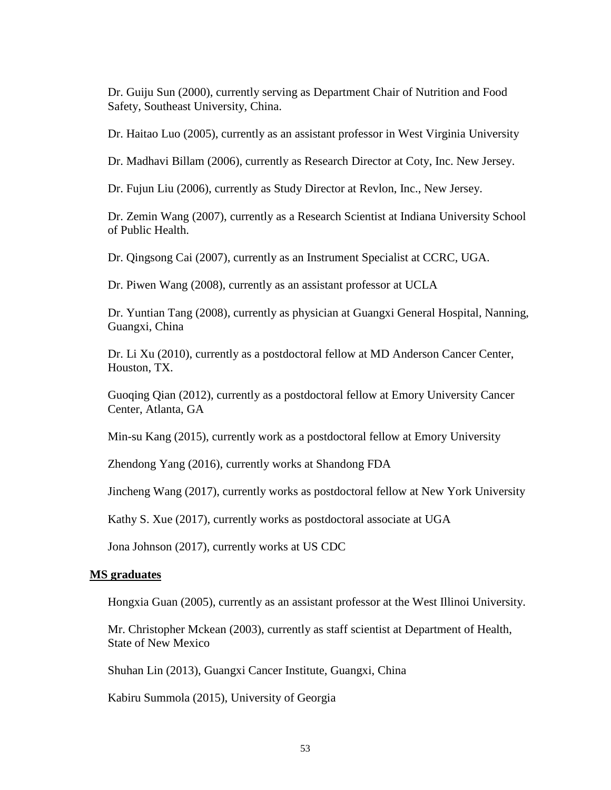Dr. Guiju Sun (2000), currently serving as Department Chair of Nutrition and Food Safety, Southeast University, China.

Dr. Haitao Luo (2005), currently as an assistant professor in West Virginia University

Dr. Madhavi Billam (2006), currently as Research Director at Coty, Inc. New Jersey.

Dr. Fujun Liu (2006), currently as Study Director at Revlon, Inc., New Jersey.

Dr. Zemin Wang (2007), currently as a Research Scientist at Indiana University School of Public Health.

Dr. Qingsong Cai (2007), currently as an Instrument Specialist at CCRC, UGA.

Dr. Piwen Wang (2008), currently as an assistant professor at UCLA

Dr. Yuntian Tang (2008), currently as physician at Guangxi General Hospital, Nanning, Guangxi, China

Dr. Li Xu (2010), currently as a postdoctoral fellow at MD Anderson Cancer Center, Houston, TX.

Guoqing Qian (2012), currently as a postdoctoral fellow at Emory University Cancer Center, Atlanta, GA

Min-su Kang (2015), currently work as a postdoctoral fellow at Emory University

Zhendong Yang (2016), currently works at Shandong FDA

Jincheng Wang (2017), currently works as postdoctoral fellow at New York University

Kathy S. Xue (2017), currently works as postdoctoral associate at UGA

Jona Johnson (2017), currently works at US CDC

#### **MS graduates**

Hongxia Guan (2005), currently as an assistant professor at the West Illinoi University.

Mr. Christopher Mckean (2003), currently as staff scientist at Department of Health, State of New Mexico

Shuhan Lin (2013), Guangxi Cancer Institute, Guangxi, China

Kabiru Summola (2015), University of Georgia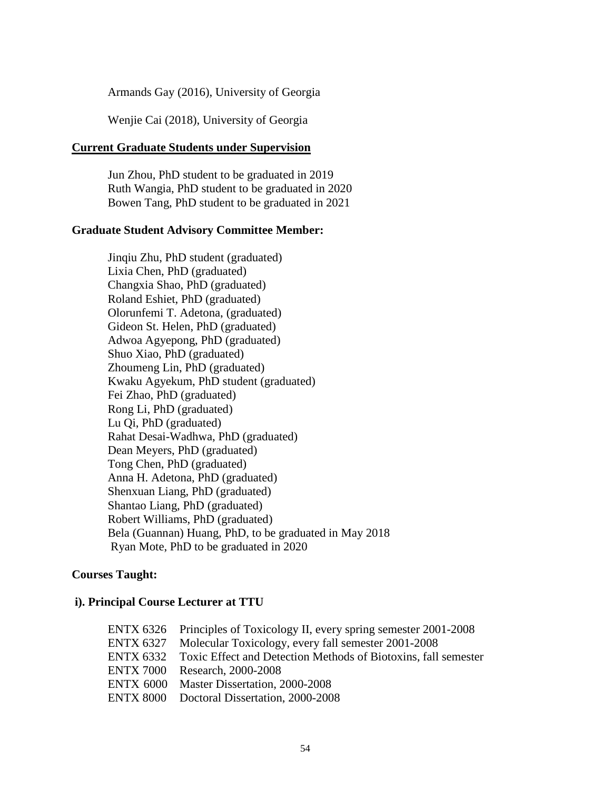Armands Gay (2016), University of Georgia

Wenjie Cai (2018), University of Georgia

#### **Current Graduate Students under Supervision**

Jun Zhou, PhD student to be graduated in 2019 Ruth Wangia, PhD student to be graduated in 2020 Bowen Tang, PhD student to be graduated in 2021

#### **Graduate Student Advisory Committee Member:**

Jinqiu Zhu, PhD student (graduated) Lixia Chen, PhD (graduated) Changxia Shao, PhD (graduated) Roland Eshiet, PhD (graduated) Olorunfemi T. Adetona, (graduated) Gideon St. Helen, PhD (graduated) Adwoa Agyepong, PhD (graduated) Shuo Xiao, PhD (graduated) Zhoumeng Lin, PhD (graduated) Kwaku Agyekum, PhD student (graduated) Fei Zhao, PhD (graduated) Rong Li, PhD (graduated) Lu Qi, PhD (graduated) Rahat Desai-Wadhwa, PhD (graduated) Dean Meyers, PhD (graduated) Tong Chen, PhD (graduated) Anna H. Adetona, PhD (graduated) Shenxuan Liang, PhD (graduated) Shantao Liang, PhD (graduated) Robert Williams, PhD (graduated) Bela (Guannan) Huang, PhD, to be graduated in May 2018 Ryan Mote, PhD to be graduated in 2020

# **Courses Taught:**

# **i). Principal Course Lecturer at TTU**

| ENTX 6326 Principles of Toxicology II, every spring semester 2001-2008   |
|--------------------------------------------------------------------------|
| ENTX 6327 Molecular Toxicology, every fall semester 2001-2008            |
| ENTX 6332 Toxic Effect and Detection Methods of Biotoxins, fall semester |
| ENTX 7000 Research, 2000-2008                                            |
| ENTX 6000 Master Dissertation, 2000-2008                                 |
| ENTX 8000 Doctoral Dissertation, 2000-2008                               |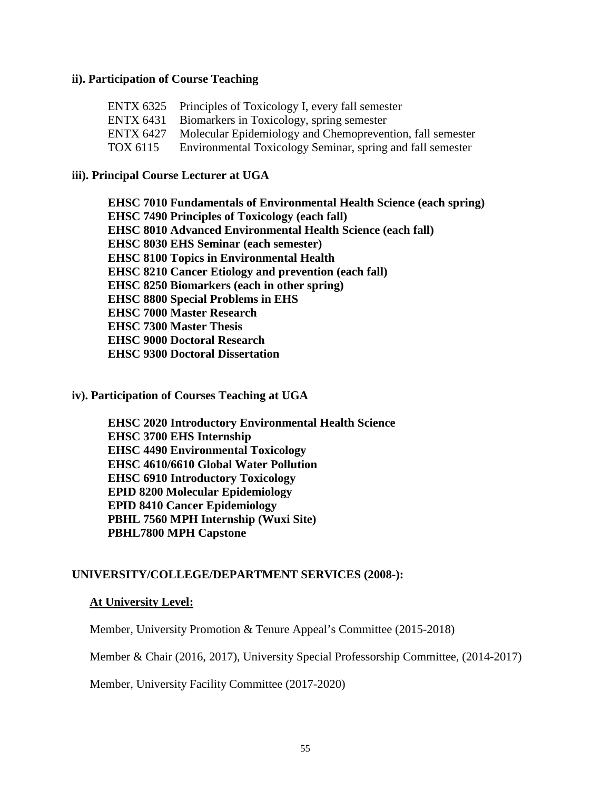#### **ii). Participation of Course Teaching**

|          | ENTX 6325 Principles of Toxicology I, every fall semester           |
|----------|---------------------------------------------------------------------|
|          | ENTX 6431 Biomarkers in Toxicology, spring semester                 |
|          | ENTX 6427 Molecular Epidemiology and Chemoprevention, fall semester |
| TOX 6115 | Environmental Toxicology Seminar, spring and fall semester          |

# **iii). Principal Course Lecturer at UGA**

**EHSC 7010 Fundamentals of Environmental Health Science (each spring) EHSC 7490 Principles of Toxicology (each fall) EHSC 8010 Advanced Environmental Health Science (each fall) EHSC 8030 EHS Seminar (each semester) EHSC 8100 Topics in Environmental Health EHSC 8210 Cancer Etiology and prevention (each fall) EHSC 8250 Biomarkers (each in other spring) EHSC 8800 Special Problems in EHS EHSC 7000 Master Research EHSC 7300 Master Thesis EHSC 9000 Doctoral Research EHSC 9300 Doctoral Dissertation** 

#### **iv). Participation of Courses Teaching at UGA**

**EHSC 2020 Introductory Environmental Health Science EHSC 3700 EHS Internship EHSC 4490 Environmental Toxicology EHSC 4610/6610 Global Water Pollution EHSC 6910 Introductory Toxicology EPID 8200 Molecular Epidemiology EPID 8410 Cancer Epidemiology PBHL 7560 MPH Internship (Wuxi Site) PBHL7800 MPH Capstone** 

# **UNIVERSITY/COLLEGE/DEPARTMENT SERVICES (2008-):**

#### **At University Level:**

Member, University Promotion & Tenure Appeal's Committee (2015-2018)

Member & Chair (2016, 2017), University Special Professorship Committee, (2014-2017)

Member, University Facility Committee (2017-2020)